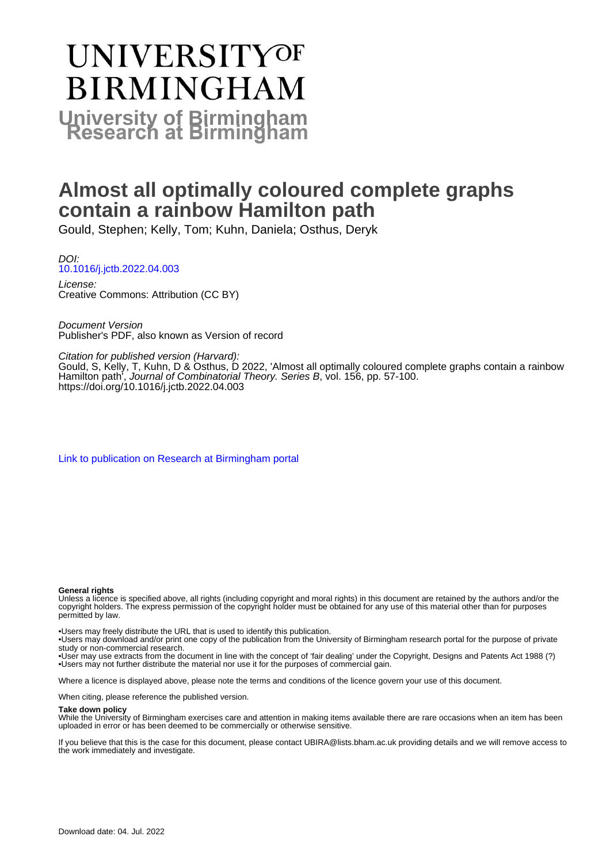# **UNIVERSITYOF BIRMINGHAM University of Birmingham**

## **Almost all optimally coloured complete graphs contain a rainbow Hamilton path**

Gould, Stephen; Kelly, Tom; Kuhn, Daniela; Osthus, Deryk

DOI: [10.1016/j.jctb.2022.04.003](https://doi.org/10.1016/j.jctb.2022.04.003)

License: Creative Commons: Attribution (CC BY)

Document Version Publisher's PDF, also known as Version of record

Citation for published version (Harvard):

Gould, S, Kelly, T, Kuhn, D & Osthus, D 2022, 'Almost all optimally coloured complete graphs contain a rainbow Hamilton path<sup>'</sup>, Journal of Combinatorial Theory. Series B, vol. 156, pp. 57-100. <https://doi.org/10.1016/j.jctb.2022.04.003>

[Link to publication on Research at Birmingham portal](https://birmingham.elsevierpure.com/en/publications/ad20c079-1362-4d0f-a4a7-d1ac8150a08e)

### **General rights**

Unless a licence is specified above, all rights (including copyright and moral rights) in this document are retained by the authors and/or the copyright holders. The express permission of the copyright holder must be obtained for any use of this material other than for purposes permitted by law.

• Users may freely distribute the URL that is used to identify this publication.

• Users may download and/or print one copy of the publication from the University of Birmingham research portal for the purpose of private study or non-commercial research.

• User may use extracts from the document in line with the concept of 'fair dealing' under the Copyright, Designs and Patents Act 1988 (?) • Users may not further distribute the material nor use it for the purposes of commercial gain.

Where a licence is displayed above, please note the terms and conditions of the licence govern your use of this document.

When citing, please reference the published version.

### **Take down policy**

While the University of Birmingham exercises care and attention in making items available there are rare occasions when an item has been uploaded in error or has been deemed to be commercially or otherwise sensitive.

If you believe that this is the case for this document, please contact UBIRA@lists.bham.ac.uk providing details and we will remove access to the work immediately and investigate.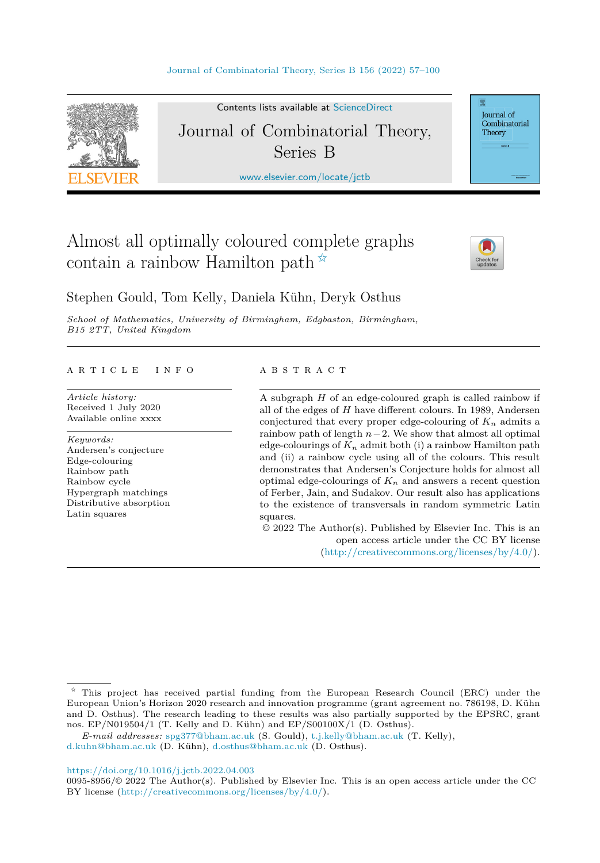

Contents lists available at [ScienceDirect](http://www.ScienceDirect.com/) Journal of Combinatorial Theory, Series B

[www.elsevier.com/locate/jctb](http://www.elsevier.com/locate/jctb)

## Almost all optimally coloured complete graphs contain a rainbow Hamilton path  $\hat{X}$



Journal of Combinatorial Theory

Stephen Gould, Tom Kelly, Daniela Kühn, Deryk Osthus

*School of Mathematics, University of Birmingham, Edgbaston, Birmingham, B15 2TT, United Kingdom*

#### A R T I C L E I N F O A B S T R A C T

*Article history:* Received 1 July 2020 Available online xxxx

*Keywords:* Andersen's conjecture Edge-colouring Rainbow path Rainbow cycle Hypergraph matchings Distributive absorption Latin squares

A subgraph *H* of an edge-coloured graph is called rainbow if all of the edges of *H* have different colours. In 1989, Andersen conjectured that every proper edge-colouring of  $K_n$  admits a rainbow path of length *n*−2. We show that almost all optimal edge-colourings of  $K_n$  admit both (i) a rainbow Hamilton path and (ii) a rainbow cycle using all of the colours. This result demonstrates that Andersen's Conjecture holds for almost all optimal edge-colourings of  $K_n$  and answers a recent question of Ferber, Jain, and Sudakov. Our result also has applications to the existence of transversals in random symmetric Latin squares.

© 2022 The Author(s). Published by Elsevier Inc. This is an open access article under the CC BY license (<http://creativecommons.org/licenses/by/4.0/>).

#### <https://doi.org/10.1016/j.jctb.2022.04.003>

 $\hat{\tau}$  This project has received partial funding from the European Research Council (ERC) under the European Union's Horizon 2020 research and innovation programme (grant agreement no. 786198, D. Kühn and D. Osthus). The research leading to these results was also partially supported by the EPSRC, grant nos. EP/N019504/1 (T. Kelly and D. Kühn) and EP/S00100X/1 (D. Osthus).

*E-mail addresses:* [spg377@bham.ac.uk](mailto:spg377@bham.ac.uk) (S. Gould), [t.j.kelly@bham.ac.uk](mailto:t.j.kelly@bham.ac.uk) (T. Kelly),

[d.kuhn@bham.ac.uk](mailto:d.kuhn@bham.ac.uk) (D. Kühn), [d.osthus@bham.ac.uk](mailto:d.osthus@bham.ac.uk) (D. Osthus).

<sup>0095-8956/©</sup> 2022 The Author(s). Published by Elsevier Inc. This is an open access article under the CC BY license [\(http://creativecommons.org/licenses/by/4.0/](http://creativecommons.org/licenses/by/4.0/)).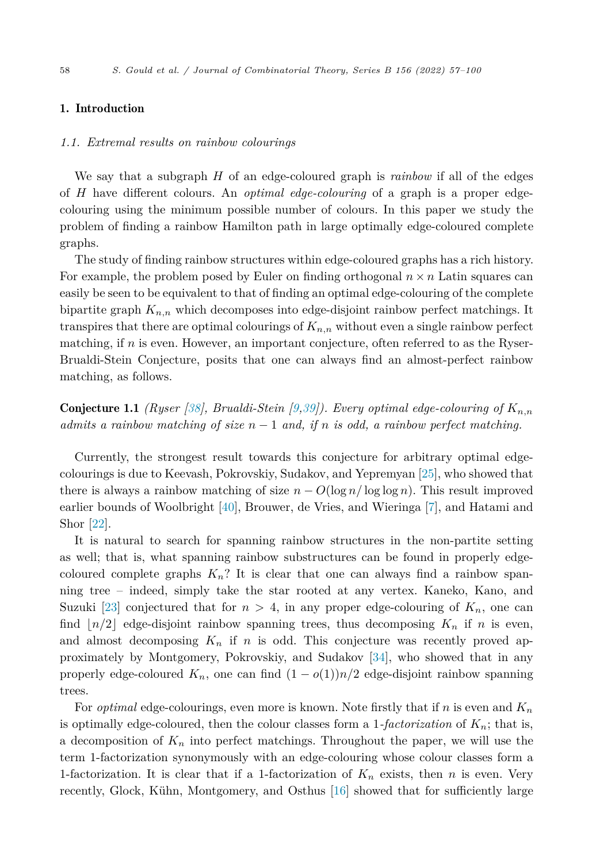#### <span id="page-2-0"></span>1. Introduction

#### *1.1. Extremal results on rainbow colourings*

We say that a subgraph *H* of an edge-coloured graph is *rainbow* if all of the edges of *H* have different colours. An *optimal edge-colouring* of a graph is a proper edgecolouring using the minimum possible number of colours. In this paper we study the problem of finding a rainbow Hamilton path in large optimally edge-coloured complete graphs.

The study of finding rainbow structures within edge-coloured graphs has a rich history. For example, the problem posed by Euler on finding orthogonal  $n \times n$  Latin squares can easily be seen to be equivalent to that of finding an optimal edge-colouring of the complete bipartite graph  $K_{n,n}$  which decomposes into edge-disjoint rainbow perfect matchings. It transpires that there are optimal colourings of  $K_{n,n}$  without even a single rainbow perfect matching, if *n* is even. However, an important conjecture, often referred to as the Ryser-Brualdi-Stein Conjecture, posits that one can always find an almost-perfect rainbow matching, as follows.

**Conjecture 1.1** *(Ryser [\[38](#page-44-0)], Brualdi-Stein [[9,](#page-43-0)[39](#page-44-0)]). Every optimal edge-colouring of*  $K_{n,n}$ *admits a rainbow matching of size n* − 1 *and, if n is odd, a rainbow perfect matching.*

Currently, the strongest result towards this conjecture for arbitrary optimal edgecolourings is due to Keevash, Pokrovskiy, Sudakov, and Yepremyan [\[25](#page-43-0)], who showed that there is always a rainbow matching of size  $n - O(\log n / \log \log n)$ . This result improved earlier bounds of Woolbright [[40\]](#page-44-0), Brouwer, de Vries, and Wieringa [[7\]](#page-43-0), and Hatami and Shor [[22\]](#page-43-0).

It is natural to search for spanning rainbow structures in the non-partite setting as well; that is, what spanning rainbow substructures can be found in properly edgecoloured complete graphs  $K_n$ ? It is clear that one can always find a rainbow spanning tree – indeed, simply take the star rooted at any vertex. Kaneko, Kano, and Suzuki [\[23](#page-43-0)] conjectured that for  $n > 4$ , in any proper edge-colouring of  $K_n$ , one can find  $\lfloor n/2 \rfloor$  edge-disjoint rainbow spanning trees, thus decomposing  $K_n$  if *n* is even, and almost decomposing  $K_n$  if *n* is odd. This conjecture was recently proved approximately by Montgomery, Pokrovskiy, and Sudakov [[34\]](#page-44-0), who showed that in any properly edge-coloured  $K_n$ , one can find  $(1 - o(1))n/2$  edge-disjoint rainbow spanning trees.

For *optimal* edge-colourings, even more is known. Note firstly that if *n* is even and *K<sup>n</sup>* is optimally edge-coloured, then the colour classes form a 1*-factorization* of *Kn*; that is, a decomposition of  $K_n$  into perfect matchings. Throughout the paper, we will use the term 1-factorization synonymously with an edge-colouring whose colour classes form a 1-factorization. It is clear that if a 1-factorization of  $K_n$  exists, then *n* is even. Very recently, Glock, Kühn, Montgomery, and Osthus [\[16](#page-43-0)] showed that for sufficiently large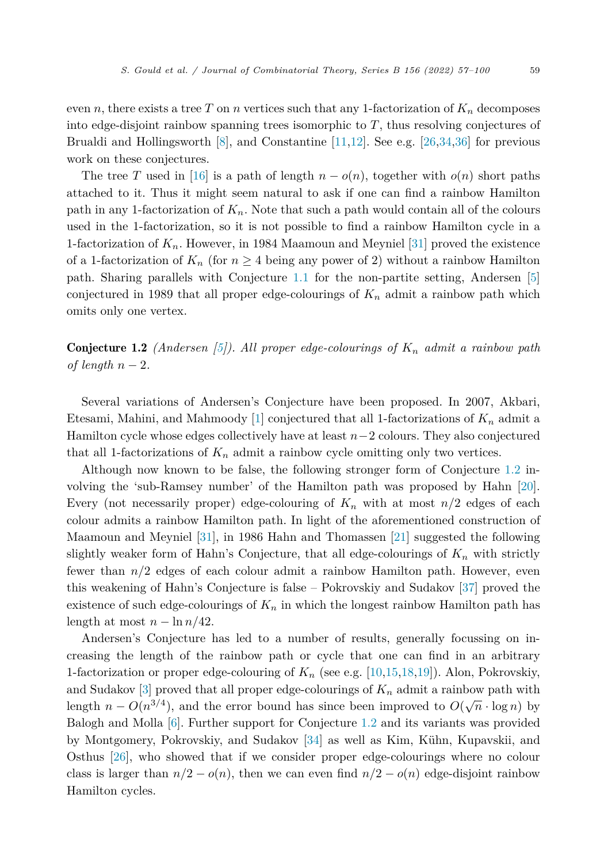even *n*, there exists a tree *T* on *n* vertices such that any 1-factorization of  $K_n$  decomposes into edge-disjoint rainbow spanning trees isomorphic to *T*, thus resolving conjectures of Brualdi and Hollingsworth  $[8]$  $[8]$ , and Constantine  $[11,12]$  $[11,12]$ . See e.g.  $[26,34,36]$  $[26,34,36]$  $[26,34,36]$  $[26,34,36]$  for previous work on these conjectures.

The tree *T* used in [\[16](#page-43-0)] is a path of length  $n - o(n)$ , together with  $o(n)$  short paths attached to it. Thus it might seem natural to ask if one can find a rainbow Hamilton path in any 1-factorization of  $K_n$ . Note that such a path would contain all of the colours used in the 1-factorization, so it is not possible to find a rainbow Hamilton cycle in a 1-factorization of *Kn*. However, in 1984 Maamoun and Meyniel [\[31](#page-43-0)] proved the existence of a 1-factorization of  $K_n$  (for  $n \geq 4$  being any power of 2) without a rainbow Hamilton path. Sharing parallels with Conjecture [1.1](#page-2-0) for the non-partite setting, Andersen [\[5](#page-43-0)] conjectured in 1989 that all proper edge-colourings of *K<sup>n</sup>* admit a rainbow path which omits only one vertex.

**Conjecture 1.2** *(Andersen [\[5\]](#page-43-0)). All* proper edge-colourings of  $K_n$  admit a rainbow path *of* length  $n-2$ .

Several variations of Andersen's Conjecture have been proposed. In 2007, Akbari, Etesami, Mahini, and Mahmoody [\[1](#page-42-0)] conjectured that all 1-factorizations of  $K_n$  admit a Hamilton cycle whose edges collectively have at least *n*−2 colours. They also conjectured that all 1-factorizations of *K<sup>n</sup>* admit a rainbow cycle omitting only two vertices.

Although now known to be false, the following stronger form of Conjecture 1.2 involving the 'sub-Ramsey number' of the Hamilton path was proposed by Hahn [\[20](#page-43-0)]. Every (not necessarily proper) edge-colouring of  $K_n$  with at most  $n/2$  edges of each colour admits a rainbow Hamilton path. In light of the aforementioned construction of Maamoun and Meyniel [\[31](#page-43-0)], in 1986 Hahn and Thomassen [[21\]](#page-43-0) suggested the following slightly weaker form of Hahn's Conjecture, that all edge-colourings of  $K_n$  with strictly fewer than *n/*2 edges of each colour admit a rainbow Hamilton path. However, even this weakening of Hahn's Conjecture is false – Pokrovskiy and Sudakov [\[37](#page-44-0)] proved the existence of such edge-colourings of  $K_n$  in which the longest rainbow Hamilton path has length at most  $n - \ln n/42$ .

Andersen's Conjecture has led to a number of results, generally focussing on increasing the length of the rainbow path or cycle that one can find in an arbitrary 1-factorization or proper edge-colouring of *K<sup>n</sup>* (see e.g. [\[10,15](#page-43-0),[18,19\]](#page-43-0)). Alon, Pokrovskiy, and Sudakov  $\lbrack 3\rbrack$  proved that all proper edge-colourings of  $K_n$  admit a rainbow path with length  $n - O(n^{3/4})$ , and the error bound has since been improved to  $O(\sqrt{n} \cdot \log n)$  by Balogh and Molla [\[6\]](#page-43-0). Further support for Conjecture 1.2 and its variants was provided by Montgomery, Pokrovskiy, and Sudakov [[34\]](#page-44-0) as well as Kim, Kühn, Kupavskii, and Osthus [\[26](#page-43-0)], who showed that if we consider proper edge-colourings where no colour class is larger than  $n/2 - o(n)$ , then we can even find  $n/2 - o(n)$  edge-disjoint rainbow Hamilton cycles.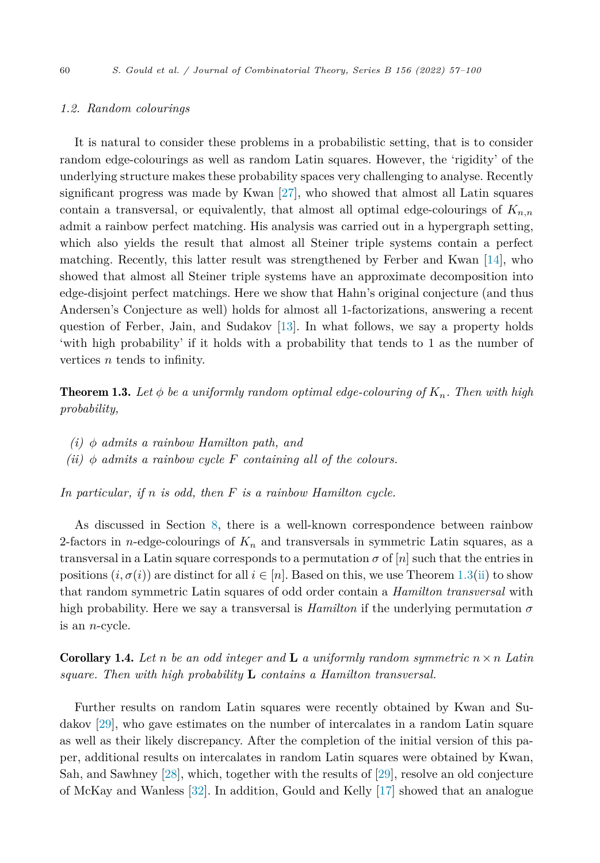#### <span id="page-4-0"></span>*1.2. Random colourings*

It is natural to consider these problems in a probabilistic setting, that is to consider random edge-colourings as well as random Latin squares. However, the 'rigidity' of the underlying structure makes these probability spaces very challenging to analyse. Recently significant progress was made by Kwan [\[27](#page-43-0)], who showed that almost all Latin squares contain a transversal, or equivalently, that almost all optimal edge-colourings of *Kn,n* admit a rainbow perfect matching. His analysis was carried out in a hypergraph setting, which also yields the result that almost all Steiner triple systems contain a perfect matching. Recently, this latter result was strengthened by Ferber and Kwan [\[14](#page-43-0)], who showed that almost all Steiner triple systems have an approximate decomposition into edge-disjoint perfect matchings. Here we show that Hahn's original conjecture (and thus Andersen's Conjecture as well) holds for almost all 1-factorizations, answering a recent question of Ferber, Jain, and Sudakov [\[13](#page-43-0)]. In what follows, we say a property holds 'with high probability' if it holds with a probability that tends to 1 as the number of vertices *n* tends to infinity.

**Theorem 1.3.** Let  $\phi$  be a uniformly random optimal edge-colouring of  $K_n$ . Then with high *probability,*

- *(i) φ admits a rainbow Hamilton path, and*
- $(iii)$   $\phi$  *admits a rainbow cycle*  $F$  *containing all of the colours.*

*In particular, if n is odd, then F is a rainbow Hamilton cycle.*

As discussed in Section [8](#page-41-0), there is a well-known correspondence between rainbow 2-factors in *n*-edge-colourings of  $K_n$  and transversals in symmetric Latin squares, as a transversal in a Latin square corresponds to a permutation  $\sigma$  of  $[n]$  such that the entries in positions  $(i, \sigma(i))$  are distinct for all  $i \in [n]$ . Based on this, we use Theorem 1.3(ii) to show that random symmetric Latin squares of odd order contain a *Hamilton transversal* with high probability. Here we say a transversal is *Hamilton* if the underlying permutation  $\sigma$ is an *n*-cycle.

**Corollary 1.4.** Let *n* be an odd integer and **L** a uniformly random symmetric  $n \times n$  Latin *square. Then with high probability* **L** *contains a Hamilton transversal.*

Further results on random Latin squares were recently obtained by Kwan and Sudakov [\[29\]](#page-43-0), who gave estimates on the number of intercalates in a random Latin square as well as their likely discrepancy. After the completion of the initial version of this paper, additional results on intercalates in random Latin squares were obtained by Kwan, Sah, and Sawhney [\[28\]](#page-43-0), which, together with the results of [\[29](#page-43-0)], resolve an old conjecture of McKay and Wanless [\[32](#page-43-0)]. In addition, Gould and Kelly [\[17](#page-43-0)] showed that an analogue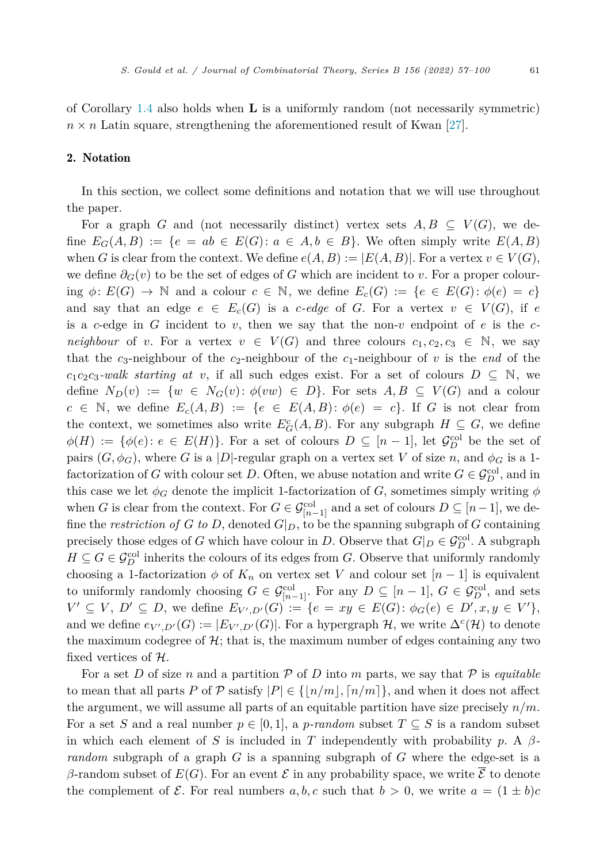of Corollary [1.4](#page-4-0) also holds when **L** is a uniformly random (not necessarily symmetric)  $n \times n$  Latin square, strengthening the aforementioned result of Kwan [\[27](#page-43-0)].

#### 2. Notation

In this section, we collect some definitions and notation that we will use throughout the paper.

For a graph *G* and (not necessarily distinct) vertex sets  $A, B \subseteq V(G)$ , we define  $E_G(A, B) := \{e = ab \in E(G) : a \in A, b \in B\}$ . We often simply write  $E(A, B)$ when *G* is clear from the context. We define  $e(A, B) := |E(A, B)|$ . For a vertex  $v \in V(G)$ , we define  $\partial_G(v)$  to be the set of edges of *G* which are incident to *v*. For a proper colouring  $\phi: E(G) \to \mathbb{N}$  and a colour  $c \in \mathbb{N}$ , we define  $E_c(G) := \{e \in E(G): \phi(e) = c\}$ and say that an edge  $e \in E_c(G)$  is a *c*-edge of *G*. For a vertex  $v \in V(G)$ , if *e* is a *c*-edge in *G* incident to *v*, then we say that the non-*v* endpoint of *e* is the *cneighbour* of *v*. For a vertex  $v \in V(G)$  and three colours  $c_1, c_2, c_3 \in \mathbb{N}$ , we say that the  $c_3$ -neighbour of the  $c_2$ -neighbour of the  $c_1$ -neighbour of v is the *end* of the  $c_1c_2c_3$ -walk *starting at v*, if all such edges exist. For a set of colours  $D \subseteq N$ , we define  $N_D(v) := \{w \in N_G(v): \phi(vw) \in D\}$ . For sets  $A, B \subseteq V(G)$  and a colour  $c \in \mathbb{N}$ , we define  $E_c(A, B) := \{e \in E(A, B) : \phi(e) = c\}$ . If *G* is not clear from the context, we sometimes also write  $E_G^c(A, B)$ . For any subgraph  $H \subseteq G$ , we define  $\phi(H) := \{\phi(e) : e \in E(H)\}.$  For a set of colours  $D \subseteq [n-1]$ , let  $\mathcal{G}_D^{\text{col}}$  be the set of pairs  $(G, \phi_G)$ , where *G* is a |*D*|-regular graph on a vertex set *V* of size *n*, and  $\phi_G$  is a 1factorization of *G* with colour set *D*. Often, we abuse notation and write  $G \in \mathcal{G}_D^{\text{col}}$ , and in this case we let  $\phi_G$  denote the implicit 1-factorization of *G*, sometimes simply writing  $\phi$ when *G* is clear from the context. For  $G \in \mathcal{G}_{[n-1]}^{\text{col}}$  and a set of colours  $D \subseteq [n-1]$ , we define the *restriction* of *G* to *D*, denoted  $G|_D$ , to be the spanning subgraph of *G* containing precisely those edges of *G* which have colour in *D*. Observe that  $G|_D \in \mathcal{G}_D^{\text{col}}$ . A subgraph  $H \subseteq G \in \mathcal{G}_D^{\text{col}}$  inherits the colours of its edges from *G*. Observe that uniformly randomly choosing a 1-factorization  $\phi$  of  $K_n$  on vertex set V and colour set  $[n-1]$  is equivalent to uniformly randomly choosing  $G \in \mathcal{G}_{[n-1]}^{\text{col}}$ . For any  $D \subseteq [n-1]$ ,  $G \in \mathcal{G}_{D}^{\text{col}}$ , and sets  $V' \subseteq V, D' \subseteq D$ , we define  $E_{V',D'}(G) := \{e = xy \in E(G): \phi_G(e) \in D', x, y \in V'\},\$ and we define  $e_{V',D'}(G) := |E_{V',D'}(G)|$ . For a hypergraph  $H$ , we write  $\Delta^c(\mathcal{H})$  to denote the maximum codegree of  $H$ ; that is, the maximum number of edges containing any two fixed vertices of  $H$ .

For a set D of size n and a partition  $P$  of D into m parts, we say that  $P$  is *equitable* to mean that all parts *P* of  $P$  satisfy  $|P| \in \{[n/m], [n/m]\}$ , and when it does not affect the argument, we will assume all parts of an equitable partition have size precisely *n/m*. For a set *S* and a real number  $p \in [0, 1]$ , a *p*-random subset  $T \subseteq S$  is a random subset in which each element of *S* is included in *T* independently with probability *p*. A  $\beta$ *random* subgraph of a graph *G* is a spanning subgraph of *G* where the edge-set is a  $β$ -random subset of  $E(G)$ . For an event  $ε$  in any probability space, we write  $\overline{ε}$  to denote the complement of  $\mathcal{E}$ . For real numbers  $a, b, c$  such that  $b > 0$ , we write  $a = (1 \pm b)c$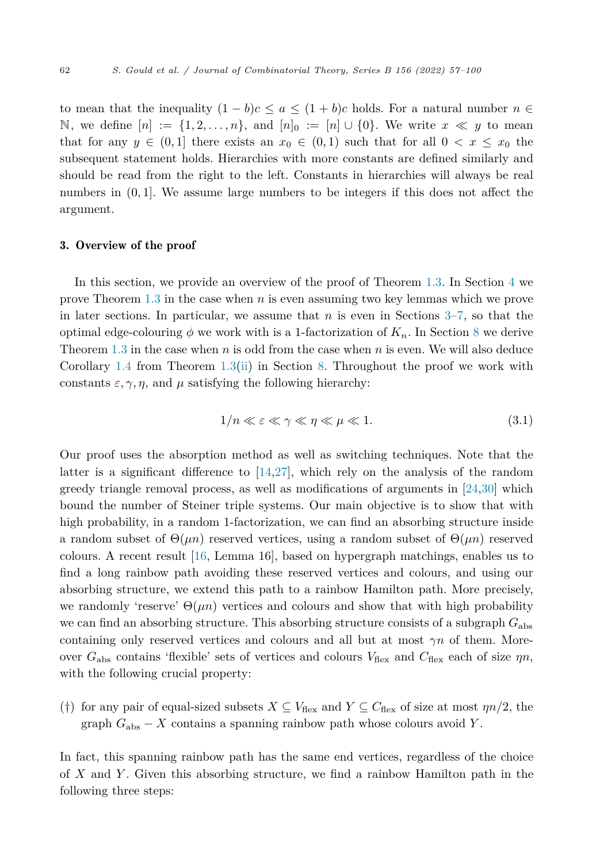<span id="page-6-0"></span>to mean that the inequality  $(1 - b)c \le a \le (1 + b)c$  holds. For a natural number  $n \in$ N, we define  $[n] := \{1, 2, \ldots, n\}$ , and  $[n]_0 := [n] \cup \{0\}$ . We write  $x \ll y$  to mean that for any  $y \in (0,1]$  there exists an  $x_0 \in (0,1)$  such that for all  $0 < x \leq x_0$  the subsequent statement holds. Hierarchies with more constants are defined similarly and should be read from the right to the left. Constants in hierarchies will always be real numbers in (0*,* 1]. We assume large numbers to be integers if this does not affect the argument.

#### 3. Overview of the proof

In this section, we provide an overview of the proof of Theorem [1.3](#page-4-0). In Section [4](#page-9-0) we prove Theorem [1.3](#page-4-0) in the case when *n* is even assuming two key lemmas which we prove in later sections. In particular, we assume that *n* is even in Sections 3–[7,](#page-26-0) so that the optimal edge-colouring  $\phi$  we work with is a 1-factorization of  $K_n$ . In Section [8](#page-41-0) we derive Theorem [1.3](#page-4-0) in the case when *n* is odd from the case when *n* is even. We will also deduce Corollary [1.4](#page-4-0) from Theorem [1.3\(ii\)](#page-4-0) in Section [8](#page-41-0). Throughout the proof we work with constants  $\varepsilon$ ,  $\gamma$ ,  $\eta$ , and  $\mu$  satisfying the following hierarchy:

$$
1/n \ll \varepsilon \ll \gamma \ll \eta \ll \mu \ll 1. \tag{3.1}
$$

Our proof uses the absorption method as well as switching techniques. Note that the latter is a significant difference to [[14,27\]](#page-43-0), which rely on the analysis of the random greedy triangle removal process, as well as modifications of arguments in [[24,30\]](#page-43-0) which bound the number of Steiner triple systems. Our main objective is to show that with high probability, in a random 1-factorization, we can find an absorbing structure inside a random subset of  $\Theta(\mu n)$  reserved vertices, using a random subset of  $\Theta(\mu n)$  reserved colours. A recent result [\[16](#page-43-0), Lemma 16], based on hypergraph matchings, enables us to find a long rainbow path avoiding these reserved vertices and colours, and using our absorbing structure, we extend this path to a rainbow Hamilton path. More precisely, we randomly 'reserve'  $\Theta(\mu n)$  vertices and colours and show that with high probability we can find an absorbing structure. This absorbing structure consists of a subgraph *G*abs containing only reserved vertices and colours and all but at most *γn* of them. Moreover  $G_{\text{abs}}$  contains 'flexible' sets of vertices and colours  $V_{\text{flex}}$  and  $C_{\text{flex}}$  each of size  $\eta n$ , with the following crucial property:

(†) for any pair of equal-sized subsets  $X \subseteq V_{\text{flex}}$  and  $Y \subseteq C_{\text{flex}}$  of size at most  $\eta n/2$ , the graph  $G_{\text{abs}} - X$  contains a spanning rainbow path whose colours avoid *Y*.

In fact, this spanning rainbow path has the same end vertices, regardless of the choice of *X* and *Y* . Given this absorbing structure, we find a rainbow Hamilton path in the following three steps: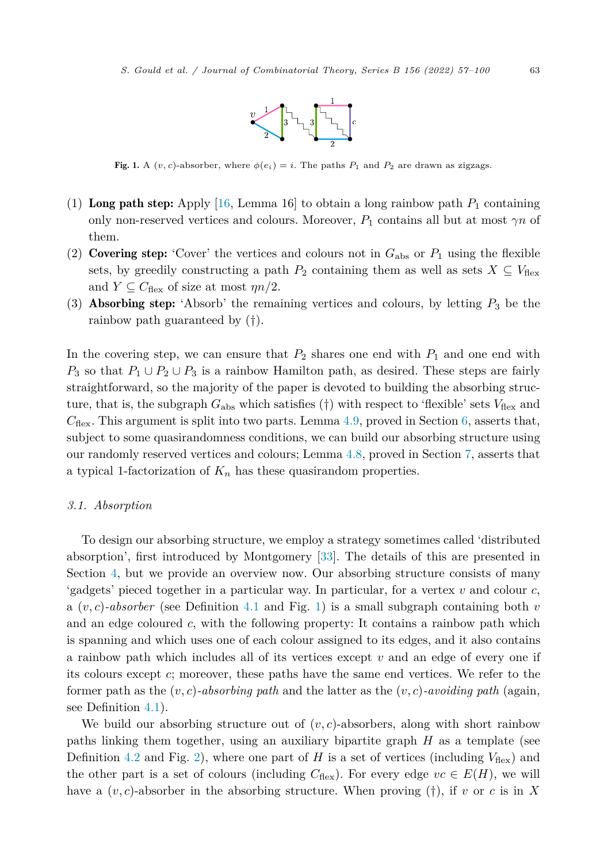

<span id="page-7-0"></span>Fig. 1. A  $(v, c)$ -absorber, where  $\phi(e_i) = i$ . The paths  $P_1$  and  $P_2$  are drawn as zigzags.

- (1) Long path step: Apply [\[16,](#page-43-0) Lemma 16] to obtain a long rainbow path  $P_1$  containing only non-reserved vertices and colours. Moreover,  $P_1$  contains all but at most  $\gamma n$  of them.
- (2) **Covering step:** 'Cover' the vertices and colours not in  $G_{\text{abs}}$  or  $P_1$  using the flexible sets, by greedily constructing a path  $P_2$  containing them as well as sets  $X \subseteq V_{\text{flex}}$ and  $Y \subseteq C_{\text{flex}}$  of size at most  $\eta n/2$ .
- (3) Absorbing step: 'Absorb' the remaining vertices and colours, by letting *P*<sup>3</sup> be the rainbow path guaranteed by (†).

In the covering step, we can ensure that  $P_2$  shares one end with  $P_1$  and one end with *P*<sub>3</sub> so that  $P_1 \cup P_2 \cup P_3$  is a rainbow Hamilton path, as desired. These steps are fairly straightforward, so the majority of the paper is devoted to building the absorbing structure, that is, the subgraph  $G_{\text{abs}}$  which satisfies (†) with respect to 'flexible' sets  $V_{\text{flex}}$  and  $C_{\text{flex}}$ . This argument is split into two parts. Lemma [4.9,](#page-14-0) proved in Section [6,](#page-17-0) asserts that, subject to some quasirandomness conditions, we can build our absorbing structure using our randomly reserved vertices and colours; Lemma [4.8](#page-14-0), proved in Section [7](#page-26-0), asserts that a typical 1-factorization of  $K_n$  has these quasirandom properties.

#### *3.1. Absorption*

To design our absorbing structure, we employ a strategy sometimes called 'distributed absorption', first introduced by Montgomery [\[33](#page-43-0)]. The details of this are presented in Section [4](#page-9-0), but we provide an overview now. Our absorbing structure consists of many 'gadgets' pieced together in a particular way. In particular, for a vertex *v* and colour *c*, a  $(v, c)$ -absorber (see Definition [4.1](#page-9-0) and Fig. 1) is a small subgraph containing both  $v$ and an edge coloured *c*, with the following property: It contains a rainbow path which is spanning and which uses one of each colour assigned to its edges, and it also contains a rainbow path which includes all of its vertices except *v* and an edge of every one if its colours except *c*; moreover, these paths have the same end vertices. We refer to the former path as the  $(v, c)$ -absorbing path and the latter as the  $(v, c)$ -avoiding path (again, see Definition [4.1\)](#page-9-0).

We build our absorbing structure out of  $(v, c)$ -absorbers, along with short rainbow paths linking them together, using an auxiliary bipartite graph *H* as a template (see Definition [4.2](#page-10-0) and Fig. [2](#page-8-0)), where one part of *H* is a set of vertices (including  $V_{\text{flex}}$ ) and the other part is a set of colours (including  $C_{\text{flex}}$ ). For every edge  $vc \in E(H)$ , we will have a  $(v, c)$ -absorber in the absorbing structure. When proving  $(\dagger)$ , if v or c is in X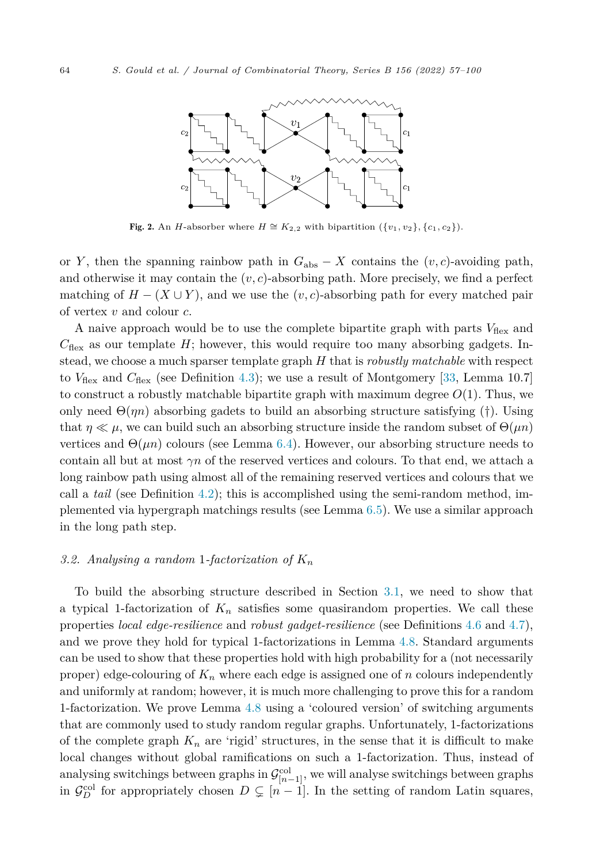<span id="page-8-0"></span>

**Fig. 2.** An *H*-absorber where *H*  $\cong K_{2,2}$  with bipartition  $({v_1, v_2}, {c_1, c_2})$ .

or *Y*, then the spanning rainbow path in  $G_{\text{abs}} - X$  contains the  $(v, c)$ -avoiding path, and otherwise it may contain the  $(v, c)$ -absorbing path. More precisely, we find a perfect matching of  $H - (X \cup Y)$ , and we use the  $(v, c)$ -absorbing path for every matched pair of vertex *v* and colour *c*.

A naive approach would be to use the complete bipartite graph with parts  $V_{\text{flex}}$  and  $C_{\text{flex}}$  as our template  $H$ ; however, this would require too many absorbing gadgets. Instead, we choose a much sparser template graph *H* that is *robustly matchable* with respect to  $V_{\text{flex}}$  and  $C_{\text{flex}}$  (see Definition [4.3](#page-11-0)); we use a result of Montgomery [[33,](#page-43-0) Lemma 10.7] to construct a robustly matchable bipartite graph with maximum degree  $O(1)$ . Thus, we only need  $\Theta(\eta n)$  absorbing gadets to build an absorbing structure satisfying (†). Using that  $\eta \ll \mu$ , we can build such an absorbing structure inside the random subset of  $\Theta(\mu n)$ vertices and  $\Theta(\mu n)$  colours (see Lemma [6.4\)](#page-21-0). However, our absorbing structure needs to contain all but at most  $\gamma n$  of the reserved vertices and colours. To that end, we attach a long rainbow path using almost all of the remaining reserved vertices and colours that we call a *tail* (see Definition [4.2](#page-10-0)); this is accomplished using the semi-random method, implemented via hypergraph matchings results (see Lemma [6.5](#page-23-0)). We use a similar approach in the long path step.

#### *3.2. Analysing a random* 1*-factorization of K<sup>n</sup>*

To build the absorbing structure described in Section [3.1,](#page-7-0) we need to show that a typical 1-factorization of  $K_n$  satisfies some quasirandom properties. We call these properties *local edge-resilience* and *robust gadget-resilience* (see Definitions [4.6](#page-13-0) and [4.7\)](#page-13-0), and we prove they hold for typical 1-factorizations in Lemma [4.8](#page-14-0). Standard arguments can be used to show that these properties hold with high probability for a (not necessarily proper) edge-colouring of  $K_n$  where each edge is assigned one of  $n$  colours independently and uniformly at random; however, it is much more challenging to prove this for a random 1-factorization. We prove Lemma [4.8](#page-14-0) using a 'coloured version' of switching arguments that are commonly used to study random regular graphs. Unfortunately, 1-factorizations of the complete graph  $K_n$  are 'rigid' structures, in the sense that it is difficult to make local changes without global ramifications on such a 1-factorization. Thus, instead of analysing switchings between graphs in  $\mathcal{G}_{[n-1]}^{\text{col}}$ , we will analyse switchings between graphs in  $\mathcal{G}_D^{\text{col}}$  for appropriately chosen  $D \subsetneq [n-1]$ . In the setting of random Latin squares,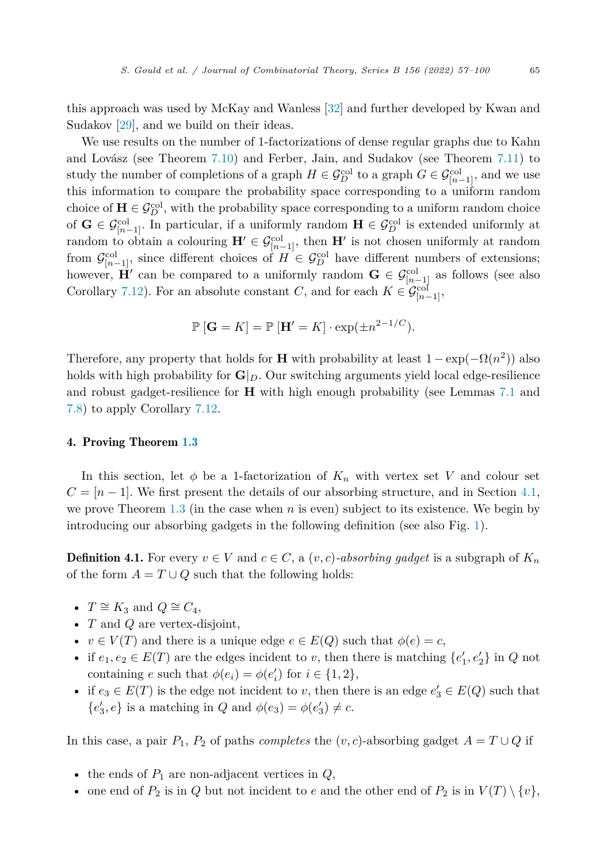<span id="page-9-0"></span>this approach was used by McKay and Wanless [\[32](#page-43-0)] and further developed by Kwan and Sudakov [\[29](#page-43-0)], and we build on their ideas.

We use results on the number of 1-factorizations of dense regular graphs due to Kahn and Lovász (see Theorem [7.10](#page-39-0)) and Ferber, Jain, and Sudakov (see Theorem [7.11](#page-39-0)) to study the number of completions of a graph  $H \in \mathcal{G}_D^{\text{col}}$  to a graph  $G \in \mathcal{G}_{[n-1]}^{\text{col}}$ , and we use this information to compare the probability space corresponding to a uniform random choice of  $\mathbf{H} \in \mathcal{G}_{D}^{\text{col}}$ , with the probability space corresponding to a uniform random choice of **G** ∈  $\mathcal{G}_{[n-1]}^{col}$ . In particular, if a uniformly random **H** ∈  $\mathcal{G}_{D}^{col}$  is extended uniformly at random to obtain a colouring  $\mathbf{H}' \in \mathcal{G}_{[n-1]}^{\text{col}}$ , then  $\mathbf{H}'$  is not chosen uniformly at random from  $\mathcal{G}_{[n-1]}^{\text{col}}$ , since different choices of  $H \in \mathcal{G}_D^{\text{col}}$  have different numbers of extensions; however, **H**<sup> $\prime$ </sup> can be compared to a uniformly random  $\mathbf{G} \in \mathcal{G}_{[n-1]}^{\text{col}}$  as follows (see also Corollary [7.12](#page-39-0)). For an absolute constant *C*, and for each  $K \in \mathcal{G}_{[n-1]}^{\text{col}},$ 

$$
\mathbb{P}\left[\mathbf{G} = K\right] = \mathbb{P}\left[\mathbf{H}' = K\right] \cdot \exp(\pm n^{2-1/C}).
$$

Therefore, any property that holds for **H** with probability at least  $1 - \exp(-\Omega(n^2))$  also holds with high probability for  $\mathbf{G}|_D$ . Our switching arguments yield local edge-resilience and robust gadget-resilience for **H** with high enough probability (see Lemmas [7.1](#page-27-0) and [7.8](#page-31-0)) to apply Corollary [7.12](#page-39-0).

#### 4. Proving Theorem [1.3](#page-4-0)

In this section, let  $\phi$  be a 1-factorization of  $K_n$  with vertex set V and colour set  $C = [n-1]$ . We first present the details of our absorbing structure, and in Section [4.1](#page-13-0), we prove Theorem  $1.3$  (in the case when  $n$  is even) subject to its existence. We begin by introducing our absorbing gadgets in the following definition (see also Fig. [1](#page-7-0)).

**Definition 4.1.** For every  $v \in V$  and  $c \in C$ , a  $(v, c)$ *-absorbing gadget* is a subgraph of  $K_n$ of the form  $A = T \cup Q$  such that the following holds:

- $T \cong K_3$  and  $Q \cong C_4$ ,
- *T* and *Q* are vertex-disjoint,
- $v \in V(T)$  and there is a unique edge  $e \in E(Q)$  such that  $\phi(e) = c$ ,
- if  $e_1, e_2 \in E(T)$  are the edges incident to *v*, then there is matching  $\{e'_1, e'_2\}$  in *Q* not containing *e* such that  $\phi(e_i) = \phi(e'_i)$  for  $i \in \{1, 2\},$
- if  $e_3 \in E(T)$  is the edge not incident to *v*, then there is an edge  $e'_3 \in E(Q)$  such that  ${e'_3, e}$  is a matching in *Q* and  $\phi(e_3) = \phi(e'_3) \neq c$ .

In this case, a pair  $P_1$ ,  $P_2$  of paths *completes* the  $(v, c)$ -absorbing gadget  $A = T \cup Q$  if

- the ends of  $P_1$  are non-adjacent vertices in  $Q$ ,
- one end of  $P_2$  is in  $Q$  but not incident to  $e$  and the other end of  $P_2$  is in  $V(T) \setminus \{v\}$ ,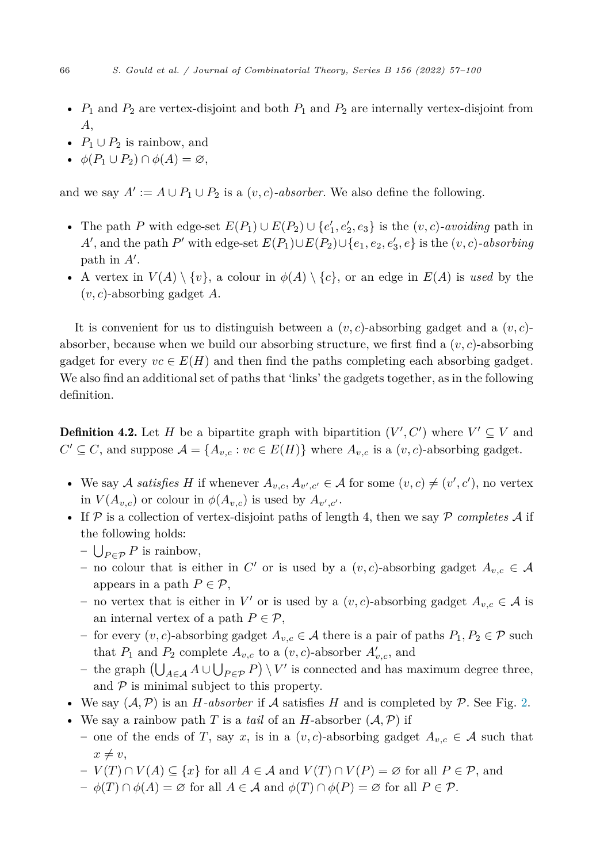- <span id="page-10-0"></span>• *P*<sup>1</sup> and *P*<sup>2</sup> are vertex-disjoint and both *P*<sup>1</sup> and *P*<sup>2</sup> are internally vertex-disjoint from *A*,
- $P_1 \cup P_2$  is rainbow, and
- $\phi(P_1 \cup P_2) \cap \phi(A) = \varnothing$ ,

and we say  $A' := A \cup P_1 \cup P_2$  is a  $(v, c)$ *-absorber*. We also define the following.

- The path *P* with edge-set  $E(P_1) \cup E(P_2) \cup \{e'_1, e'_2, e_3\}$  is the  $(v, c)$ *-avoiding* path in  $A'$ , and the path  $P'$  with edge-set  $E(P_1) \cup E(P_2) \cup \{e_1, e_2, e'_3, e\}$  is the  $(v, c)$ -absorbing path in  $A'$ .
- A vertex in  $V(A) \setminus \{v\}$ , a colour in  $\phi(A) \setminus \{c\}$ , or an edge in  $E(A)$  is used by the (*v, c*)-absorbing gadget *A*.

It is convenient for us to distinguish between a  $(v, c)$ -absorbing gadget and a  $(v, c)$ absorber, because when we build our absorbing structure, we first find a  $(v, c)$ -absorbing gadget for every  $vc \in E(H)$  and then find the paths completing each absorbing gadget. We also find an additional set of paths that 'links' the gadgets together, as in the following definition.

**Definition 4.2.** Let *H* be a bipartite graph with bipartition  $(V', C')$  where  $V' \subseteq V$  and  $C' \subseteq C$ , and suppose  $\mathcal{A} = \{A_{v,c} : vc \in E(H)\}\$  where  $A_{v,c}$  is a  $(v, c)$ -absorbing gadget.

- We say A *satisfies* H if whenever  $A_{v,c}, A_{v',c'} \in A$  for some  $(v, c) \neq (v', c')$ , no vertex in  $V(A_{v,c})$  or colour in  $\phi(A_{v,c})$  is used by  $A_{v',c'}.$
- If  $P$  is a collection of vertex-disjoint paths of length 4, then we say  $P$  *completes*  $\mathcal A$  if the following holds:
	- $\bigcup_{P \in \mathcal{P}} P$  is rainbow,
	- $-$  no colour that is either in *C*<sup> $\prime$ </sup> or is used by a  $(v, c)$ -absorbing gadget  $A_{v, c} \in \mathcal{A}$ appears in a path  $P \in \mathcal{P}$ ,
	- $-$  no vertex that is either in *V'* or is used by a  $(v, c)$ -absorbing gadget  $A_{v, c} \in A$  is an internal vertex of a path  $P \in \mathcal{P}$ ,
	- for every  $(v, c)$ -absorbing gadget  $A_{v, c}$  ∈ A there is a pair of paths  $P_1, P_2$  ∈  $\mathcal P$  such that  $P_1$  and  $P_2$  complete  $A_{v,c}$  to a  $(v,c)$ -absorber  $A'_{v,c}$ , and
	- *–* the graph  $(\bigcup_{A\in\mathcal{A}} A \cup \bigcup_{P\in\mathcal{P}} P) \setminus V'$  is connected and has maximum degree three, and  $P$  is minimal subject to this property.
- We say  $(A, \mathcal{P})$  is an *H-absorber* if *A* satisfies *H* and is completed by  $\mathcal{P}$ . See Fig. [2.](#page-8-0)
- We say a rainbow path *T* is a *tail* of an *H*-absorber  $(A, P)$  if
	- one of the ends of *T*, say *x*, is in a  $(v, c)$ -absorbing gadget  $A_{v, c} \in A$  such that  $x \neq v$ ,
	- *V* (*T*) ∩ *V* (*A*) ⊆ {*x*} for all *A* ∈ A and *V* (*T*) ∩ *V* (*P*) = ∅ for all *P* ∈ P, and
	- $-\phi(T) \cap \phi(A) = \varnothing$  for all  $A \in \mathcal{A}$  and  $\phi(T) \cap \phi(P) = \varnothing$  for all  $P \in \mathcal{P}$ .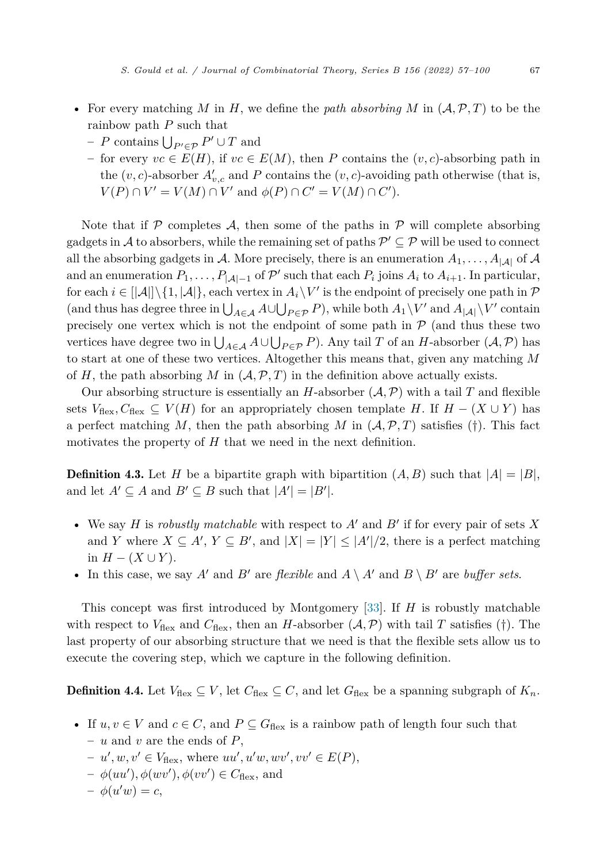- <span id="page-11-0"></span>• For every matching M in H, we define the *path* absorbing M in  $(A, \mathcal{P}, T)$  to be the rainbow path *P* such that
	- $-P$  contains  $\bigcup_{P' \in \mathcal{P}} P' \cup T$  and
	- for every *vc* ∈ *E*(*H*), if *vc* ∈ *E*(*M*), then *P* contains the (*v*, *c*)-absorbing path in the  $(v, c)$ -absorber  $A'_{v, c}$  and P contains the  $(v, c)$ -avoiding path otherwise (that is,  $V(P) \cap V' = V(M) \cap V'$  and  $\phi(P) \cap C' = V(M) \cap C'$ .

Note that if  $P$  completes  $A$ , then some of the paths in  $P$  will complete absorbing gadgets in  $A$  to absorbers, while the remaining set of paths  $P' \subseteq P$  will be used to connect all the absorbing gadgets in A. More precisely, there is an enumeration  $A_1, \ldots, A_{|\mathcal{A}|}$  of A and an enumeration  $P_1, \ldots, P_{|\mathcal{A}|-1}$  of  $\mathcal{P}'$  such that each  $P_i$  joins  $A_i$  to  $A_{i+1}$ . In particular, for each  $i \in [|\mathcal{A}|] \setminus \{1, |\mathcal{A}|\}$ , each vertex in  $A_i \setminus V'$  is the endpoint of precisely one path in  $\mathcal{P}$  $(\text{and thus has degree three in } \bigcup_{A \in \mathcal{A}} A \cup \bigcup_{P \in \mathcal{P}} P)$ , while both  $A_1 \setminus V'$  and  $A_{|\mathcal{A}|} \setminus V'$  contain precisely one vertex which is not the endpoint of some path in  $P$  (and thus these two vertices have degree two in  $\bigcup_{A \in \mathcal{A}} A \cup \bigcup_{P \in \mathcal{P}} P$ ). Any tail *T* of an *H*-absorber  $(\mathcal{A}, \mathcal{P})$  has to start at one of these two vertices. Altogether this means that, given any matching *M* of  $H$ , the path absorbing  $M$  in  $(A, \mathcal{P}, T)$  in the definition above actually exists.

Our absorbing structure is essentially an *H*-absorber  $(A, \mathcal{P})$  with a tail *T* and flexible sets  $V_{\text{flex}}$ ,  $C_{\text{flex}} \subseteq V(H)$  for an appropriately chosen template *H*. If  $H - (X \cup Y)$  has a perfect matching *M*, then the path absorbing *M* in  $(A, \mathcal{P}, T)$  satisfies (†). This fact motivates the property of *H* that we need in the next definition.

**Definition 4.3.** Let *H* be a bipartite graph with bipartition  $(A, B)$  such that  $|A| = |B|$ , and let  $A' \subseteq A$  and  $B' \subseteq B$  such that  $|A'| = |B'|$ .

- We say *H* is *robustly matchable* with respect to  $A'$  and  $B'$  if for every pair of sets X and *Y* where  $X \subseteq A'$ ,  $Y \subseteq B'$ , and  $|X| = |Y| \leq |A'|/2$ , there is a perfect matching in  $H - (X ∪ Y)$ .
- In this case, we say *A*<sup> $\prime$ </sup> and *B*<sup> $\prime$ </sup> are *flexible* and *A* \ *A*<sup> $\prime$ </sup> and *B* \ *B*<sup> $\prime$ </sup> are *buffer sets*.

This concept was first introduced by Montgomery [\[33](#page-43-0)]. If *H* is robustly matchable with respect to  $V_{\text{flex}}$  and  $C_{\text{flex}}$ , then an *H*-absorber  $(\mathcal{A}, \mathcal{P})$  with tail *T* satisfies (†). The last property of our absorbing structure that we need is that the flexible sets allow us to execute the covering step, which we capture in the following definition.

**Definition 4.4.** Let  $V_{\text{flex}} \subseteq V$ , let  $C_{\text{flex}} \subseteq C$ , and let  $G_{\text{flex}}$  be a spanning subgraph of  $K_n$ .

- If  $u, v \in V$  and  $c \in C$ , and  $P \subseteq G_{\text{flex}}$  is a rainbow path of length four such that – *u* and *v* are the ends of *P*,
	- $v' = u', w, v' \in V_{\text{flex}}, \text{ where } uu', u'w, w'v', vv' \in E(P),$
	- $\phi(uu'), \phi(wv'), \phi(vv') \in C_{\text{flex}}, \text{ and}$
	- $-\phi(u'w) = c,$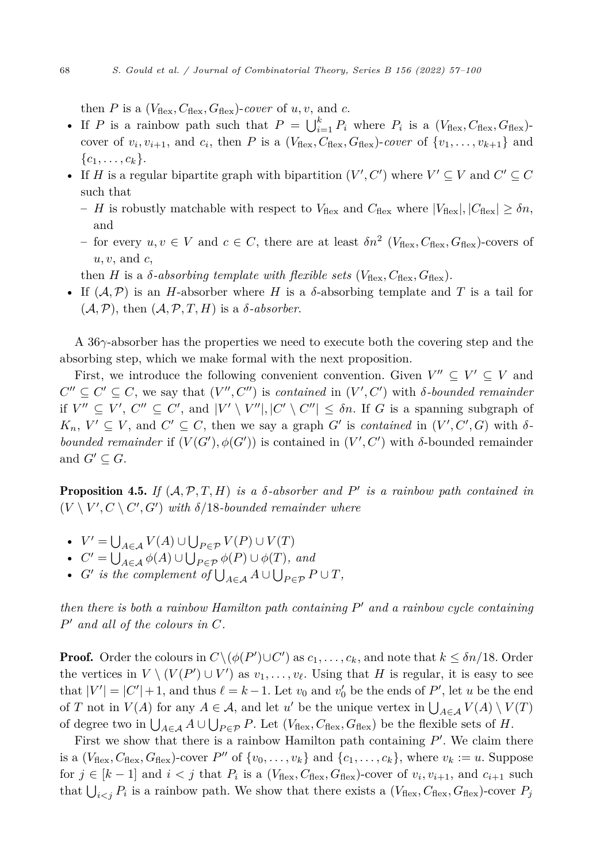<span id="page-12-0"></span>then *P* is a  $(V_{\text{flex}}, C_{\text{flex}}, G_{\text{flex}})$ -cover of *u, v,* and *c*.

- If *P* is a rainbow path such that  $P = \bigcup_{i=1}^{k} P_i$  where  $P_i$  is a  $(V_{\text{flex}}, C_{\text{flex}}, G_{\text{flex}})$ cover of  $v_i, v_{i+1}$ , and  $c_i$ , then *P* is a ( $V_{\text{flex}}, C_{\text{flex}}, G_{\text{flex}}$ )-cover of  $\{v_1, \ldots, v_{k+1}\}\$ and  $\{c_1, \ldots, c_k\}.$
- If *H* is a regular bipartite graph with bipartition  $(V', C')$  where  $V' \subseteq V$  and  $C' \subseteq C$ such that
	- *H* is robustly matchable with respect to  $V_{\text{flex}}$  and  $C_{\text{flex}}$  where  $|V_{\text{flex}}|, |C_{\text{flex}}| \geq \delta n$ , and
	- for every  $u, v \in V$  and  $c \in C$ , there are at least  $\delta n^2$  ( $V_{\text{flex}}$ ,  $C_{\text{flex}}$ ,  $G_{\text{flex}}$ )-covers of *u, v*, and *c*,
	- then *H* is a *δ*-*absorbing template with flexible sets* ( $V_{\text{flex}}, C_{\text{flex}}, G_{\text{flex}}$ ).
- If (A*,*P) is an *H*-absorber where *H* is a *δ*-absorbing template and *T* is a tail for  $(A, P)$ , then  $(A, P, T, H)$  is a *δ*-*absorber*.

A 36*γ*-absorber has the properties we need to execute both the covering step and the absorbing step, which we make formal with the next proposition.

First, we introduce the following convenient convention. Given  $V'' \subseteq V' \subseteq V$  and  $C'' \subseteq C' \subseteq C$ , we say that  $(V'', C'')$  is *contained* in  $(V', C')$  with *δ-bounded remainder* if  $V'' \subseteq V'$ ,  $C'' \subseteq C'$ , and  $|V' \setminus V''|, |C' \setminus C''| \le \delta n$ . If *G* is a spanning subgraph of  $K_n$ ,  $V' \subseteq V$ , and  $C' \subseteq C$ , then we say a graph  $G'$  is *contained* in  $(V', C', G)$  with  $\delta$ *bounded remainder* if  $(V(G'), \phi(G'))$  is contained in  $(V', C')$  with *δ*-bounded remainder and  $G' \subseteq G$ .

**Proposition 4.5.** *If*  $(A, P, T, H)$  *is a δ-absorber and*  $P'$  *is a rainbow path contained in*  $(V \setminus V', C \setminus C', G')$  with  $\delta/18$ -bounded remainder where

- $V' = \bigcup_{A \in \mathcal{A}} V(A) \cup \bigcup_{P \in \mathcal{P}} V(P) \cup V(T)$
- $C' = \bigcup_{A \in \mathcal{A}} \phi(A) \cup \bigcup_{P \in \mathcal{P}} \phi(P) \cup \phi(T)$ *, and*
- *G*<sup> $\prime$ </sup> *is the complement of*  $\bigcup_{A \in \mathcal{A}} A \cup \bigcup_{P \in \mathcal{P}} P \cup T$ ,

*then there is both a rainbow Hamilton path containing P*- *and a rainbow cycle containing P*- *and all of the colours in C.*

**Proof.** Order the colours in  $C \setminus (\phi(P') \cup C')$  as  $c_1, \ldots, c_k$ , and note that  $k \leq \delta n/18$ . Order the vertices in  $V \setminus (V(P') \cup V')$  as  $v_1, \ldots, v_\ell$ . Using that *H* is regular, it is easy to see that  $|V'| = |C'| + 1$ , and thus  $\ell = k - 1$ . Let  $v_0$  and  $v'_0$  be the ends of  $P'$ , let *u* be the end of *T* not in  $V(A)$  for any  $A \in \mathcal{A}$ , and let  $u'$  be the unique vertex in  $\bigcup_{A \in \mathcal{A}} V(A) \setminus V(T)$ of degree two in  $\bigcup_{A \in \mathcal{A}} A \cup \bigcup_{P \in \mathcal{P}} P$ . Let  $(V_{\text{flex}}, C_{\text{flex}}, G_{\text{flex}})$  be the flexible sets of *H*.

First we show that there is a rainbow Hamilton path containing P'. We claim there is a  $(V_{\text{flex}}, C_{\text{flex}}, G_{\text{flex}})$ -cover P'' of  $\{v_0, \ldots, v_k\}$  and  $\{c_1, \ldots, c_k\}$ , where  $v_k := u$ . Suppose for  $j \in [k-1]$  and  $i < j$  that  $P_i$  is a  $(V_{\text{flex}}, C_{\text{flex}}, G_{\text{flex}})$ -cover of  $v_i, v_{i+1}$ , and  $c_{i+1}$  such that  $\bigcup_{i < j} P_i$  is a rainbow path. We show that there exists a  $(V_{\text{flex}}, C_{\text{flex}}, G_{\text{flex}})$ -cover  $P_j$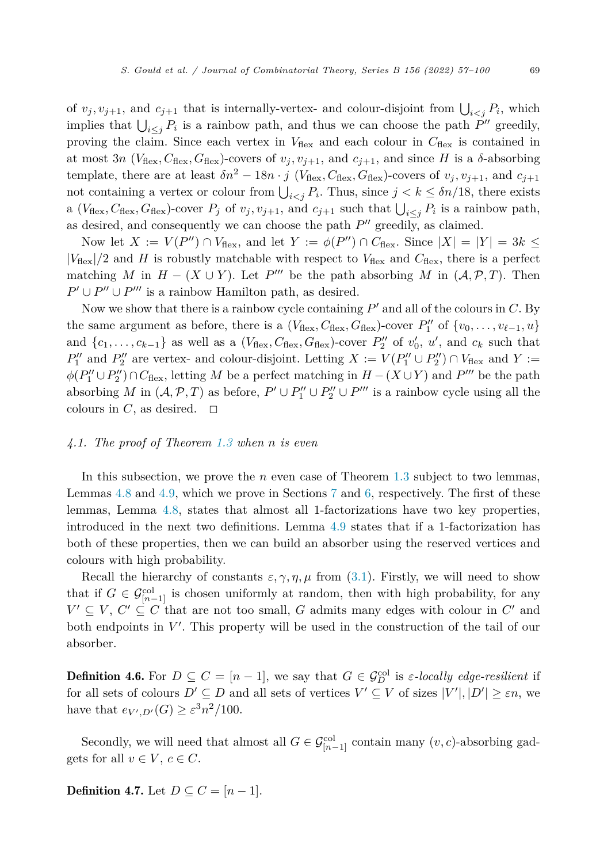<span id="page-13-0"></span>of  $v_j, v_{j+1}$ , and  $c_{j+1}$  that is internally-vertex- and colour-disjoint from  $\bigcup_{i < j} P_i$ , which implies that  $\bigcup_{i \leq j} P_i$  is a rainbow path, and thus we can choose the path *P*<sup> $\prime\prime$ </sup> greedily, proving the claim. Since each vertex in  $V_{\text{flex}}$  and each colour in  $C_{\text{flex}}$  is contained in at most 3*n* ( $V_{\text{flex}}, C_{\text{flex}}, G_{\text{flex}}$ )-covers of  $v_j, v_{j+1}$ , and  $c_{j+1}$ , and since *H* is a  $\delta$ -absorbing template, there are at least  $\delta n^2 - 18n \cdot j$  ( $V_{\text{flex}}, C_{\text{flex}}, G_{\text{flex}}$ )-covers of  $v_j, v_{j+1}$ , and  $c_{j+1}$ not containing a vertex or colour from  $\bigcup_{i < j} P_i$ . Thus, since  $j < k \leq \delta n/18$ , there exists a ( $V_{\text{flex}}, C_{\text{flex}}, G_{\text{flex}}$ )-cover  $P_j$  of  $v_j, v_{j+1}$ , and  $c_{j+1}$  such that  $\bigcup_{i \leq j} P_i$  is a rainbow path, as desired, and consequently we can choose the path  $P''$  greedily, as claimed.

Now let  $X := V(P'') \cap V_{\text{flex}}$ , and let  $Y := \phi(P'') \cap C_{\text{flex}}$ . Since  $|X| = |Y| = 3k \le$  $|V_{\text{flex}}|/2$  and *H* is robustly matchable with respect to  $V_{\text{flex}}$  and  $C_{\text{flex}}$ , there is a perfect matching *M* in  $H - (X \cup Y)$ . Let *P*<sup>*m*</sup> be the path absorbing *M* in  $(A, \mathcal{P}, T)$ . Then  $P' \cup P'' \cup P'''$  is a rainbow Hamilton path, as desired.

Now we show that there is a rainbow cycle containing  $P'$  and all of the colours in *C*. By the same argument as before, there is a  $(V_{\text{flex}}, C_{\text{flex}}, G_{\text{flex}})$ -cover  $P''_1$  of  $\{v_0, \ldots, v_{\ell-1}, u\}$ and  $\{c_1, \ldots, c_{k-1}\}\$ as well as a  $(V_{\text{flex}}, C_{\text{flex}}, G_{\text{flex}})$ -cover  $P''_2$  of  $v'_0$ ,  $u'$ , and  $c_k$  such that  $P''_1$  and  $P''_2$  are vertex- and colour-disjoint. Letting  $X := V(P''_1 \cup P''_2) \cap V_{\text{flex}}$  and  $Y :=$  $\phi(P''_1 \cup P''_2) \cap C_{\text{flex}}$ , letting *M* be a perfect matching in  $H - (X \cup Y)$  and *P*<sup>'''</sup> be the path absorbing *M* in  $(A, \mathcal{P}, T)$  as before,  $P' \cup P''_1 \cup P''_2 \cup P'''$  is a rainbow cycle using all the colours in *C*, as desired.  $\Box$ 

#### *4.1. The proof of Theorem [1.3](#page-4-0) when n is even*

In this subsection, we prove the *n* even case of Theorem [1.3](#page-4-0) subject to two lemmas, Lemmas [4.8](#page-14-0) and [4.9,](#page-14-0) which we prove in Sections [7](#page-26-0) and [6](#page-17-0), respectively. The first of these lemmas, Lemma [4.8,](#page-14-0) states that almost all 1-factorizations have two key properties, introduced in the next two definitions. Lemma [4.9](#page-14-0) states that if a 1-factorization has both of these properties, then we can build an absorber using the reserved vertices and colours with high probability.

Recall the hierarchy of constants  $\varepsilon$ ,  $\gamma$ ,  $\eta$ ,  $\mu$  from [\(3.1](#page-6-0)). Firstly, we will need to show that if  $G \in \mathcal{G}_{[n-1]}^{\text{col}}$  is chosen uniformly at random, then with high probability, for any  $V' \subseteq V$ ,  $C' \subseteq C$  that are not too small, *G* admits many edges with colour in  $C'$  and both endpoints in  $V'$ . This property will be used in the construction of the tail of our absorber.

**Definition 4.6.** For  $D \subseteq C = [n-1]$ , we say that  $G \in \mathcal{G}_D^{\text{col}}$  is *ε-locally edge-resilient* if for all sets of colours  $D' \subseteq D$  and all sets of vertices  $V' \subseteq V$  of sizes  $|V'|, |D'| \ge \varepsilon n$ , we have that  $e_{V',D'}(G) \geq \varepsilon^3 n^2/100$ .

Secondly, we will need that almost all  $G \in \mathcal{G}_{[n-1]}^{col}$  contain many  $(v, c)$ -absorbing gadgets for all  $v \in V$ ,  $c \in C$ .

**Definition 4.7.** Let  $D \subseteq C = [n-1]$ .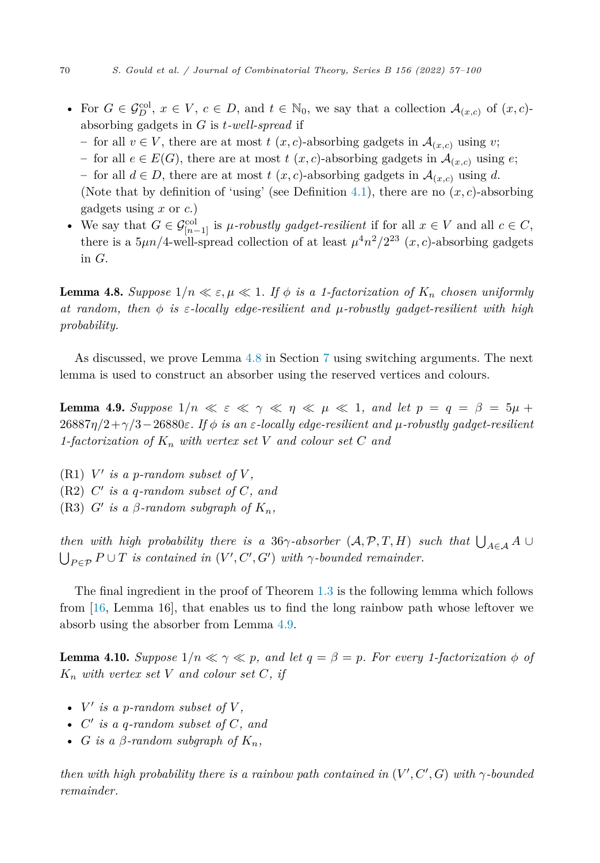- <span id="page-14-0"></span>• For  $G \in \mathcal{G}_D^{\text{col}}, x \in V, c \in D$ , and  $t \in \mathbb{N}_0$ , we say that a collection  $\mathcal{A}_{(x,c)}$  of  $(x,c)$ absorbing gadgets in *G* is *t-well-spread* if
	- − for all  $v \in V$ , there are at most  $t(x, c)$ -absorbing gadgets in  $\mathcal{A}_{(x, c)}$  using *v*;
	- for all *e* ∈ *E*(*G*), there are at most *t* (*x, c*)-absorbing gadgets in  $\mathcal{A}_{(x,c)}$  using *e*;

– for all *d* ∈ *D*, there are at most *t* (*x, c*)-absorbing gadgets in  $\mathcal{A}_{(x,c)}$  using *d*. (Note that by definition of 'using' (see Definition [4.1\)](#page-9-0), there are no  $(x, c)$ -absorbing gadgets using *x* or *c*.)

• We say that  $G \in \mathcal{G}_{[n-1]}^{col}$  is *μ-robustly gadget-resilient* if for all  $x \in V$  and all  $c \in C$ , there is a  $5\mu n/4$ -well-spread collection of at least  $\mu^4 n^2/2^{23}$  (*x, c*)-absorbing gadgets in *G*.

**Lemma 4.8.** Suppose  $1/n \ll \varepsilon, \mu \ll 1$ . If  $\phi$  is a 1-factorization of  $K_n$  chosen uniformly *at random, then φ is ε-locally edge-resilient and μ-robustly gadget-resilient with high probability.*

As discussed, we prove Lemma 4.8 in Section [7](#page-26-0) using switching arguments. The next lemma is used to construct an absorber using the reserved vertices and colours.

**Lemma 4.9.** Suppose  $1/n \ll \varepsilon \ll \gamma \ll \eta \ll \mu \ll 1$ , and let  $p = q = \beta = 5\mu + \frac{1}{2}$ 26887*η/*2+*γ/*3−26880*ε. If φ is an ε-locally edge-resilient and μ-robustly gadget-resilient 1-factorization of K<sup>n</sup> with vertex set V and colour set C and*

 $(R1)$  *V'* is a *p*-random subset of *V*,

- $(R2)$   $C'$  *is*  $a$   $q$ *-random subset* of  $C$ *,* and
- $(R3)$  *G*<sup> $\prime$ </sup> *is a β*-random subgraph of  $K_n$ ,

*then with high probability there is a* 36*γ-absorber* (*A,*  $P$ *,*  $T$ *,*  $H$ *) such that*  $\bigcup_{A \in \mathcal{A}} A \cup$  $\bigcup_{P \in \mathcal{P}} P \cup T$  *is contained in*  $(V', C', G')$  *with*  $\gamma$ -bounded remainder.

The final ingredient in the proof of Theorem [1.3](#page-4-0) is the following lemma which follows from [[16,](#page-43-0) Lemma 16], that enables us to find the long rainbow path whose leftover we absorb using the absorber from Lemma 4.9.

**Lemma 4.10.** Suppose  $1/n \ll \gamma \ll p$ , and let  $q = \beta = p$ . For every 1-factorization  $\phi$  of *K<sup>n</sup> with vertex set V and colour set C, if*

- $V'$  *is a p-random subset of*  $V$ *,*
- $C'$  *is* a *q*-random subset of  $C$ , and
- *G is a*  $\beta$ -random subgraph of  $K_n$ ,

then with high probability there is a rainbow path contained in  $(V', C', G)$  with  $\gamma$ -bounded *remainder.*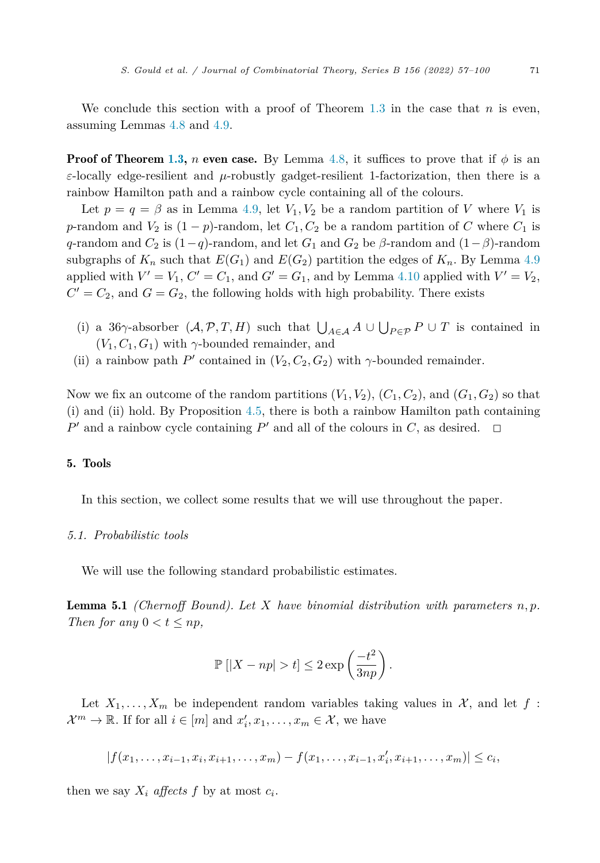<span id="page-15-0"></span>We conclude this section with a proof of Theorem [1.3](#page-4-0) in the case that *n* is even, assuming Lemmas [4.8](#page-14-0) and [4.9.](#page-14-0)

**Proof of Theorem [1.3](#page-4-0),** *n* **even case.** By Lemma [4.8](#page-14-0), it suffices to prove that if  $\phi$  is an *ε*-locally edge-resilient and *μ*-robustly gadget-resilient 1-factorization, then there is a rainbow Hamilton path and a rainbow cycle containing all of the colours.

Let  $p = q = \beta$  as in Lemma [4.9](#page-14-0), let  $V_1, V_2$  be a random partition of *V* where  $V_1$  is *p*-random and  $V_2$  is  $(1 - p)$ -random, let  $C_1, C_2$  be a random partition of *C* where  $C_1$  is *q*-random and  $C_2$  is (1−*q*)-random, and let  $G_1$  and  $G_2$  be  $\beta$ -random and (1− $\beta$ )-random subgraphs of  $K_n$  such that  $E(G_1)$  and  $E(G_2)$  partition the edges of  $K_n$ . By Lemma [4.9](#page-14-0) applied with  $V' = V_1$ ,  $C' = C_1$ , and  $G' = G_1$ , and by Lemma [4.10](#page-14-0) applied with  $V' = V_2$ ,  $C' = C_2$ , and  $G = G_2$ , the following holds with high probability. There exists

- (i) a 36 $\gamma$ -absorber  $(\mathcal{A}, \mathcal{P}, T, H)$  such that  $\bigcup_{A \in \mathcal{A}} A \cup \bigcup_{P \in \mathcal{P}} P \cup T$  is contained in  $(V_1, C_1, G_1)$  with  $\gamma$ -bounded remainder, and
- (ii) a rainbow path  $P'$  contained in  $(V_2, C_2, G_2)$  with  $\gamma$ -bounded remainder.

Now we fix an outcome of the random partitions  $(V_1, V_2)$ ,  $(C_1, C_2)$ , and  $(G_1, G_2)$  so that (i) and (ii) hold. By Proposition [4.5,](#page-12-0) there is both a rainbow Hamilton path containing  $P'$  and a rainbow cycle containing  $P'$  and all of the colours in  $C$ , as desired.  $\Box$ 

#### 5. Tools

In this section, we collect some results that we will use throughout the paper.

#### *5.1. Probabilistic tools*

We will use the following standard probabilistic estimates.

Lemma 5.1 *(Chernoff Bound). Let X have binomial distribution with parameters n, p. Then for any*  $0 < t \leq np$ *,* 

$$
\mathbb{P}\left[|X - np| > t\right] \leq 2 \exp\left(\frac{-t^2}{3np}\right).
$$

Let  $X_1, \ldots, X_m$  be independent random variables taking values in X, and let f :  $\mathcal{X}^m \to \mathbb{R}$ . If for all  $i \in [m]$  and  $x'_i, x_1, \ldots, x_m \in \mathcal{X}$ , we have

$$
|f(x_1,\ldots,x_{i-1},x_i,x_{i+1},\ldots,x_m)-f(x_1,\ldots,x_{i-1},x_i',x_{i+1},\ldots,x_m)|\leq c_i,
$$

then we say  $X_i$  *affects*  $f$  by at most  $c_i$ .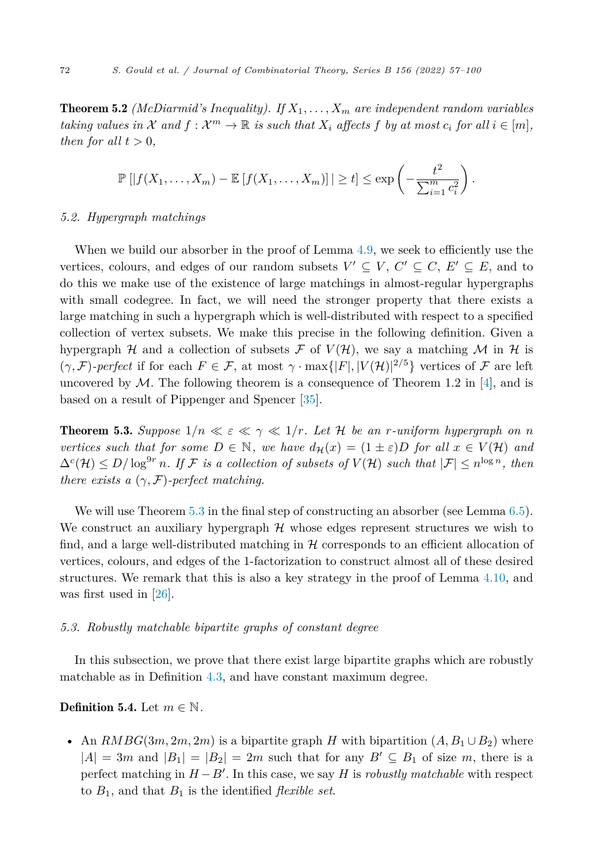<span id="page-16-0"></span>**Theorem 5.2** *(McDiarmid's Inequality). If*  $X_1, \ldots, X_m$  *are independent random variables* taking values in X and  $f: \mathcal{X}^m \to \mathbb{R}$  is such that  $X_i$  affects f by at most  $c_i$  for all  $i \in [m]$ , *then for all*  $t > 0$ *,* 

$$
\mathbb{P}\left[|f(X_1,\ldots,X_m)-\mathbb{E}\left[f(X_1,\ldots,X_m)\right]|\geq t\right]\leq \exp\left(-\frac{t^2}{\sum_{i=1}^m c_i^2}\right).
$$

#### *5.2. Hypergraph matchings*

When we build our absorber in the proof of Lemma [4.9,](#page-14-0) we seek to efficiently use the vertices, colours, and edges of our random subsets  $V' \subseteq V$ ,  $C' \subseteq C$ ,  $E' \subseteq E$ , and to do this we make use of the existence of large matchings in almost-regular hypergraphs with small codegree. In fact, we will need the stronger property that there exists a large matching in such a hypergraph which is well-distributed with respect to a specified collection of vertex subsets. We make this precise in the following definition. Given a hypergraph  $H$  and a collection of subsets  $F$  of  $V(H)$ , we say a matching M in H is  $(\gamma, \mathcal{F})$ *-perfect* if for each  $F \in \mathcal{F}$ , at most  $\gamma \cdot \max\{|F|, |V(\mathcal{H})|^{2/5}\}$  vertices of  $\mathcal F$  are left uncovered by  $\mathcal M$ . The following theorem is a consequence of Theorem 1.2 in [[4\]](#page-43-0), and is based on a result of Pippenger and Spencer [\[35\]](#page-44-0).

**Theorem 5.3.** Suppose  $1/n \ll \varepsilon \ll \gamma \ll 1/r$ . Let H be an *r*-uniform hypergraph on *n vertices such that for some*  $D \in \mathbb{N}$ *, we have*  $d_{\mathcal{H}}(x) = (1 \pm \varepsilon)D$  *for* all  $x \in V(\mathcal{H})$  *and*  $\Delta^{c}(\mathcal{H}) \leq D/\log^{9r} n$ . If F is a collection of subsets of  $V(\mathcal{H})$  such that  $|\mathcal{F}| \leq n^{\log n}$ , then *there exists a*  $(\gamma, \mathcal{F})$ *-perfect matching.* 

We will use Theorem 5.3 in the final step of constructing an absorber (see Lemma [6.5\)](#page-23-0). We construct an auxiliary hypergraph  $H$  whose edges represent structures we wish to find, and a large well-distributed matching in  $\mathcal H$  corresponds to an efficient allocation of vertices, colours, and edges of the 1-factorization to construct almost all of these desired structures. We remark that this is also a key strategy in the proof of Lemma [4.10,](#page-14-0) and was first used in [[26\]](#page-43-0).

### *5.3. Robustly matchable bipartite graphs of constant degree*

In this subsection, we prove that there exist large bipartite graphs which are robustly matchable as in Definition [4.3](#page-11-0), and have constant maximum degree.

#### **Definition 5.4.** Let  $m \in \mathbb{N}$ .

• An  $RMBG(3m, 2m, 2m)$  is a bipartite graph *H* with bipartition  $(A, B_1 \cup B_2)$  where  $|A| = 3m$  and  $|B_1| = |B_2| = 2m$  such that for any  $B' \subseteq B_1$  of size m, there is a perfect matching in *H* −*B*- . In this case, we say *H* is *robustly matchable* with respect to  $B_1$ , and that  $B_1$  is the identified *flexible set*.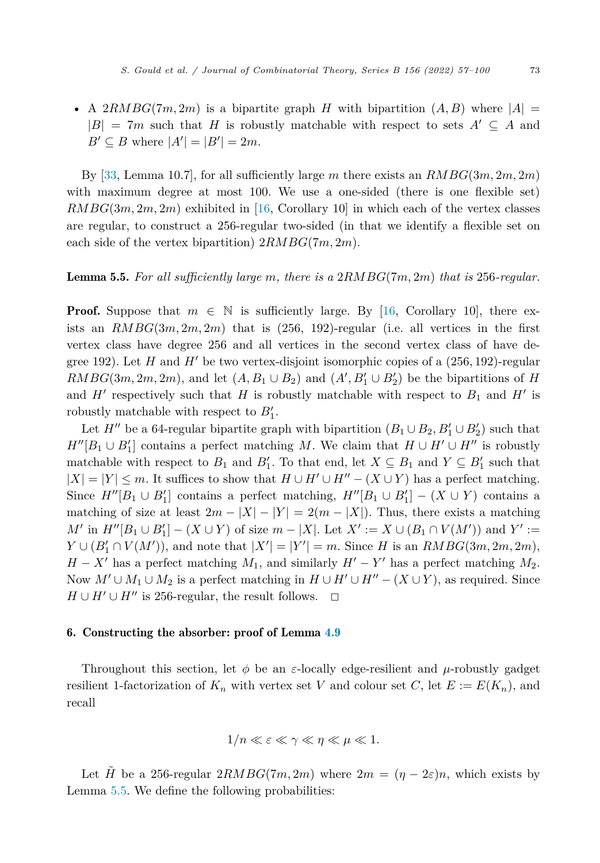<span id="page-17-0"></span>• A 2*RMBG*(7*m*, 2*m*) is a bipartite graph *H* with bipartition  $(A, B)$  where  $|A|$  $|B| = 7m$  such that *H* is robustly matchable with respect to sets  $A' \subseteq A$  and  $B' \subseteq B$  where  $|A'| = |B'| = 2m$ .

By [[33,](#page-43-0) Lemma 10.7], for all sufficiently large *m* there exists an *RMBG*(3*m,* 2*m,* 2*m*) with maximum degree at most 100. We use a one-sided (there is one flexible set) *RMBG*(3*m,* 2*m,* 2*m*) exhibited in [[16,](#page-43-0) Corollary 10] in which each of the vertex classes are regular, to construct a 256-regular two-sided (in that we identify a flexible set on each side of the vertex bipartition) 2*RMBG*(7*m,* 2*m*).

#### Lemma 5.5. *For all sufficiently large m, there is a* 2*RMBG*(7*m,* 2*m*) *that is* 256*-regular.*

**Proof.** Suppose that  $m \in \mathbb{N}$  is sufficiently large. By [[16,](#page-43-0) Corollary 10], there exists an  $RMBG(3m, 2m, 2m)$  that is  $(256, 192)$ -regular (i.e. all vertices in the first vertex class have degree 256 and all vertices in the second vertex class of have degree 192). Let *H* and *H*- be two vertex-disjoint isomorphic copies of a (256*,* 192)-regular  $RMBG(3m, 2m, 2m)$ , and let  $(A, B_1 \cup B_2)$  and  $(A', B'_1 \cup B'_2)$  be the bipartitions of *H* and  $H'$  respectively such that  $H$  is robustly matchable with respect to  $B_1$  and  $H'$  is robustly matchable with respect to  $B_1'$ .

Let  $H''$  be a 64-regular bipartite graph with bipartition  $(B_1 \cup B_2, B'_1 \cup B'_2)$  such that  $H''[B_1 \cup B'_1]$  contains a perfect matching *M*. We claim that  $H \cup H' \cup H''$  is robustly matchable with respect to  $B_1$  and  $B'_1$ . To that end, let  $X \subseteq B_1$  and  $Y \subseteq B'_1$  such that  $|X| = |Y|$  ≤ *m*. It suffices to show that  $H ∪ H'' ∪ H'' − (X ∪ Y)$  has a perfect matching. Since  $H''[B_1 \cup B'_1]$  contains a perfect matching,  $H''[B_1 \cup B'_1] - (X \cup Y)$  contains a matching of size at least  $2m - |X| - |Y| = 2(m - |X|)$ . Thus, there exists a matching *M*<sup> $\prime$ </sup> in *H*<sup> $\prime$ </sup> [*B*<sub>1</sub> ∪ *B*<sub>1</sub><sup> $\prime$ </sup>] − (*X* ∪ *Y*) of size *m* − |*X*|. Let *X*<sup> $\prime$ </sup> := *X* ∪ (*B*<sub>1</sub> ∩ *V*(*M*<sup> $\prime$ </sup>)) and *Y*<sup> $\prime$ </sup> :=  $Y \cup (B'_1 \cap V(M'))$ , and note that  $|X'| = |Y'| = m$ . Since *H* is an *RMBG*(3*m*, 2*m*),  $H - X'$  has a perfect matching  $M_1$ , and similarly  $H' - Y'$  has a perfect matching  $M_2$ . Now  $M' \cup M_1 \cup M_2$  is a perfect matching in  $H \cup H' \cup H'' - (X \cup Y)$ , as required. Since  $H \cup H' \cup H''$  is 256-regular, the result follows.  $\Box$  $\Box$ 

#### 6. Constructing the absorber: proof of Lemma [4.9](#page-14-0)

Throughout this section, let  $\phi$  be an *ε*-locally edge-resilient and *μ*-robustly gadget resilient 1-factorization of  $K_n$  with vertex set *V* and colour set *C*, let  $E := E(K_n)$ , and recall

$$
1/n \ll \varepsilon \ll \gamma \ll \eta \ll \mu \ll 1.
$$

Let  $\tilde{H}$  be a 256-regular  $2RMBG(7m, 2m)$  where  $2m = (\eta - 2\varepsilon)n$ , which exists by Lemma 5.5. We define the following probabilities: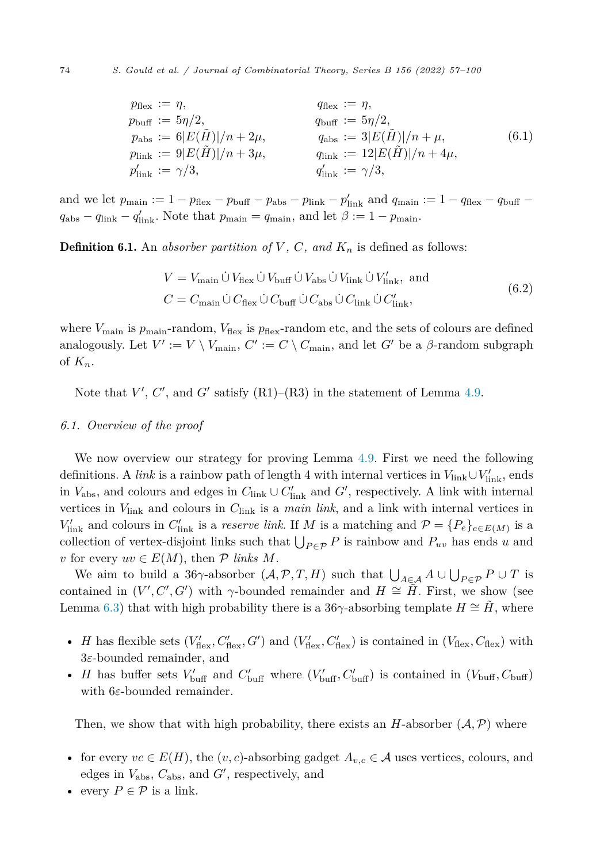<span id="page-18-0"></span>
$$
p_{\text{flex}} := \eta, \qquad q_{\text{flex}} := \eta, \n p_{\text{buf}} := 5\eta/2, \qquad q_{\text{buf}} := 5\eta/2, \n p_{\text{abs}} := 6|E(\tilde{H})|/n + 2\mu, \qquad q_{\text{abs}} := 3|E(\tilde{H})|/n + \mu, \n p_{\text{link}} := 9|E(\tilde{H})|/n + 3\mu, \qquad q_{\text{link}} := 12|E(\tilde{H})|/n + 4\mu, \n p'_{\text{link}} := \gamma/3, \qquad q'_{\text{link}} := \gamma/3,
$$
\n(6.1)

and we let  $p_{\text{main}} := 1 - p_{\text{flex}} - p_{\text{buf}} - p_{\text{abs}} - p_{\text{link}} - p'_{\text{link}}$  and  $q_{\text{main}} := 1 - q_{\text{flex}} - q_{\text{buf}} - p'_{\text{buf}} - p'_{\text{link}}$  $q_{\text{abs}} - q_{\text{link}} - q'_{\text{link}}$ . Note that  $p_{\text{main}} = q_{\text{main}}$ , and let  $\beta := 1 - p_{\text{main}}$ .

**Definition 6.1.** An *absorber partition of*  $V$ ,  $C$ , and  $K_n$  is defined as follows:

$$
V = V_{\text{main}} \dot{\cup} V_{\text{flex}} \dot{\cup} V_{\text{buf}} \dot{\cup} V_{\text{abs}} \dot{\cup} V_{\text{link}} \dot{\cup} V'_{\text{link}}, \text{ and}
$$
  

$$
C = C_{\text{main}} \dot{\cup} C_{\text{flex}} \dot{\cup} C_{\text{buf}} \dot{\cup} C_{\text{abs}} \dot{\cup} C_{\text{link}} \dot{\cup} C'_{\text{link}},
$$
(6.2)

where  $V_{\text{main}}$  is  $p_{\text{main}}$ -random,  $V_{\text{flex}}$  is  $p_{\text{flex}}$ -random etc, and the sets of colours are defined analogously. Let  $V' := V \setminus V_{\text{main}}$ ,  $C' := C \setminus C_{\text{main}}$ , and let  $G'$  be a  $\beta$ -random subgraph of  $K_n$ .

Note that  $V', C'$ , and  $G'$  satisfy  $(R1)$ – $(R3)$  in the statement of Lemma [4.9.](#page-14-0)

#### *6.1. Overview of the proof*

We now overview our strategy for proving Lemma [4.9.](#page-14-0) First we need the following definitions. A *link* is a rainbow path of length 4 with internal vertices in  $V_{\text{link}} \cup V'_{\text{link}}$ , ends in  $V_{\text{abs}}$ , and colours and edges in  $C_{\text{link}} \cup C'_{\text{link}}$  and  $G'$ , respectively. A link with internal vertices in *V*link and colours in *C*link is a *main link*, and a link with internal vertices in  $V'_{\text{link}}$  and colours in  $C'_{\text{link}}$  is a *reserve link*. If *M* is a matching and  $P = \{P_e\}_{e \in E(M)}$  is a collection of vertex-disjoint links such that  $\bigcup_{P \in \mathcal{P}} P$  is rainbow and  $P_{uv}$  has ends *u* and *v* for every  $uv \in E(M)$ , then  $\mathcal P$  *links*  $M$ .

We aim to build a 36 $\gamma$ -absorber  $(\mathcal{A}, \mathcal{P}, T, H)$  such that  $\bigcup_{A \in \mathcal{A}} A \cup \bigcup_{P \in \mathcal{P}} P \cup T$  is contained in  $(V', C', G')$  with  $\gamma$ -bounded remainder and  $H \cong \tilde{H}$ . First, we show (see Lemma [6.3\)](#page-20-0) that with high probability there is a 36 $\gamma$ -absorbing template *H*  $\cong$  *H*, where

- *H* has flexible sets  $(V'_{\text{flex}}, C'_{\text{flex}}, G')$  and  $(V'_{\text{flex}}, C'_{\text{flex}})$  is contained in  $(V_{\text{flex}}, C_{\text{flex}})$  with 3*ε*-bounded remainder, and
- *H* has buffer sets  $V'_{\text{buffer}}$  and  $C'_{\text{buffer}}$  where  $(V'_{\text{buffer}}, C'_{\text{buffer}})$  is contained in  $(V_{\text{buffer}}, C_{\text{buffer}})$ with 6*ε*-bounded remainder.

Then, we show that with high probability, there exists an *H*-absorber  $(A, P)$  where

- for every  $vc \in E(H)$ , the  $(v, c)$ -absorbing gadget  $A_{v, c} \in \mathcal{A}$  uses vertices, colours, and edges in  $V_{\text{abs}}$ ,  $C_{\text{abs}}$ , and  $G'$ , respectively, and
- every  $P \in \mathcal{P}$  is a link.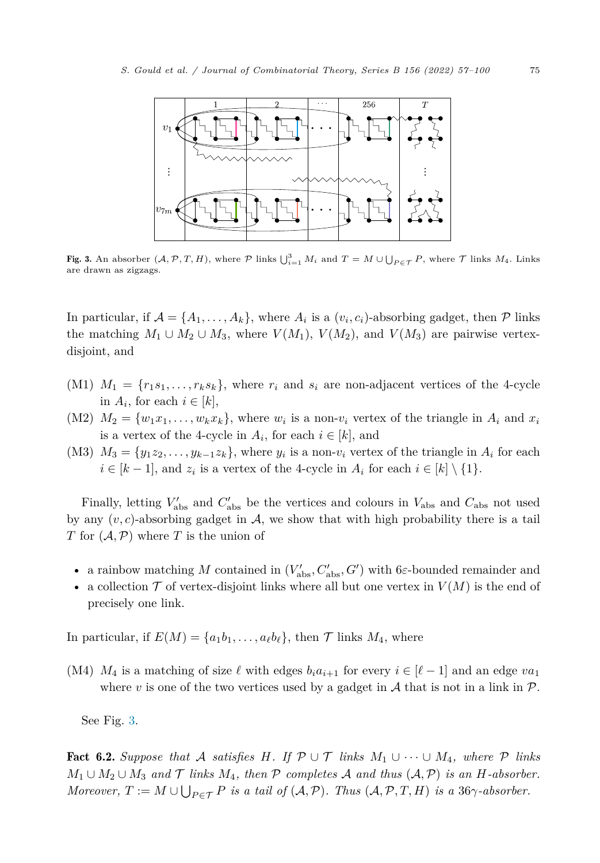<span id="page-19-0"></span>

Fig. 3. An absorber  $(A, \mathcal{P}, T, H)$ , where  $\mathcal{P}$  links  $\bigcup_{i=1}^{3} M_i$  and  $T = M \cup \bigcup_{P \in \mathcal{T}} P$ , where  $\mathcal{T}$  links  $M_4$ . Links are drawn as zigzags.

In particular, if  $A = \{A_1, \ldots, A_k\}$ , where  $A_i$  is a  $(v_i, c_i)$ -absorbing gadget, then  $P$  links the matching  $M_1 \cup M_2 \cup M_3$ , where  $V(M_1)$ ,  $V(M_2)$ , and  $V(M_3)$  are pairwise vertexdisjoint, and

- (M1)  $M_1 = \{r_1s_1, \ldots, r_ks_k\}$ , where  $r_i$  and  $s_i$  are non-adjacent vertices of the 4-cycle in  $A_i$ , for each  $i \in [k]$ ,
- (M2)  $M_2 = \{w_1x_1, \ldots, w_kx_k\}$ , where  $w_i$  is a non- $v_i$  vertex of the triangle in  $A_i$  and  $x_i$ is a vertex of the 4-cycle in  $A_i$ , for each  $i \in [k]$ , and
- (M3)  $M_3 = \{y_1z_2, \ldots, y_{k-1}z_k\}$ , where  $y_i$  is a non- $v_i$  vertex of the triangle in  $A_i$  for each  $i \in [k-1]$ , and  $z_i$  is a vertex of the 4-cycle in  $A_i$  for each  $i \in [k] \setminus \{1\}$ .

Finally, letting  $V'_{\text{abs}}$  and  $C'_{\text{abs}}$  be the vertices and colours in  $V_{\text{abs}}$  and  $C_{\text{abs}}$  not used by any  $(v, c)$ -absorbing gadget in  $\mathcal{A}$ , we show that with high probability there is a tail *T* for (A*,*P) where *T* is the union of

- a rainbow matching *M* contained in  $(V'_{\text{abs}}, C'_{\text{abs}}, G')$  with 6*ε*-bounded remainder and
- a collection  $\mathcal T$  of vertex-disjoint links where all but one vertex in  $V(M)$  is the end of precisely one link.

In particular, if  $E(M) = \{a_1b_1, \ldots, a_\ell b_\ell\}$ , then  $\mathcal T$  links  $M_4$ , where

(M4)  $M_4$  is a matching of size  $\ell$  with edges  $b_i a_{i+1}$  for every  $i \in [\ell-1]$  and an edge  $va_1$ where  $v$  is one of the two vertices used by a gadget in  $A$  that is not in a link in  $P$ .

See Fig. 3.

Fact 6.2. Suppose that A satisfies H. If  $\mathcal{P} \cup \mathcal{T}$  links  $M_1 \cup \cdots \cup M_4$ , where  $\mathcal{P}$  links *M*<sub>1</sub>∪ *M*<sub>2</sub>∪ *M*<sub>3</sub> *and*  $\mathcal{T}$  *links M*<sub>4</sub>*, then*  $\mathcal{P}$  *completes*  $\mathcal{A}$  *and thus*  $(\mathcal{A}, \mathcal{P})$  *is an H*-*absorber. Moreover,*  $T := M \cup \bigcup_{P \in \mathcal{T}} P$  *is a tail of*  $(\mathcal{A}, \mathcal{P})$ *. Thus*  $(\mathcal{A}, \mathcal{P}, T, H)$  *is a* 36 $\gamma$ *-absorber.*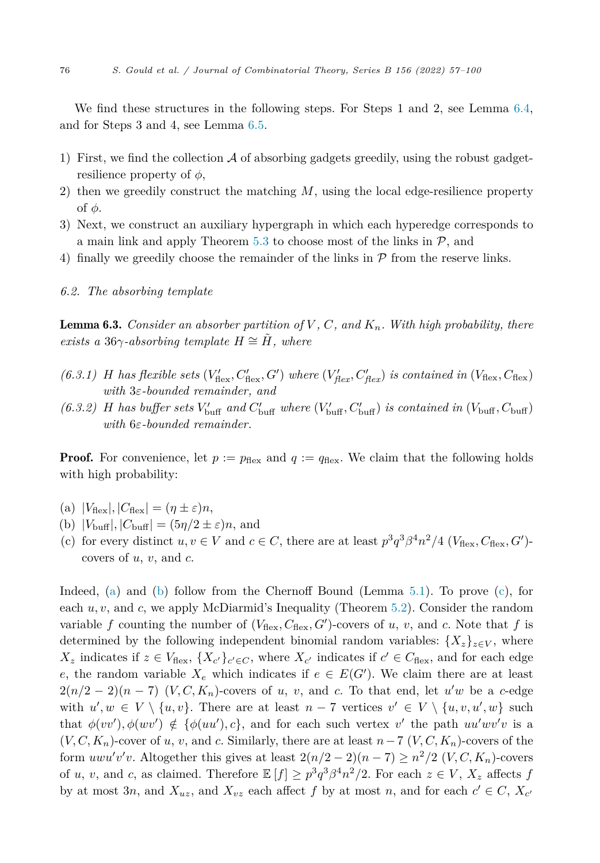<span id="page-20-0"></span>We find these structures in the following steps. For Steps 1 and 2, see Lemma [6.4,](#page-21-0) and for Steps 3 and 4, see Lemma [6.5.](#page-23-0)

- 1) First, we find the collection  $\mathcal A$  of absorbing gadgets greedily, using the robust gadgetresilience property of *φ*,
- 2) then we greedily construct the matching *M*, using the local edge-resilience property of *φ*.
- 3) Next, we construct an auxiliary hypergraph in which each hyperedge corresponds to a main link and apply Theorem [5.3](#page-16-0) to choose most of the links in  $P$ , and
- 4) finally we greedily choose the remainder of the links in  $P$  from the reserve links.
- *6.2. The absorbing template*

**Lemma 6.3.** Consider an absorber partition of  $V$ ,  $C$ , and  $K_n$ . With high probability, there *exists* a 36 $\gamma$ -absorbing *template*  $H \cong H$ *, where* 

- (6.3.1) H has flexible sets  $(V'_{\text{flex}}, C'_{\text{flex}}, G')$  where  $(V'_{\text{flex}}, C'_{\text{flex}})$  is contained in  $(V_{\text{flex}}, C_{\text{flex}})$ *with* 3*ε-bounded remainder, and*
- (6.3.2) H has buffer sets  $V'_{\text{buffer}}$  and  $C'_{\text{buffer}}$  where  $(V'_{\text{buffer}}, C'_{\text{buffer}})$  is contained in  $(V_{\text{buffer}}, C_{\text{buffer}})$ *with* 6*ε-bounded remainder.*

**Proof.** For convenience, let  $p := p_{\text{flex}}$  and  $q := q_{\text{flex}}$ . We claim that the following holds with high probability:

- $(V_{\text{flex}}|, |C_{\text{flex}}| = (\eta \pm \varepsilon)n,$
- (b)  $|V_{\text{buf}}|, |C_{\text{buf}}| = (5\eta/2 \pm \varepsilon)n$ , and
- (c) for every distinct  $u, v \in V$  and  $c \in C$ , there are at least  $p^3q^3\beta^4n^2/4$  ( $V_{\text{flex}}, C_{\text{flex}}, G'$ ) covers of *u*, *v*, and *c*.

Indeed, (a) and (b) follow from the Chernoff Bound (Lemma [5.1](#page-15-0)). To prove (c), for each *u, v*, and *c*, we apply McDiarmid's Inequality (Theorem [5.2](#page-16-0)). Consider the random variable f counting the number of  $(V_{\text{flex}}, C_{\text{flex}}, G')$ -covers of *u*, *v*, and *c*. Note that f is determined by the following independent binomial random variables:  ${X<sub>z</sub>}<sub>z∈V</sub>$ , where  $X_z$  indicates if  $z \in V_{\text{flex}}, \{X_{c'}\}_{c' \in C}$ , where  $X_{c'}$  indicates if  $c' \in C_{\text{flex}},$  and for each edge *e*, the random variable  $X_e$  which indicates if  $e \in E(G')$ . We claim there are at least  $2(n/2-2)(n-7)$  (*V, C, K<sub>n</sub>*)-covers of *u, v,* and *c*. To that end, let *u'w* be a *c*-edge with  $u', w \in V \setminus \{u, v\}$ . There are at least  $n - 7$  vertices  $v' \in V \setminus \{u, v, u', w\}$  such that  $\phi(vv'), \phi(wv') \notin {\phi(uu'), c}$ , and for each such vertex *v*<sup> $\prime$ </sup> the path  $uu'wv'v$  is a  $(V, C, K_n)$ -cover of *u*, *v*, and *c*. Similarly, there are at least  $n-7$   $(V, C, K_n)$ -covers of the form  $u w u' v' v$ . Altogether this gives at least  $2(n/2-2)(n-7) \geq n^2/2$  (*V, C, K<sub>n</sub>*)-covers of *u*, *v*, and *c*, as claimed. Therefore  $\mathbb{E}[f] \geq p^3 q^3 \beta^4 n^2 / 2$ . For each  $z \in V$ ,  $X_z$  affects *f* by at most 3*n*, and  $X_{uz}$ , and  $X_{vz}$  each affect  $f$  by at most  $n$ , and for each  $c' \in C$ ,  $X_{c'}$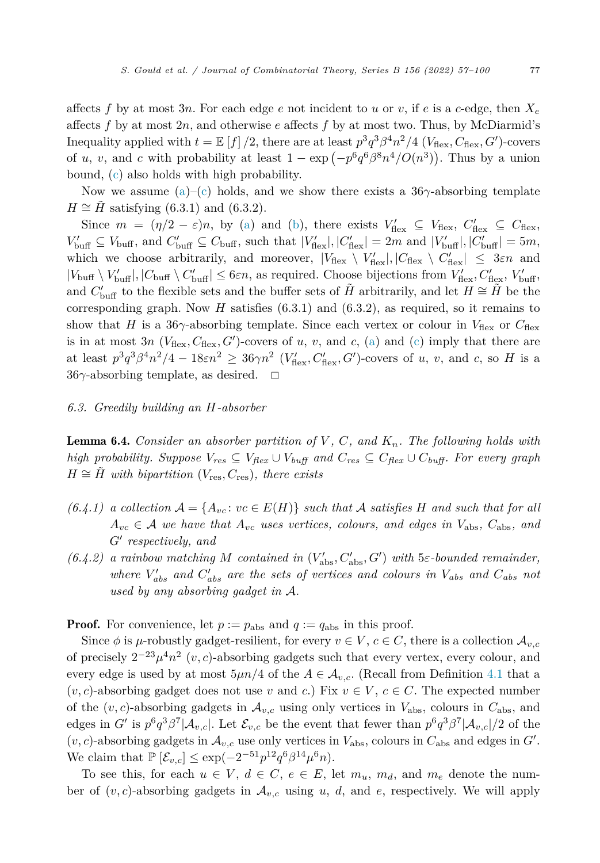<span id="page-21-0"></span>affects f by at most 3*n*. For each edge *e* not incident to *u* or *v*, if *e* is a *c*-edge, then  $X_e$ affects *f* by at most 2*n*, and otherwise *e* affects *f* by at most two. Thus, by McDiarmid's Inequality applied with  $t = \mathbb{E}[f]/2$ , there are at least  $p^3q^3\beta^4n^2/4$  ( $V_{\text{flex}}, C_{\text{flex}}, G'$ )-covers of *u*, *v*, and *c* with probability at least  $1 - \exp(-p^6 q^6 \beta^8 n^4 / O(n^3))$ . Thus by a union bound, ([c](#page-20-0)) also holds with high probability.

Now we assume [\(a](#page-20-0))–[\(c\)](#page-20-0) holds, and we show there exists a 36*γ*-absorbing template  $H \cong H$  satisfying (6.3.1) and (6.3.2).

Since  $m = (\eta/2 - \varepsilon)n$ , by ([a\)](#page-20-0) and ([b](#page-20-0)), there exists  $V'_{\text{flex}} \subseteq V_{\text{flex}}, C'_{\text{flex}} \subseteq C_{\text{flex}},$  $V'_{\text{buffer}} \subseteq V_{\text{buffer}}$ , and  $C'_{\text{buffer}} \subseteq C_{\text{buffer}}$ , such that  $|V'_{\text{flex}}|, |C'_{\text{flex}}| = 2m$  and  $|V'_{\text{buffer}}|, |C'_{\text{buffer}}| = 5m$ , which we choose arbitrarily, and moreover,  $|V_{\text{flex}} \setminus V'_{\text{flex}}|, |C_{\text{flex}} \setminus C'_{\text{flex}}| \leq 3\varepsilon n$  and  $|V_{\text{buff}} \setminus V'_{\text{buff}}|, |C_{\text{buff}} \setminus C'_{\text{buff}}| \leq 6\varepsilon n$ , as required. Choose bijections from  $V'_{\text{flex}}, C'_{\text{flex}}, V'_{\text{buff}}, C'_{\text{surf}}$ and  $C'_{\text{buffer}}$  to the flexible sets and the buffer sets of  $\tilde{H}$  arbitrarily, and let  $H \cong \tilde{H}$  be the corresponding graph. Now  $H$  satisfies  $(6.3.1)$  and  $(6.3.2)$ , as required, so it remains to show that *H* is a 36 $\gamma$ -absorbing template. Since each vertex or colour in  $V_{\text{flex}}$  or  $C_{\text{flex}}$ is in at most 3*n* ( $V_{\text{flex}}, C_{\text{flex}}, G'$ )-covers of *u*, *v*, and *c*, ([a\)](#page-20-0) and [\(c\)](#page-20-0) imply that there are at least  $p^3q^3\beta^4n^2/4 - 18\varepsilon n^2 \geq 36\gamma n^2$  ( $V'_{\text{flex}}$ ,  $C'_{\text{flex}}$ ,  $G'$ )-covers of *u*, *v*, and *c*, so *H* is a 36γ-absorbing template, as desired.  $\Box$ 

#### *6.3. Greedily building an H-absorber*

Lemma 6.4. *Consider an absorber partition of V , C, and Kn. The following holds with* high probability. Suppose  $V_{res} \subseteq V_{flex} \cup V_{buf}$  and  $C_{res} \subseteq C_{flex} \cup C_{buf}$ . For every graph  $H \cong H$  *with bipartition* ( $V_{res}, C_{res}$ ), *there exists* 

- $(6.4.1)$  a collection  $\mathcal{A} = \{A_{vc} : vc \in E(H)\}\$  such that A satisfies *H* and such that for all  $A_{vc} \in \mathcal{A}$  *we have that*  $A_{vc}$  *uses vertices, colours, and edges in*  $V_{\text{abs}}$ ,  $C_{\text{abs}}$ *, and G*- *respectively, and*
- $(6.4.2)$  *a rainbow matching M contained in*  $(V'_{\text{abs}}, C'_{\text{abs}}, G')$  *with* 5*ε-bounded remainder,*  $w$  *kere*  $V'_{abs}$  *and*  $C'_{abs}$  *are the sets of vertices and colours in*  $V_{abs}$  *and*  $C_{abs}$  *not used by any absorbing gadget in* A*.*

**Proof.** For convenience, let  $p := p_{\text{abs}}$  and  $q := q_{\text{abs}}$  in this proof.

Since  $\phi$  is *μ*-robustly gadget-resilient, for every  $v \in V$ ,  $c \in C$ , there is a collection  $\mathcal{A}_{v,c}$ of precisely  $2^{-23}\mu^4n^2$  (*v, c*)-absorbing gadgets such that every vertex, every colour, and every edge is used by at most  $5\mu n/4$  of the  $A \in \mathcal{A}_{v,c}$ . (Recall from Definition [4.1](#page-9-0) that a  $(v, c)$ -absorbing gadget does not use *v* and *c*.) Fix  $v \in V$ ,  $c \in C$ . The expected number of the  $(v, c)$ -absorbing gadgets in  $\mathcal{A}_{v, c}$  using only vertices in  $V_{\text{abs}}$ , colours in  $C_{\text{abs}}$ , and edges in *G*<sup> $\prime$ </sup> is  $p^6 q^3 \beta^7 |A_{v,c}|$ . Let  $\mathcal{E}_{v,c}$  be the event that fewer than  $p^6 q^3 \beta^7 |A_{v,c}|/2$  of the  $(v, c)$ -absorbing gadgets in  $\mathcal{A}_{v, c}$  use only vertices in  $V_{\text{abs}}$ , colours in  $C_{\text{abs}}$  and edges in  $G'$ . We claim that  $\mathbb{P} [\mathcal{E}_{v,c}] \le \exp(-2^{-51} p^{12} q^6 \beta^{14} \mu^6 n).$ 

To see this, for each  $u \in V$ ,  $d \in C$ ,  $e \in E$ , let  $m_u$ ,  $m_d$ , and  $m_e$  denote the number of  $(v, c)$ -absorbing gadgets in  $\mathcal{A}_{v,c}$  using *u*, *d*, and *e*, respectively. We will apply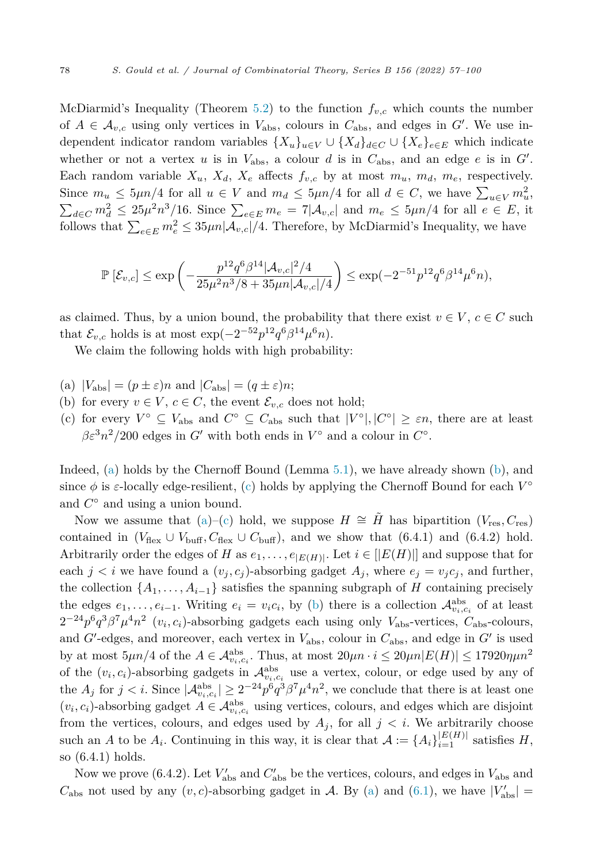<span id="page-22-0"></span>McDiarmid's Inequality (Theorem [5.2\)](#page-16-0) to the function *fv,c* which counts the number of  $A \in \mathcal{A}_{v,c}$  using only vertices in  $V_{\text{abs}}$ , colours in  $C_{\text{abs}}$ , and edges in  $G'$ . We use independent indicator random variables  $\{X_u\}_{u\in V} \cup \{X_d\}_{d\in C} \cup \{X_e\}_{e\in E}$  which indicate whether or not a vertex *u* is in  $V_{\text{abs}}$ , a colour *d* is in  $C_{\text{abs}}$ , and an edge *e* is in  $G'$ . Each random variable  $X_u$ ,  $X_d$ ,  $X_e$  affects  $f_{v,c}$  by at most  $m_u$ ,  $m_d$ ,  $m_e$ , respectively. Since  $m_u \leq 5\mu n/4$  for all  $u \in V$  and  $m_d \leq 5\mu n/4$  for all  $d \in C$ , we have  $\sum_{u \in V} m_u^2$ ,  $\sum_{u \in C} m_u^2 \leq 25\mu^2 n^3/16$ . Since  $\sum_{u \in E} m_e = 7|\mathcal{A}_{u,c}|$  and  $m_e \leq 5\mu n/4$  for all  $e \in E$ , it  $d \in C$   $m_d^2 \leq 25\mu^2 n^3/16$ . Since  $\sum_{e \in E} m_e = 7|\mathcal{A}_{v,c}|$  and  $m_e \leq 5\mu n/4$  for all  $e \in E$ , it follows that  $\sum_{e \in E} m_e^2 \leq 35 \mu n |\mathcal{A}_{v,e}|/4$ . Therefore, by McDiarmid's Inequality, we have

$$
\mathbb{P}\left[\mathcal{E}_{v,c}\right] \le \exp\left(-\frac{p^{12}q^6\beta^{14}|\mathcal{A}_{v,c}|^2/4}{25\mu^2n^3/8 + 35\mu n|\mathcal{A}_{v,c}|/4}\right) \le \exp(-2^{-51}p^{12}q^6\beta^{14}\mu^6 n),
$$

as claimed. Thus, by a union bound, the probability that there exist  $v \in V$ ,  $c \in C$  such that  $\mathcal{E}_{v,c}$  holds is at most  $\exp(-2^{-52}p^{12}q^6\beta^{14}\mu^6n)$ .

We claim the following holds with high probability:

- (a)  $|V_{\text{abs}}| = (p \pm \varepsilon)n$  and  $|C_{\text{abs}}| = (q \pm \varepsilon)n$ ;
- (b) for every  $v \in V$ ,  $c \in C$ , the event  $\mathcal{E}_{v,c}$  does not hold;
- (c) for every  $V^{\circ} \subseteq V_{\text{abs}}$  and  $C^{\circ} \subseteq C_{\text{abs}}$  such that  $|V^{\circ}|, |C^{\circ}| \geq \varepsilon n$ , there are at least  $\beta \varepsilon^3 n^2 / 200$  edges in *G*<sup> $\prime$ </sup> with both ends in  $V^\circ$  and a colour in  $C^\circ$ .

Indeed, (a) holds by the Chernoff Bound (Lemma [5.1\)](#page-15-0), we have already shown (b), and since  $\phi$  is *ε*-locally edge-resilient, (c) holds by applying the Chernoff Bound for each  $V^{\circ}$ and *C*◦ and using a union bound.

Now we assume that (a)–(c) hold, we suppose  $H \cong \tilde{H}$  has bipartition ( $V_{res}, C_{res}$ ) contained in  $(V_{\text{flex}} \cup V_{\text{buffer}}$ ,  $C_{\text{flex}} \cup C_{\text{buffer}}$ ), and we show that (6.4.1) and (6.4.2) hold. Arbitrarily order the edges of *H* as  $e_1, \ldots, e_{|E(H)|}$ . Let  $i \in |E(H)|$  and suppose that for each  $j < i$  we have found a  $(v_j, c_j)$ -absorbing gadget  $A_j$ , where  $e_j = v_j c_j$ , and further, the collection  $\{A_1, \ldots, A_{i-1}\}$  satisfies the spanning subgraph of *H* containing precisely the edges  $e_1, \ldots, e_{i-1}$ . Writing  $e_i = v_i c_i$ , by (b) there is a collection  $\mathcal{A}_{v_i, c_i}^{abs}$  of at least  $2^{-24}p^6q^3\beta^7\mu^4n^2$  ( $v_i, c_i$ )-absorbing gadgets each using only  $V_{\text{abs}}$ -vertices,  $C_{\text{abs}}$ -colours, and  $G'$ -edges, and moreover, each vertex in  $V_{\text{abs}}$ , colour in  $C_{\text{abs}}$ , and edge in  $G'$  is used by at most  $5\mu n/4$  of the  $A \in \mathcal{A}_{v_i,c_i}^{abs}$ . Thus, at most  $20\mu n \cdot i \leq 20\mu n |E(H)| \leq 17920\eta \mu n^2$ of the  $(v_i, c_i)$ -absorbing gadgets in  $\mathcal{A}_{v_i, c_i}^{abs}$  use a vertex, colour, or edge used by any of the  $A_j$  for  $j < i$ . Since  $|\mathcal{A}_{v_i,c_i}^{abs}| \geq 2^{-24} p^6 q^3 \beta^7 \mu^4 n^2$ , we conclude that there is at least one  $(v_i, c_i)$ -absorbing gadget  $A \in \mathcal{A}_{v_i, c_i}^{abs}$  using vertices, colours, and edges which are disjoint from the vertices, colours, and edges used by  $A_j$ , for all  $j < i$ . We arbitrarily choose such an *A* to be  $A_i$ . Continuing in this way, it is clear that  $A := \{A_i\}_{i=1}^{|E(H)|}$  satisfies *H*, so (6.4.1) holds.

Now we prove (6.4.2). Let  $V'_{\text{abs}}$  and  $C'_{\text{abs}}$  be the vertices, colours, and edges in  $V_{\text{abs}}$  and  $C_{\text{abs}}$  not used by any  $(v, c)$ -absorbing gadget in A. By (a) and [\(6.1](#page-18-0)), we have  $|V'_{\text{abs}}| =$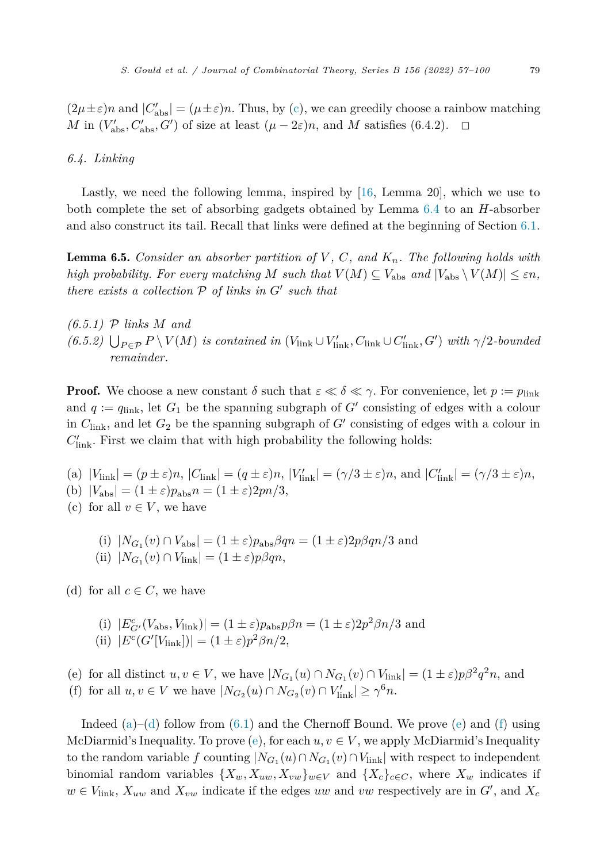<span id="page-23-0"></span> $(2\mu \pm \varepsilon)n$  and  $|C'_{\text{abs}}| = (\mu \pm \varepsilon)n$ . Thus, by ([c](#page-22-0)), we can greedily choose a rainbow matching *M* in  $(V'_{\text{abs}}, C'_{\text{abs}}, G')$  of size at least  $(\mu - 2\varepsilon)n$ , and *M* satisfies (6.4.2).  $\Box$ 

#### *6.4. Linking*

Lastly, we need the following lemma, inspired by [\[16](#page-43-0), Lemma 20], which we use to both complete the set of absorbing gadgets obtained by Lemma [6.4](#page-21-0) to an *H*-absorber and also construct its tail. Recall that links were defined at the beginning of Section [6.1](#page-18-0).

Lemma 6.5. *Consider an absorber partition of V , C, and Kn. The following holds with high probability. For every matching M such that*  $V(M) \subseteq V_{\text{abs}}$  *and*  $|V_{\text{abs}} \setminus V(M)| \leq \varepsilon n$ , *there exists a collection* P *of links in G*- *such that*

*(6.5.1)* P *links M and*  $(6.5.2)$   $\bigcup_{P \in \mathcal{P}} P \setminus V(M)$  is contained in  $(V_{\text{link}} \cup V'_{\text{link}}, C_{\text{link}} \cup C'_{\text{link}}, G')$  with  $\gamma/2$ -bounded *remainder.*

**Proof.** We choose a new constant  $\delta$  such that  $\varepsilon \ll \delta \ll \gamma$ . For convenience, let  $p := p_{\text{link}}$ and  $q := q_{\text{link}}$ , let  $G_1$  be the spanning subgraph of  $G'$  consisting of edges with a colour in  $C_{\text{link}}$ , and let  $G_2$  be the spanning subgraph of  $G'$  consisting of edges with a colour in  $C'_{\text{link}}$ . First we claim that with high probability the following holds:

- (a)  $|V_{\text{link}}| = (p \pm \varepsilon)n$ ,  $|C_{\text{link}}| = (q \pm \varepsilon)n$ ,  $|V'_{\text{link}}| = (\gamma/3 \pm \varepsilon)n$ , and  $|C'_{\text{link}}| = (\gamma/3 \pm \varepsilon)n$ , (b)  $|V_{\text{abs}}| = (1 \pm \varepsilon)p_{\text{abs}}n = (1 \pm \varepsilon)2pn/3,$
- (c) for all  $v \in V$ , we have
	- (i)  $|N_{G_1}(v) \cap V_{\text{abs}}| = (1 \pm \varepsilon)p_{\text{abs}}\beta qn = (1 \pm \varepsilon)2p\beta qn/3$  and
	- $(iii)$   $|N_{G_1}(v) \cap V_{\text{link}}| = (1 \pm \varepsilon)p\beta qn,$

(d) for all  $c \in C$ , we have

(i)  $|E_G^c(V_{\text{abs}}, V_{\text{link}})| = (1 \pm \varepsilon)p_{\text{abs}}p\beta n = (1 \pm \varepsilon)2p^2\beta n/3$  and  $(iii)$   $|E^c(G'[V_{\text{link}}])| = (1 \pm \varepsilon)p^2\beta n/2,$ 

(e) for all distinct  $u, v \in V$ , we have  $|N_{G_1}(u) \cap N_{G_1}(v) \cap V_{\text{link}}| = (1 \pm \varepsilon)p\beta^2 q^2 n$ , and

(f) for all  $u, v \in V$  we have  $|N_{G_2}(u) \cap N_{G_2}(v) \cap V'_{\text{link}}| \ge \gamma^6 n$ .

Indeed  $(a)$ – $(d)$  follow from  $(6.1)$  $(6.1)$  and the Chernoff Bound. We prove  $(e)$  and  $(f)$  using McDiarmid's Inequality. To prove  $(e)$ , for each  $u, v \in V$ , we apply McDiarmid's Inequality to the random variable *f* counting  $|N_{G_1}(u) \cap N_{G_1}(v) \cap V_{\text{link}}|$  with respect to independent binomial random variables  $\{X_w, X_{uw}, X_{vw}\}_{w \in V}$  and  $\{X_c\}_{c \in C}$ , where  $X_w$  indicates if  $w \in V_{\text{link}}$ ,  $X_{uw}$  and  $X_{vw}$  indicate if the edges *uw* and *vw* respectively are in  $G'$ , and  $X_c$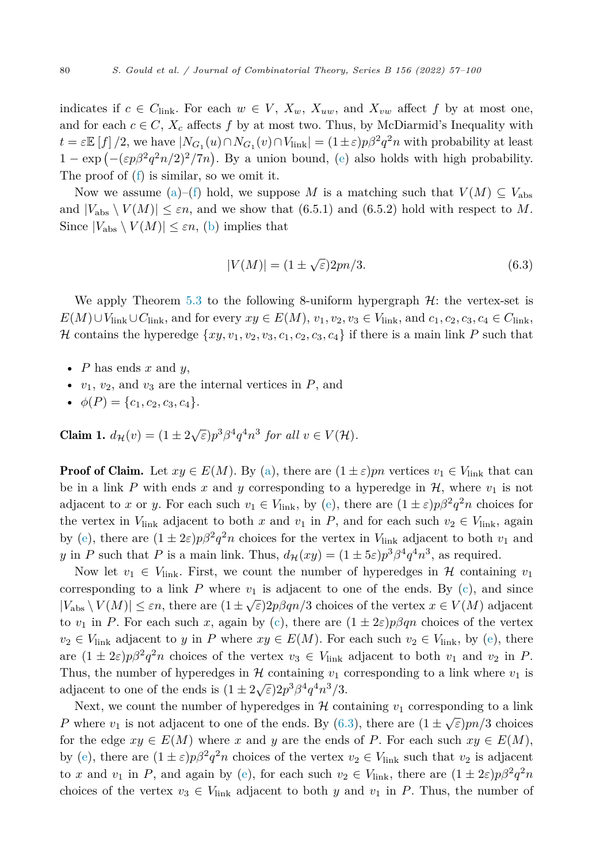<span id="page-24-0"></span>indicates if  $c \in C_{\text{link}}$ . For each  $w \in V$ ,  $X_w$ ,  $X_{uw}$ , and  $X_{vw}$  affect f by at most one, and for each  $c \in C$ ,  $X_c$  affects f by at most two. Thus, by McDiarmid's Inequality with  $t = \varepsilon \mathbb{E}[f]/2$ , we have  $|N_{G_1}(u) \cap N_{G_1}(v) \cap V_{\text{link}}| = (1 \pm \varepsilon)p\beta^2 q^2 n$  with probability at least  $1 - \exp(-(\varepsilon p \beta^2 q^2 n/2)^2 / 7n)$ . By a union bound, [\(e](#page-23-0)) also holds with high probability. The proof of  $(f)$  $(f)$  is similar, so we omit it.

Now we assume ([a\)](#page-23-0)–[\(f\)](#page-23-0) hold, we suppose M is a matching such that  $V(M) \subseteq V_{\text{abs}}$ and  $|V_{\text{abs}} \setminus V(M)| \leq \varepsilon n$ , and we show that (6.5.1) and (6.5.2) hold with respect to M. Since  $|V_{\text{abs}} \setminus V(M)| \leq \varepsilon n$ , [\(b](#page-23-0)) implies that

$$
|V(M)| = (1 \pm \sqrt{\varepsilon})2pn/3.
$$
\n(6.3)

We apply Theorem [5.3](#page-16-0) to the following 8-uniform hypergraph  $H$ : the vertex-set is  $E(M) \cup V_{\text{link}} \cup C_{\text{link}}$ , and for every  $xy \in E(M)$ ,  $v_1, v_2, v_3 \in V_{\text{link}}$ , and  $c_1, c_2, c_3, c_4 \in C_{\text{link}}$ , H contains the hyperedge  $\{xy, v_1, v_2, v_3, c_1, c_2, c_3, c_4\}$  if there is a main link P such that

- *P* has ends *x* and *y*,
- $v_1, v_2$ , and  $v_3$  are the internal vertices in  $P$ , and
- $\phi(P) = \{c_1, c_2, c_3, c_4\}.$

**Claim 1.**  $d_{\mathcal{H}}(v) = (1 \pm 2\sqrt{\varepsilon})p^3 \beta^4 q^4 n^3$  *for all*  $v \in V(\mathcal{H})$ *.* 

**Proof of Claim.** Let  $xy \in E(M)$ . By [\(a\)](#page-23-0), there are  $(1 \pm \varepsilon)pn$  vertices  $v_1 \in V_{\text{link}}$  that can be in a link *P* with ends *x* and *y* corresponding to a hyperedge in  $H$ , where  $v_1$  is not adjac[e](#page-23-0)nt to *x* or *y*. For each such  $v_1 \in V_{\text{link}}$ , by (e), there are  $(1 \pm \varepsilon)p\beta^2 q^2 n$  choices for the vertex in  $V_{\text{link}}$  adjacent to both *x* and  $v_1$  in *P*, and for each such  $v_2 \in V_{\text{link}}$ , again by ([e](#page-23-0)), there are  $(1 \pm 2\varepsilon)p\beta^2 q^2 n$  choices for the vertex in  $V_{\text{link}}$  adjacent to both  $v_1$  and *y* in *P* such that *P* is a main link. Thus,  $d_{\mathcal{H}}(xy) = (1 \pm 5\varepsilon)p^3\beta^4q^4n^3$ , as required.

Now let  $v_1 \in V_{\text{link}}$ . First, we count the number of hyperedges in H containing  $v_1$ corresponding to a link  $P$  where  $v_1$  is adjacent to one of the ends. By  $(c)$ , and since  $|V_{\text{abs}} \setminus V(M)| \leq \varepsilon n$ , there are  $(1 \pm \sqrt{\varepsilon})2p\beta qn/3$  choices of the vertex  $x \in V(M)$  adjacent to  $v_1$  in *P*. For each such *x*, again by [\(c\)](#page-23-0), there are  $(1 \pm 2\varepsilon)p\beta qn$  choices of the vertex  $v_2 \in V_{\text{link}}$  adjacent to *y* in *P* where  $xy \in E(M)$ . For each such  $v_2 \in V_{\text{link}}$ , by [\(e\)](#page-23-0), there are  $(1 \pm 2\varepsilon)p\beta^2 q^2n$  choices of the vertex  $v_3 \in V_{\text{link}}$  adjacent to both  $v_1$  and  $v_2$  in *P*. Thus, the number of hyperedges in  $H$  containing  $v_1$  corresponding to a link where  $v_1$  is adjacent to one of the ends is  $(1 \pm 2\sqrt{\varepsilon})2p^3\beta^4q^4n^3/3$ .

Next, we count the number of hyperedges in  $H$  containing  $v_1$  corresponding to a link *P* where  $v_1$  is not adjacent to one of the ends. By (6.3), there are  $(1 \pm \sqrt{\varepsilon})$ *pn/3* choices for the edge  $xy \in E(M)$  where *x* and *y* are the ends of *P*. For each such  $xy \in E(M)$ , by ([e](#page-23-0)), there are  $(1 \pm \varepsilon)p\beta^2 q^2 n$  choices of the vertex  $v_2 \in V_{\text{link}}$  such that  $v_2$  is adjacent to *x* and *v*<sub>1</sub> in *P*, and again by ([e](#page-23-0)), for each such  $v_2 \in V_{\text{link}}$ , there are  $(1 \pm 2\varepsilon)p\beta^2 q^2 n$ choices of the vertex  $v_3 \in V_{\text{link}}$  adjacent to both *y* and  $v_1$  in *P*. Thus, the number of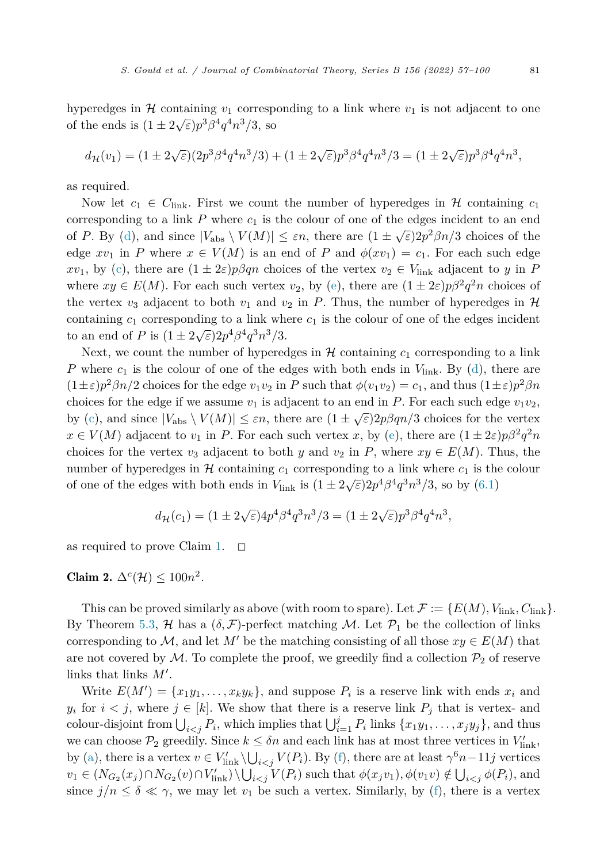hyperedges in  $H$  containing  $v_1$  corresponding to a link where  $v_1$  is not adjacent to one of the ends is  $(1 \pm 2\sqrt{\varepsilon})p^3\beta^4q^4n^3/3$ , so

$$
d_{\mathcal{H}}(v_1) = (1 \pm 2\sqrt{\varepsilon})(2p^3 \beta^4 q^4 n^3/3) + (1 \pm 2\sqrt{\varepsilon})p^3 \beta^4 q^4 n^3/3 = (1 \pm 2\sqrt{\varepsilon})p^3 \beta^4 q^4 n^3,
$$

as required.

Now let  $c_1 \in C_{\text{link}}$ . First we count the number of hyperedges in H containing  $c_1$ corresponding to a link  $P$  where  $c_1$  is the colour of one of the edges incident to an end of *P*. By ([d](#page-23-0)), and since  $|V_{\text{abs}} \setminus V(M)| \leq \varepsilon n$ , there are  $(1 \pm \sqrt{\varepsilon})2p^2\beta n/3$  choices of the edge  $xv_1$  in *P* where  $x \in V(M)$  is an end of *P* and  $\phi(xv_1) = c_1$ . For each such edge *xv*<sub>1</sub>, by [\(c\)](#page-23-0), there are  $(1 \pm 2\varepsilon)p\beta qn$  choices of the vertex  $v_2 \in V_{\text{link}}$  adjacent to *y* in *P* where  $xy \in E(M)$ . For each such vertex  $v_2$ , by [\(e\)](#page-23-0), there are  $(1 \pm 2\varepsilon)p\beta^2 q^2 n$  choices of the vertex  $v_3$  adjacent to both  $v_1$  and  $v_2$  in *P*. Thus, the number of hyperedges in *H* containing  $c_1$  corresponding to a link where  $c_1$  is the colour of one of the edges incident to an end of *P* is  $(1 \pm 2\sqrt{\varepsilon})2p^4\beta^4q^3n^3/3$ .

Next, we count the number of hyperedges in  $H$  containing  $c_1$  corresponding to a link *P* where  $c_1$  is the colour of one of the e[d](#page-23-0)ges with both ends in  $V_{\text{link}}$ . By (d), there are  $(1\pm\varepsilon)p^2\beta n/2$  choices for the edge  $v_1v_2$  in *P* such that  $\phi(v_1v_2)=c_1$ , and thus  $(1\pm\varepsilon)p^2\beta n$ choices for the edge if we assume  $v_1$  is adjacent to an end in *P*. For each such edge  $v_1v_2$ , by [\(c\)](#page-23-0), and since  $|V_{\text{abs}} \setminus V(M)| \leq \varepsilon n$ , there are  $(1 \pm \sqrt{\varepsilon})2p\beta qn/3$  choices for the vertex  $x \in V(M)$  adjac[e](#page-23-0)nt to  $v_1$  in *P*. For each such vertex *x*, by (e), there are  $(1 \pm 2\varepsilon)p\beta^2 q^2 n$ choices for the vertex  $v_3$  adjacent to both *y* and  $v_2$  in *P*, where  $xy \in E(M)$ . Thus, the number of hyperedges in  $H$  containing  $c_1$  corresponding to a link where  $c_1$  is the colour of one of the edges with both ends in  $V_{\text{link}}$  is  $(1 \pm 2\sqrt{\varepsilon})2p^4\beta^4q^3n^3/3$ , so by  $(6.1)$  $(6.1)$ 

$$
d_{\mathcal{H}}(c_1) = (1 \pm 2\sqrt{\varepsilon})4p^4\beta^4q^3n^3/3 = (1 \pm 2\sqrt{\varepsilon})p^3\beta^4q^4n^3,
$$

as required to prove Claim [1.](#page-24-0)  $\Box$ 

Claim 2.  $\Delta^c(\mathcal{H}) \leq 100n^2$ .

This can be proved similarly as above (with room to spare). Let  $\mathcal{F} := \{E(M), V_{\text{link}}, C_{\text{link}}\}.$ By Theorem [5.3,](#page-16-0)  $H$  has a  $(\delta, \mathcal{F})$ -perfect matching M. Let  $\mathcal{P}_1$  be the collection of links corresponding to  $M$ , and let  $M'$  be the matching consisting of all those  $xy \in E(M)$  that are not covered by  $M$ . To complete the proof, we greedily find a collection  $\mathcal{P}_2$  of reserve links that links  $M'$ .

Write  $E(M') = \{x_1y_1, \ldots, x_ky_k\}$ , and suppose  $P_i$  is a reserve link with ends  $x_i$  and *y*<sup>*i*</sup> for  $i < j$ , where  $j \in [k]$ . We show that there is a reserve link  $P_j$  that is vertex- and colour-disjoint from  $\bigcup_{i < j} P_i$ , which implies that  $\bigcup_{i=1}^j P_i$  links  $\{x_1y_1, \ldots, x_jy_j\}$ , and thus we can choose  $\mathcal{P}_2$  greedily. Since  $k \leq \delta n$  and each link has at most three vertices in  $V'_{\text{link}}$ , by [\(a](#page-23-0)), there is a vertex  $v \in V'_{\text{link}} \setminus \bigcup_{i < j} V(P_i)$ . By ([f\)](#page-23-0), there are at least  $\gamma^6 n - 11j$  vertices  $v_1 \in (N_{G_2}(x_j) \cap N_{G_2}(v) \cap V'_{\text{link}}) \setminus \bigcup_{i < j} V(P_i)$  such that  $\phi(x_j v_1), \phi(v_1 v) \notin \bigcup_{i < j} \phi(P_i)$ , and since  $j/n \leq \delta \ll \gamma$ , we may let  $v_1$  be such a vertex. Similarly, by [\(f](#page-23-0)), there is a vertex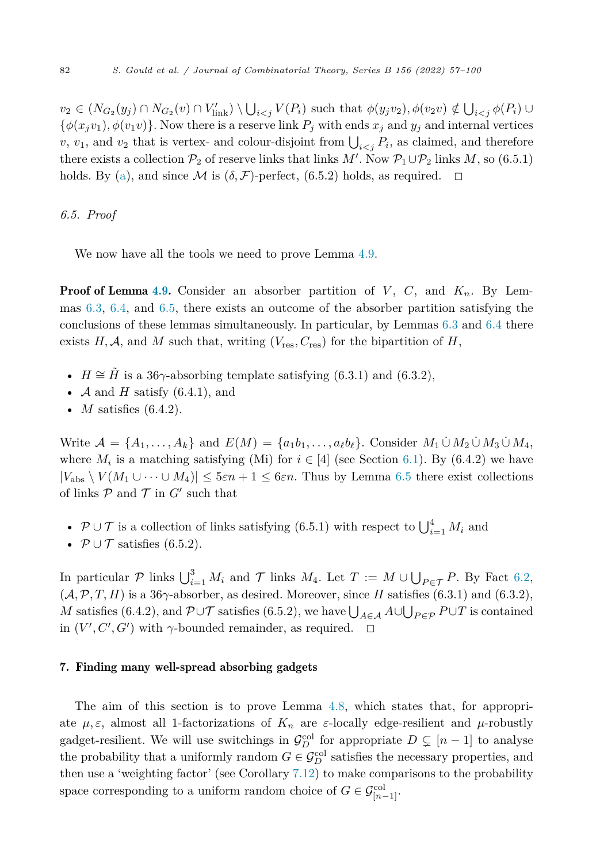<span id="page-26-0"></span> $v_2 \in (N_{G_2}(y_j) \cap N_{G_2}(v) \cap V'_{\text{link}}) \setminus \bigcup_{i < j} V(P_i)$  such that  $\phi(y_j v_2), \phi(v_2 v) \notin \bigcup_{i < j} \phi(P_i) \cup$  $\{\phi(x_i v_1), \phi(v_1 v)\}$ . Now there is a reserve link  $P_i$  with ends  $x_j$  and  $y_j$  and internal vertices *v*, *v*<sub>1</sub>, and *v*<sub>2</sub> that is vertex- and colour-disjoint from  $\bigcup_{i < j} P_i$ , as claimed, and therefore there exists a collection  $\mathcal{P}_2$  of reserve links that links *M'*. Now  $\mathcal{P}_1 \cup \mathcal{P}_2$  links *M*, so (6.5.1) holds. By [\(a](#page-23-0)), and since M is  $(\delta, \mathcal{F})$ -perfect, (6.5.2) holds, as required.  $\Box$ 

#### *6.5. Proof*

We now have all the tools we need to prove Lemma [4.9.](#page-14-0)

**Proof of Lemma [4.9](#page-14-0).** Consider an absorber partition of  $V$ ,  $C$ , and  $K_n$ . By Lemmas [6.3,](#page-20-0) [6.4](#page-21-0), and [6.5](#page-23-0), there exists an outcome of the absorber partition satisfying the conclusions of these lemmas simultaneously. In particular, by Lemmas [6.3](#page-20-0) and [6.4](#page-21-0) there exists  $H, \mathcal{A}$ , and  $M$  such that, writing  $(V_{res}, C_{res})$  for the bipartition of  $H$ ,

- *H*  $\cong$  *H*<sup> $\cong$ </sup> *H* is a 36 $\gamma$ -absorbing template satisfying (6.3.1) and (6.3.2),
- $\mathcal A$  and  $H$  satisfy (6.4.1), and
- *M* satisfies (6.4.2).

Write  $\mathcal{A} = \{A_1, \ldots, A_k\}$  and  $E(M) = \{a_1b_1, \ldots, a_\ell b_\ell\}$ . Consider  $M_1 \cup M_2 \cup M_3 \cup M_4$ , where  $M_i$  is a matching satisfying (Mi) for  $i \in [4]$  (see Section [6.1\)](#page-18-0). By (6.4.2) we have  $|V_{\text{abs}} \setminus V(M_1 \cup \cdots \cup M_4)| \leq 5\varepsilon n + 1 \leq 6\varepsilon n$ . Thus by Lemma [6.5](#page-23-0) there exist collections of links  $P$  and  $T$  in  $G'$  such that

- $\mathcal{P} \cup \mathcal{T}$  is a collection of links satisfying (6.5.1) with respect to  $\bigcup_{i=1}^4 M_i$  and
- $\mathcal{P} \cup \mathcal{T}$  satisfies (6.5.2).

In particular  $P$  links  $\bigcup_{i=1}^{3} M_i$  and  $\mathcal{T}$  links  $M_4$ . Let  $T := M \cup \bigcup_{P \in \mathcal{T}} P$ . By Fact [6.2,](#page-19-0)  $(A, \mathcal{P}, T, H)$  is a 36 $\gamma$ -absorber, as desired. Moreover, since *H* satisfies (6.3.1) and (6.3.2), *M* satisfies (6.4.2), and  $\mathcal{P} \cup \mathcal{T}$  satisfies (6.5.2), we have  $\bigcup_{A \in \mathcal{A}} A \cup \bigcup_{P \in \mathcal{P}} P \cup T$  is contained in  $(V', C', G')$  with  $\gamma$ -bounded remainder, as required.  $\Box$ 

### 7. Finding many well-spread absorbing gadgets

The aim of this section is to prove Lemma [4.8,](#page-14-0) which states that, for appropriate  $\mu, \varepsilon$ , almost all 1-factorizations of  $K_n$  are  $\varepsilon$ -locally edge-resilient and  $\mu$ -robustly gadget-resilient. We will use switchings in  $\mathcal{G}_D^{\text{col}}$  for appropriate  $D \subsetneq [n-1]$  to analyse the probability that a uniformly random  $G \in \mathcal{G}_D^{\text{col}}$  satisfies the necessary properties, and then use a 'weighting factor' (see Corollary [7.12\)](#page-39-0) to make comparisons to the probability space corresponding to a uniform random choice of  $G \in \mathcal{G}_{[n-1]}^{\text{col}}$ .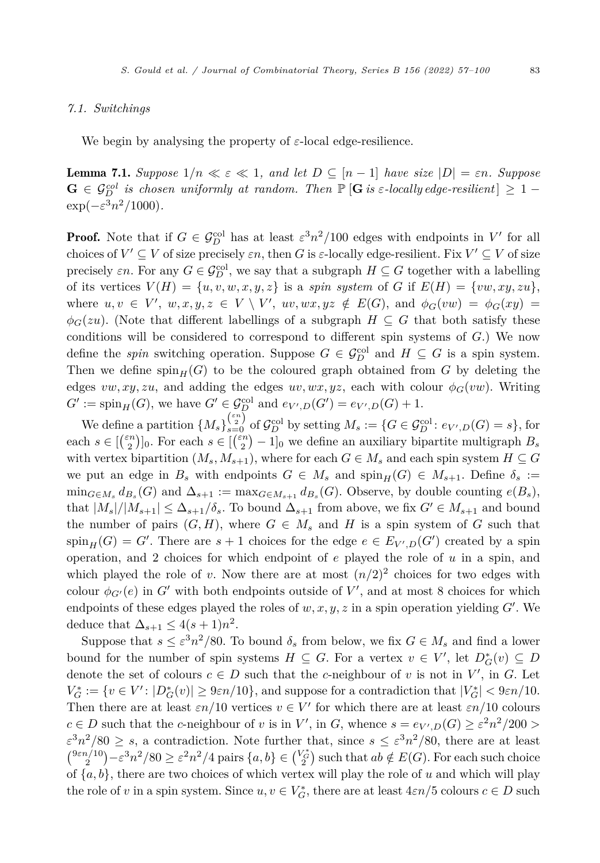#### <span id="page-27-0"></span>*7.1. Switchings*

We begin by analysing the property of  $\varepsilon$ -local edge-resilience.

**Lemma 7.1.** Suppose  $1/n \ll \varepsilon \ll 1$ , and let  $D \subseteq [n-1]$  have size  $|D| = \varepsilon n$ . Suppose  $G \in \mathcal{G}_{D}^{col}$  is chosen uniformly at random. Then  $\mathbb{P}\left[G \text{ is } \varepsilon\text{-locally edge-resilient}\right] \geq 1-\varepsilon$  $\exp(-\varepsilon^3 n^2/1000)$ .

**Proof.** Note that if  $G \in \mathcal{G}_D^{\text{col}}$  has at least  $\epsilon^3 n^2/100$  edges with endpoints in  $V'$  for all choices of  $V' \subseteq V$  of size precisely  $\varepsilon n$ , then *G* is  $\varepsilon$ -locally edge-resilient. Fix  $V' \subseteq V$  of size precisely  $\varepsilon n$ . For any  $G \in \mathcal{G}_D^{\text{col}}$ , we say that a subgraph  $H \subseteq G$  together with a labelling of its vertices  $V(H) = \{u, v, w, x, y, z\}$  is a *spin system* of *G* if  $E(H) = \{vw, xy, zu\}$ , where  $u, v \in V'$ ,  $w, x, y, z \in V \setminus V'$ ,  $uv, wx, yz \notin E(G)$ , and  $\phi_G(vw) = \phi_G(xy) =$  $\phi_G(zu)$ . (Note that different labellings of a subgraph *H* ⊆ *G* that both satisfy these conditions will be considered to correspond to different spin systems of *G*.) We now define the *spin* switching operation. Suppose  $G \in \mathcal{G}_D^{\text{col}}$  and  $H \subseteq G$  is a spin system. Then we define  $\text{spin}_{H}(G)$  to be the coloured graph obtained from G by deleting the edges  $vw, xy, zu$ , and adding the edges  $uv, wx, yz$ , each with colour  $\phi_G(vw)$ . Writing  $G' := \text{spin}_{H}(G)$ , we have  $G' \in \mathcal{G}_{D}^{\text{col}}$  and  $e_{V',D}(G') = e_{V',D}(G) + 1$ .

We define a partition  $\{M_s\}_{s=0}^{(\frac{\varepsilon n}{2})}$  of  $\mathcal{G}_D^{\text{col}}$  by setting  $M_s := \{G \in \mathcal{G}_D^{\text{col}} : e_{V',D}(G) = s\}$ , for each  $s \in \left[\binom{\varepsilon n}{2}\right]_0$ . For each  $s \in \left[\binom{\varepsilon n}{2} - 1\right]_0$  we define an auxiliary bipartite multigraph  $B_s$ with vertex bipartition  $(M_s, M_{s+1})$ , where for each  $G \in M_s$  and each spin system  $H \subseteq G$ we put an edge in  $B_s$  with endpoints  $G \in M_s$  and  $\text{spin}_H(G) \in M_{s+1}$ . Define  $\delta_s :=$  $\min_{G \in M_s} d_{B_s}(G)$  and  $\Delta_{s+1} := \max_{G \in M_{s+1}} d_{B_s}(G)$ . Observe, by double counting  $e(B_s)$ , that  $|M_s|/|M_{s+1}| \leq \Delta_{s+1}/\delta_s$ . To bound  $\Delta_{s+1}$  from above, we fix  $G' \in M_{s+1}$  and bound the number of pairs  $(G, H)$ , where  $G \in M_s$  and *H* is a spin system of *G* such that  $\text{spin}_{H}(G) = G'$ . There are  $s + 1$  choices for the edge  $e \in E_{V',D}(G')$  created by a spin operation, and 2 choices for which endpoint of *e* played the role of *u* in a spin, and which played the role of *v*. Now there are at most  $(n/2)^2$  choices for two edges with colour  $\phi_{G'}(e)$  in  $G'$  with both endpoints outside of  $V'$ , and at most 8 choices for which endpoints of these edges played the roles of  $w, x, y, z$  in a spin operation yielding  $G'$ . We deduce that  $\Delta_{s+1} \leq 4(s+1)n^2$ .

Suppose that  $s \leq \varepsilon^3 n^2/80$ . To bound  $\delta_s$  from below, we fix  $G \in M_s$  and find a lower bound for the number of spin systems  $H \subseteq G$ . For a vertex  $v \in V'$ , let  $D^*_{G}(v) \subseteq D$ denote the set of colours  $c \in D$  such that the *c*-neighbour of *v* is not in *V'*, in *G*. Let  $V_G^* := \{ v \in V' : |D_G^*(v)| \geq 9\varepsilon n/10 \}$ , and suppose for a contradiction that  $|V_G^*| < 9\varepsilon n/10$ . Then there are at least  $\varepsilon n/10$  vertices  $v \in V'$  for which there are at least  $\varepsilon n/10$  colours  $c \in D$  such that the *c*-neighbour of *v* is in *V'*, in *G*, whence  $s = e_{V',D}(G) \geq \varepsilon^2 n^2/200 >$  $\varepsilon^3 n^2/80 \geq s$ , a contradiction. Note further that, since  $s \leq \varepsilon^3 n^2/80$ , there are at least  $\binom{9\varepsilon n/10}{2} - \varepsilon^3 n^2/80 \ge \varepsilon^2 n^2/4$  pairs  $\{a, b\} \in {\binom{V_{G}^*}{2}}$  such that  $ab \notin E(G)$ . For each such choice of  ${a, b}$ , there are two choices of which vertex will play the role of *u* and which will play the role of *v* in a spin system. Since  $u, v \in V_G^*$ , there are at least  $4\varepsilon n/5$  colours  $c \in D$  such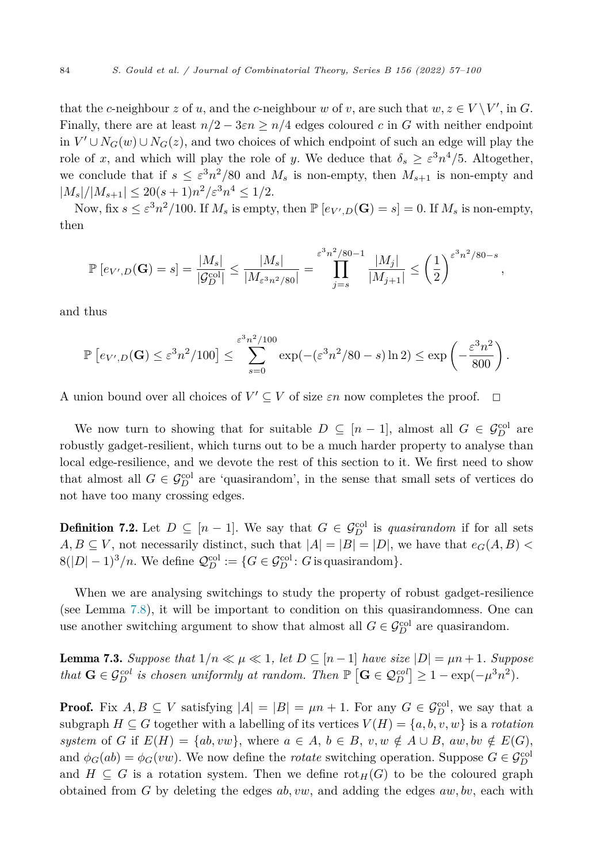<span id="page-28-0"></span>that the *c*-neighbour *z* of *u*, and the *c*-neighbour *w* of *v*, are such that  $w, z \in V \setminus V'$ , in *G*. Finally, there are at least  $n/2 - 3\varepsilon n \geq n/4$  edges coloured *c* in *G* with neither endpoint in  $V' \cup N_G(w) \cup N_G(z)$ , and two choices of which endpoint of such an edge will play the role of *x*, and which will play the role of *y*. We deduce that  $\delta_s \geq \varepsilon^3 n^4/5$ . Altogether, we conclude that if  $s \leq \varepsilon^3 n^2/80$  and  $M_s$  is non-empty, then  $M_{s+1}$  is non-empty and  $|M_s|/|M_{s+1}| \leq 20(s+1)n^2/\varepsilon^3 n^4 \leq 1/2.$ 

Now, fix  $s \leq \varepsilon^3 n^2/100$ . If  $M_s$  is empty, then  $\mathbb{P} [e_{V',D}(\mathbf{G}) = s] = 0$ . If  $M_s$  is non-empty, then

$$
\mathbb{P}\left[e_{V',D}(\mathbf{G})=s\right] = \frac{|M_s|}{|\mathcal{G}_D^{\text{col}}|} \le \frac{|M_s|}{|M_{\varepsilon^3 n^2/80}|} = \prod_{j=s}^{\varepsilon^3 n^2/80-1} \frac{|M_j|}{|M_{j+1}|} \le \left(\frac{1}{2}\right)^{\varepsilon^3 n^2/80-s},
$$

and thus

$$
\mathbb{P}\left[e_{V',D}(\mathbf{G})\leq \varepsilon^3 n^2/100\right] \leq \sum_{s=0}^{\varepsilon^3 n^2/100} \exp(-(\varepsilon^3 n^2/80-s)\ln 2) \leq \exp\left(-\frac{\varepsilon^3 n^2}{800}\right).
$$

A union bound over all choices of  $V' \subseteq V$  of size  $\varepsilon n$  now completes the proof.  $\Box$  $\Box$ 

We now turn to showing that for suitable  $D \subseteq [n-1]$ , almost all  $G \in \mathcal{G}_D^{\text{col}}$  are robustly gadget-resilient, which turns out to be a much harder property to analyse than local edge-resilience, and we devote the rest of this section to it. We first need to show that almost all  $G \in \mathcal{G}_D^{\text{col}}$  are 'quasirandom', in the sense that small sets of vertices do not have too many crossing edges.

**Definition 7.2.** Let  $D \subseteq [n-1]$ . We say that  $G \in \mathcal{G}_D^{\text{col}}$  is *quasirandom* if for all sets  $A, B \subseteq V$ , not necessarily distinct, such that  $|A| = |B| = |D|$ , we have that  $e_G(A, B)$  $8(|D|-1)^3/n$ . We define  $\mathcal{Q}_D^{\text{col}} := \{G \in \mathcal{G}_D^{\text{col}}: G \text{ is quasirandom}\}.$ 

When we are analysing switchings to study the property of robust gadget-resilience (see Lemma [7.8\)](#page-31-0), it will be important to condition on this quasirandomness. One can use another switching argument to show that almost all  $G \in \mathcal{G}_D^{\text{col}}$  are quasirandom.

**Lemma 7.3.** Suppose that  $1/n \ll \mu \ll 1$ , let  $D \subseteq [n-1]$  have size  $|D| = \mu n + 1$ . Suppose *that*  $G \in \mathcal{G}_D^{col}$  *is chosen uniformly at random. Then*  $\mathbb{P}\left[G \in \mathcal{Q}_D^{col}\right] \geq 1 - \exp(-\mu^3 n^2)$ *.* 

**Proof.** Fix  $A, B \subseteq V$  satisfying  $|A| = |B| = \mu n + 1$ . For any  $G \in \mathcal{G}_D^{\text{col}}$ , we say that a subgraph  $H \subseteq G$  together with a labelling of its vertices  $V(H) = \{a, b, v, w\}$  is a *rotation system* of *G* if  $E(H) = \{ab, vw\}$ , where  $a \in A, b \in B, v, w \notin A \cup B$ ,  $aw, bv \notin E(G)$ , and  $\phi_G(ab) = \phi_G(vw)$ . We now define the *rotate* switching operation. Suppose  $G \in \mathcal{G}_D^{\text{col}}$ and  $H \subseteq G$  is a rotation system. Then we define  $\text{rot}_H(G)$  to be the coloured graph obtained from *G* by deleting the edges *ab, vw*, and adding the edges *aw, bv*, each with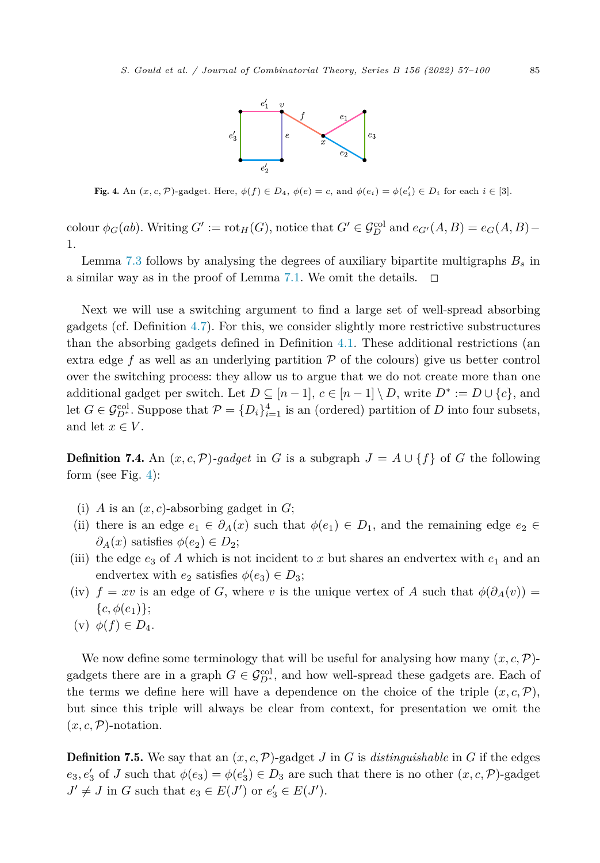

Fig. 4. An  $(x, c, \mathcal{P})$ -gadget. Here,  $\phi(f) \in D_4$ ,  $\phi(e) = c$ , and  $\phi(e_i) = \phi(e'_i) \in D_i$  for each  $i \in [3]$ .

colour  $\phi_G(ab)$ . Writing  $G' := \text{rot}_H(G)$ , notice that  $G' \in \mathcal{G}_D^{\text{col}}$  and  $e_{G'}(A, B) = e_G(A, B) -$ 1.

Lemma [7.3](#page-28-0) follows by analysing the degrees of auxiliary bipartite multigraphs *B<sup>s</sup>* in a similar way as in the proof of Lemma [7.1](#page-27-0). We omit the details.  $\Box$ 

Next we will use a switching argument to find a large set of well-spread absorbing gadgets (cf. Definition [4.7](#page-13-0)). For this, we consider slightly more restrictive substructures than the absorbing gadgets defined in Definition [4.1](#page-9-0). These additional restrictions (an extra edge  $f$  as well as an underlying partition  $\mathcal P$  of the colours) give us better control over the switching process: they allow us to argue that we do not create more than one additional gadget per switch. Let  $D \subseteq [n-1], c \in [n-1] \setminus D$ , write  $D^* := D \cup \{c\}$ , and let  $G \in \mathcal{G}_{D^*}^{\text{col}}$ . Suppose that  $\mathcal{P} = \{D_i\}_{i=1}^4$  is an (ordered) partition of *D* into four subsets, and let  $x \in V$ .

**Definition 7.4.** An  $(x, c, \mathcal{P})$ -gadget in *G* is a subgraph  $J = A \cup \{f\}$  of *G* the following form (see Fig. 4):

- (i) *A* is an  $(x, c)$ -absorbing gadget in *G*;
- (ii) there is an edge  $e_1 \in \partial_A(x)$  such that  $\phi(e_1) \in D_1$ , and the remaining edge  $e_2 \in$  $\partial_A(x)$  satisfies  $\phi(e_2) \in D_2$ ;
- (iii) the edge  $e_3$  of A which is not incident to x but shares an endvertex with  $e_1$  and an endvertex with  $e_2$  satisfies  $\phi(e_3) \in D_3$ ;
- (iv)  $f = xv$  is an edge of *G*, where *v* is the unique vertex of *A* such that  $\phi(\partial_A(v))$  ${c, \phi(e_1)}$ :
- (v)  $\phi(f) \in D_4$ .

We now define some terminology that will be useful for analysing how many  $(x, c, \mathcal{P})$ gadgets there are in a graph  $G \in \mathcal{G}_{D^*}^{\text{col}}$ , and how well-spread these gadgets are. Each of the terms we define here will have a dependence on the choice of the triple  $(x, c, \mathcal{P})$ , but since this triple will always be clear from context, for presentation we omit the  $(x, c, \mathcal{P})$ -notation.

**Definition 7.5.** We say that an  $(x, c, \mathcal{P})$ -gadget *J* in *G* is *distinguishable* in *G* if the edges  $e_3, e'_3$  of *J* such that  $\phi(e_3) = \phi(e'_3) \in D_3$  are such that there is no other  $(x, c, \mathcal{P})$ -gadget  $J' \neq J$  in *G* such that  $e_3 \in E(J')$  or  $e'_3 \in E(J')$ .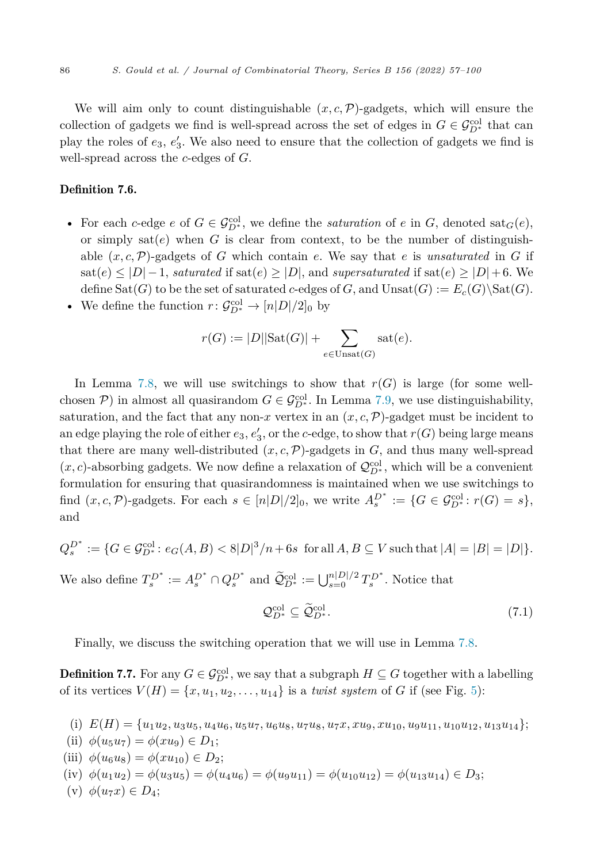<span id="page-30-0"></span>We will aim only to count distinguishable  $(x, c, \mathcal{P})$ -gadgets, which will ensure the collection of gadgets we find is well-spread across the set of edges in  $G \in \mathcal{G}_{D^*}^{\text{col}}$  that can play the roles of  $e_3, e'_3$ . We also need to ensure that the collection of gadgets we find is well-spread across the *c*-edges of *G*.

#### Definition 7.6.

- For each *c*-edge *e* of  $G \in \mathcal{G}_{D^*}^{col}$ , we define the *saturation* of *e* in *G*, denoted sat<sub>*G*</sub>(*e*), or simply  $sat(e)$  when *G* is clear from context, to be the number of distinguishable  $(x, c, \mathcal{P})$ -gadgets of *G* which contain *e*. We say that *e* is *unsaturated* in *G* if sat(*e*) ≤ |*D*|−1, *saturated* if sat(*e*) ≥ |*D*|, and *supersaturated* if sat(*e*) ≥ |*D*|+6. We define  $\text{Sat}(G)$  to be the set of saturated *c*-edges of *G*, and  $\text{Unsat}(G) := E_c(G) \setminus \text{Sat}(G)$ .
- We define the function  $r: \mathcal{G}_{D^*}^{\text{col}} \to [n]D|/2]_0$  by

$$
r(G) := |D||\text{Sat}(G)| + \sum_{e \in \text{Unsat}(G)} \text{sat}(e).
$$

In Lemma [7.8,](#page-31-0) we will use switchings to show that  $r(G)$  is large (for some wellchosen  $P$ ) in almost all quasirandom  $G \in \mathcal{G}_{D^*}^{col}$ . In Lemma [7.9,](#page-38-0) we use distinguishability, saturation, and the fact that any non-*x* vertex in an  $(x, c, \mathcal{P})$ -gadget must be incident to an edge playing the role of either  $e_3, e'_3$ , or the *c*-edge, to show that  $r(G)$  being large means that there are many well-distributed  $(x, c, \mathcal{P})$ -gadgets in  $G$ , and thus many well-spread  $(x, c)$ -absorbing gadgets. We now define a relaxation of  $\mathcal{Q}_{D^*}^{\text{col}}$ , which will be a convenient formulation for ensuring that quasirandomness is maintained when we use switchings to find  $(x, c, \mathcal{P})$ -gadgets. For each  $s \in [n|D|/2]_0$ , we write  $A_s^{D^*} := \{G \in \mathcal{G}_{D^*}^{\text{col}} : r(G) = s\},$ and

$$
Q_s^{D^*} := \{ G \in \mathcal{G}_{D^*}^{\text{col}} \colon e_G(A, B) < 8|D|^3/n + 6s \text{ for all } A, B \subseteq V \text{ such that } |A| = |B| = |D| \}.
$$

We also define  $T_s^{D^*} := A_s^{D^*} \cap Q_s^{D^*}$  and  $\widetilde{Q}_{D^*}^{\text{col}} := \bigcup_{s=0}^{n|D|/2} T_s^{D^*}$ . Notice that

$$
\mathcal{Q}_{D^*}^{\text{col}} \subseteq \widetilde{\mathcal{Q}}_{D^*}^{\text{col}}.\tag{7.1}
$$

Finally, we discuss the switching operation that we will use in Lemma [7.8.](#page-31-0)

**Definition 7.7.** For any  $G \in \mathcal{G}_{D^*}^{col}$ , we say that a subgraph  $H \subseteq G$  together with a labelling of its vertices  $V(H) = \{x, u_1, u_2, \ldots, u_{14}\}$  is a *twist system* of *G* if (see Fig. [5](#page-31-0)):

- (i)  $E(H) = {u_1u_2, u_3u_5, u_4u_6, u_5u_7, u_6u_8, u_7u_8, u_7x, xu_9, xu_{10}, u_9u_{11}, u_{10}u_{12}, u_{13}u_{14}};$
- (ii)  $\phi(u_5u_7) = \phi(xu_9) \in D_1;$
- $(iii) \phi(u_6u_8) = \phi(xu_{10}) \in D_2;$
- $(iv) \phi(u_1u_2) = \phi(u_3u_5) = \phi(u_4u_6) = \phi(u_9u_{11}) = \phi(u_{10}u_{12}) = \phi(u_{13}u_{14}) \in D_3;$
- (v)  $\phi(u_7x) \in D_4$ ;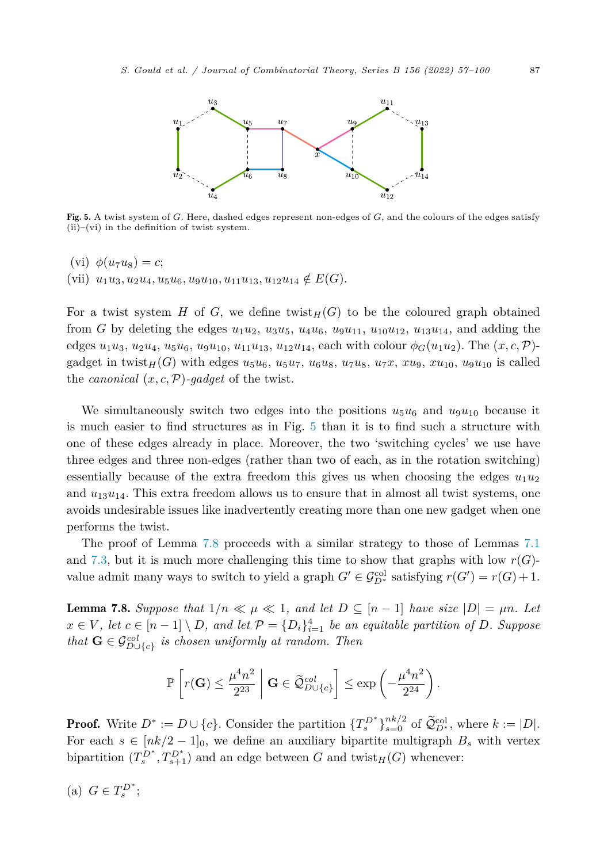<span id="page-31-0"></span>

Fig. 5. A twist system of *G*. Here, dashed edges represent non-edges of *G*, and the colours of the edges satisfy  $(ii)$ –(vi) in the definition of twist system.

(vi)  $\phi(u_7u_8) = c$ ;  $(vii)$   $u_1u_3, u_2u_4, u_5u_6, u_9u_{10}, u_{11}u_{13}, u_{12}u_{14} \notin E(G)$ .

For a twist system *H* of *G*, we define twist  $_H(G)$  to be the coloured graph obtained from *G* by deleting the edges  $u_1u_2$ ,  $u_3u_5$ ,  $u_4u_6$ ,  $u_9u_{11}$ ,  $u_{10}u_{12}$ ,  $u_{13}u_{14}$ , and adding the edges  $u_1u_3, u_2u_4, u_5u_6, u_9u_{10}, u_{11}u_{13}, u_{12}u_{14}$ , each with colour  $\phi_G(u_1u_2)$ . The  $(x, c, \mathcal{P})$ gadget in twist<sub>H</sub>(*G*) with edges  $u_5u_6$ ,  $u_5u_7$ ,  $u_6u_8$ ,  $u_7u_8$ ,  $u_7x$ ,  $xu_9$ ,  $xu_{10}$ ,  $u_9u_{10}$  is called the *canonical*  $(x, c, \mathcal{P})$ *-gadget* of the twist.

We simultaneously switch two edges into the positions  $u_5u_6$  and  $u_9u_{10}$  because it is much easier to find structures as in Fig. 5 than it is to find such a structure with one of these edges already in place. Moreover, the two 'switching cycles' we use have three edges and three non-edges (rather than two of each, as in the rotation switching) essentially because of the extra freedom this gives us when choosing the edges  $u_1u_2$ and  $u_{13}u_{14}$ . This extra freedom allows us to ensure that in almost all twist systems, one avoids undesirable issues like inadvertently creating more than one new gadget when one performs the twist.

The proof of Lemma 7.8 proceeds with a similar strategy to those of Lemmas [7.1](#page-27-0) and [7.3,](#page-28-0) but it is much more challenging this time to show that graphs with low  $r(G)$ value admit many ways to switch to yield a graph  $G' \in \mathcal{G}_{D^*}^{\text{col}}$  satisfying  $r(G') = r(G) + 1$ .

**Lemma 7.8.** Suppose that  $1/n \ll \mu \ll 1$ , and let  $D \subseteq [n-1]$  have size  $|D| = \mu n$ . Let  $x \in V$ , let  $c \in [n-1] \setminus D$ , and let  $\mathcal{P} = \{D_i\}_{i=1}^4$  be an equitable partition of D. Suppose  $that \mathbf{G} \in \mathcal{G}_{D \cup \{c\}}^{col}$  *is chosen uniformly at random. Then* 

$$
\mathbb{P}\left[r(\mathbf{G}) \le \frac{\mu^4 n^2}{2^{23}} \; \middle|\; \mathbf{G} \in \widetilde{\mathcal{Q}}_{D \cup \{c\}}^{col}\right] \le \exp\left(-\frac{\mu^4 n^2}{2^{24}}\right).
$$

**Proof.** Write  $D^* := D \cup \{c\}$ . Consider the partition  $\{T_s^{D^*}\}_{s=0}^{nk/2}$  of  $\widetilde{\mathcal{Q}}_{D^*}^{\text{col}}$ , where  $k := |D|$ . For each  $s \in [nk/2-1]_0$ , we define an auxiliary bipartite multigraph  $B_s$  with vertex bipartition  $(T_s^{D^*}, T_{s+1}^{D^*})$  and an edge between *G* and twist<sub>*H*</sub>(*G*) whenever:

(a)  $G \in T_s^{D^*};$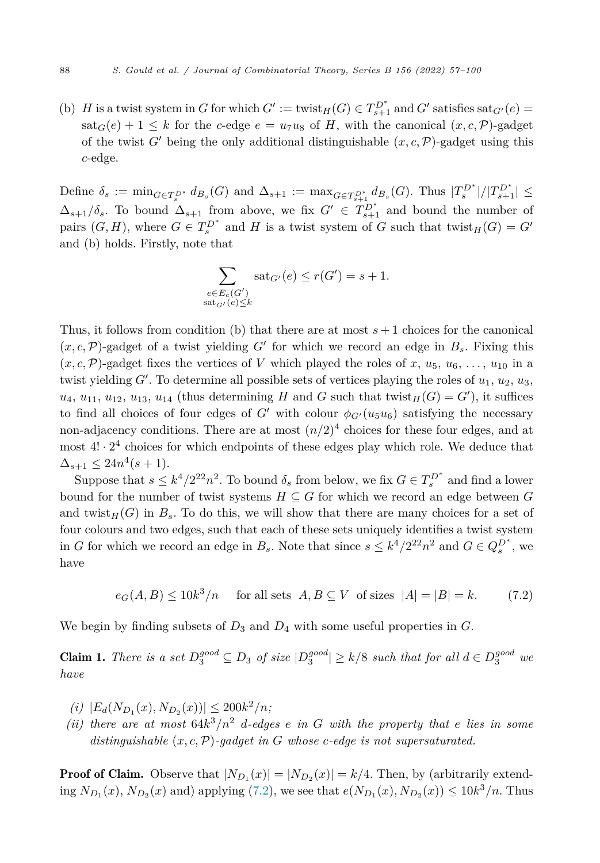<span id="page-32-0"></span>(b) *H* is a twist system in *G* for which  $G' := \text{twist}_H(G) \in T_{s+1}^{D^*}$  and  $G'$  satisfies sat $_{G'}(e) =$  $\text{sat}_G(e) + 1 \leq k$  for the *c*-edge  $e = u_7u_8$  of *H*, with the canonical  $(x, c, \mathcal{P})$ -gadget of the twist  $G'$  being the only additional distinguishable  $(x, c, \mathcal{P})$ -gadget using this *c*-edge.

Define  $\delta_s := \min_{G \in T_s^{D^*}} d_{B_s}(G)$  and  $\Delta_{s+1} := \max_{G \in T_{s+1}^{D^*}} d_{B_s}(G)$ . Thus  $|T_s^{D^*}|/|T_{s+1}^{D^*}| \le$  $\Delta_{s+1}/\delta_s$ . To bound  $\Delta_{s+1}$  from above, we fix  $G' \in T_{s+1}^{D^*}$  and bound the number of pairs  $(G, H)$ , where  $G \in T_s^{D^*}$  and *H* is a twist system of *G* such that twist<sub>*H*</sub>(*G*) = *G*<sup>*'*</sup> and (b) holds. Firstly, note that

$$
\sum_{\substack{e \in E_c(G')\\ \text{sat}_{G'}(e) \le k}} \text{sat}_{G'}(e) \le r(G') = s + 1.
$$

Thus, it follows from condition (b) that there are at most  $s+1$  choices for the canonical  $(x, c, \mathcal{P})$ -gadget of a twist yielding *G*<sup> $\prime$ </sup> for which we record an edge in  $B_s$ . Fixing this  $(x, c, \mathcal{P})$ -gadget fixes the vertices of *V* which played the roles of *x*,  $u_5$ ,  $u_6$ ,  $\dots$ ,  $u_{10}$  in a twist yielding  $G'$ . To determine all possible sets of vertices playing the roles of  $u_1, u_2, u_3$ ,  $u_4, u_{11}, u_{12}, u_{13}, u_{14}$  (thus determining *H* and *G* such that twist<sub>*H*</sub>(*G*) = *G*<sup> $\prime$ </sup>), it suffices to find all choices of four edges of *G*<sup> $\prime$ </sup> with colour  $\phi_{G'}(u_5u_6)$  satisfying the necessary non-adjacency conditions. There are at most  $(n/2)^4$  choices for these four edges, and at most  $4! \cdot 2^4$  choices for which endpoints of these edges play which role. We deduce that  $\Delta_{s+1} \leq 24n^4(s+1).$ 

Suppose that  $s \leq k^4/2^{22}n^2$ . To bound  $\delta_s$  from below, we fix  $G \in T_s^{D^*}$  and find a lower bound for the number of twist systems  $H \subseteq G$  for which we record an edge between  $G$ and twist $_H(G)$  in  $B_s$ . To do this, we will show that there are many choices for a set of four colours and two edges, such that each of these sets uniquely identifies a twist system in *G* for which we record an edge in  $B_s$ . Note that since  $s \leq k^4/2^{22}n^2$  and  $G \in Q_s^{D^*}$ , we have

 $e_G(A, B) \le 10k^3/n$  for all sets  $A, B \subseteq V$  of sizes  $|A| = |B| = k.$  (7.2)

We begin by finding subsets of *D*<sup>3</sup> and *D*<sup>4</sup> with some useful properties in *G*.

**Claim 1.** There is a set  $D_3^{good} \subseteq D_3$  of size  $|D_3^{good}| \ge k/8$  such that for all  $d \in D_3^{good}$  we *have*

- $\langle i \rangle$   $|E_d(N_{D_1}(x), N_{D_2}(x))| \leq 200k^2/n;$
- *(ii)* there are at most  $64k^3/n^2$  *d*-edges *e in G* with the property that *e* lies *in* some *distinguishable* (*x, c,*P)*-gadget in G whose c-edge is not supersaturated.*

**Proof of Claim.** Observe that  $|N_{D_1}(x)| = |N_{D_2}(x)| = k/4$ . Then, by (arbitrarily extending  $N_{D_1}(x)$ ,  $N_{D_2}(x)$  and) applying (7.2), we see that  $e(N_{D_1}(x), N_{D_2}(x)) \le 10k^3/n$ . Thus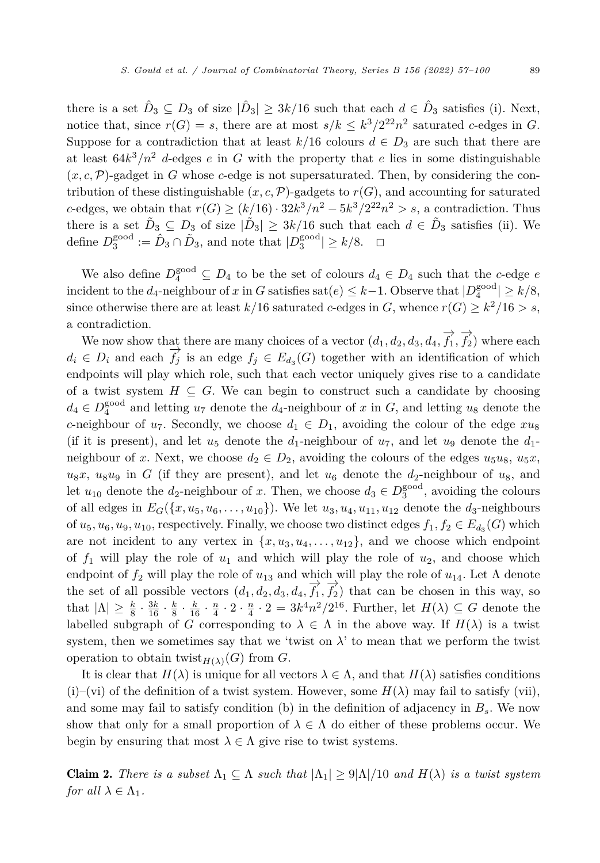there is a set  $\hat{D}_3 \subseteq D_3$  of size  $|\hat{D}_3| \geq 3k/16$  such that each  $d \in \hat{D}_3$  satisfies (i). Next, notice that, since  $r(G) = s$ , there are at most  $s/k \leq k^3/2^{22}n^2$  saturated *c*-edges in *G*. Suppose for a contradiction that at least  $k/16$  colours  $d \in D_3$  are such that there are at least  $64k^3/n^2$  *d*-edges *e* in *G* with the property that *e* lies in some distinguishable  $(x, c, \mathcal{P})$ -gadget in *G* whose *c*-edge is not supersaturated. Then, by considering the contribution of these distinguishable  $(x, c, \mathcal{P})$ -gadgets to  $r(G)$ , and accounting for saturated *c*-edges, we obtain that  $r(G) \ge (k/16) \cdot 32k^3/n^2 - 5k^3/2^{22}n^2 > s$ , a contradiction. Thus there is a set  $\tilde{D}_3 \subseteq D_3$  of size  $|\tilde{D}_3| \geq 3k/16$  such that each  $d \in \tilde{D}_3$  satisfies (ii). We define  $D_3^{\text{good}} := \hat{D}_3 \cap \tilde{D}_3$ , and note that  $|D_3^{\text{good}}| \geq k/8$ .  $\Box$  $\Box$ 

We also define  $D_4^{\text{good}} \subseteq D_4$  to be the set of colours  $d_4 \in D_4$  such that the *c*-edge *e* incident to the  $d_4$ -neighbour of *x* in *G* satisfies sat $(e) \leq k-1$ . Observe that  $|D_4^{\text{good}}| \geq k/8$ , since otherwise there are at least  $k/16$  saturated *c*-edges in *G*, whence  $r(G) \geq k^2/16 > s$ , a contradiction.

We now show that there are many choices of a vector  $(d_1, d_2, d_3, d_4, \overrightarrow{f_1}, \overrightarrow{f_2})$  where each  $d_i \in D_i$  and each  $\overrightarrow{f}_j$  is an edge  $f_j \in E_{d_3}(G)$  together with an identification of which endpoints will play which role, such that each vector uniquely gives rise to a candidate of a twist system  $H \subseteq G$ . We can begin to construct such a candidate by choosing  $d_4 \in D_4^{\text{good}}$  and letting  $u_7$  denote the  $d_4$ -neighbour of *x* in *G*, and letting  $u_8$  denote the *c*-neighbour of  $u_7$ . Secondly, we choose  $d_1 \in D_1$ , avoiding the colour of the edge  $xu_8$ (if it is present), and let  $u_5$  denote the  $d_1$ -neighbour of  $u_7$ , and let  $u_9$  denote the  $d_1$ neighbour of *x*. Next, we choose  $d_2 \in D_2$ , avoiding the colours of the edges  $u_5u_8$ ,  $u_5x$ ,  $u_8x$ ,  $u_8u_9$  in *G* (if they are present), and let  $u_6$  denote the  $d_2$ -neighbour of  $u_8$ , and let  $u_{10}$  denote the *d*<sub>2</sub>-neighbour of *x*. Then, we choose  $d_3 \in D_3^{\text{good}}$ , avoiding the colours of all edges in  $E_G({x, u_5, u_6, \ldots, u_{10}})$ . We let  $u_3, u_4, u_{11}, u_{12}$  denote the  $d_3$ -neighbours of  $u_5, u_6, u_9, u_{10}$ , respectively. Finally, we choose two distinct edges  $f_1, f_2 \in E_{d_3}(G)$  which are not incident to any vertex in  $\{x, u_3, u_4, \ldots, u_{12}\}$ , and we choose which endpoint of  $f_1$  will play the role of  $u_1$  and which will play the role of  $u_2$ , and choose which endpoint of *f*<sup>2</sup> will play the role of *u*<sup>13</sup> and which will play the role of *u*14. Let Λ denote the set of all possible vectors  $(d_1, d_2, d_3, d_4, \overrightarrow{f_1}, \overrightarrow{f_2})$  that can be chosen in this way, so that  $|\Lambda| \ge \frac{k}{8} \cdot \frac{3k}{16} \cdot \frac{k}{8} \cdot \frac{n}{16} \cdot \frac{n}{4} \cdot 2 \cdot \frac{n}{4} \cdot 2 = 3k^4n^2/2^{16}$ . Further, let  $H(\lambda) \subseteq G$  denote the labelled subgraph of *G* corresponding to  $\lambda \in \Lambda$  in the above way. If  $H(\lambda)$  is a twist system, then we sometimes say that we 'twist on  $\lambda$ ' to mean that we perform the twist operation to obtain twist<sub> $H(\lambda)$ </sub> $(G)$  from *G*.

It is clear that  $H(\lambda)$  is unique for all vectors  $\lambda \in \Lambda$ , and that  $H(\lambda)$  satisfies conditions (i)–(vi) of the definition of a twist system. However, some  $H(\lambda)$  may fail to satisfy (vii), and some may fail to satisfy condition (b) in the definition of adjacency in *Bs*. We now show that only for a small proportion of  $\lambda \in \Lambda$  do either of these problems occur. We begin by ensuring that most  $\lambda \in \Lambda$  give rise to twist systems.

**Claim 2.** There is a subset  $\Lambda_1 \subseteq \Lambda$  such that  $|\Lambda_1| \geq 9|\Lambda|/10$  and  $H(\lambda)$  is a twist system *for all*  $\lambda \in \Lambda_1$ *.*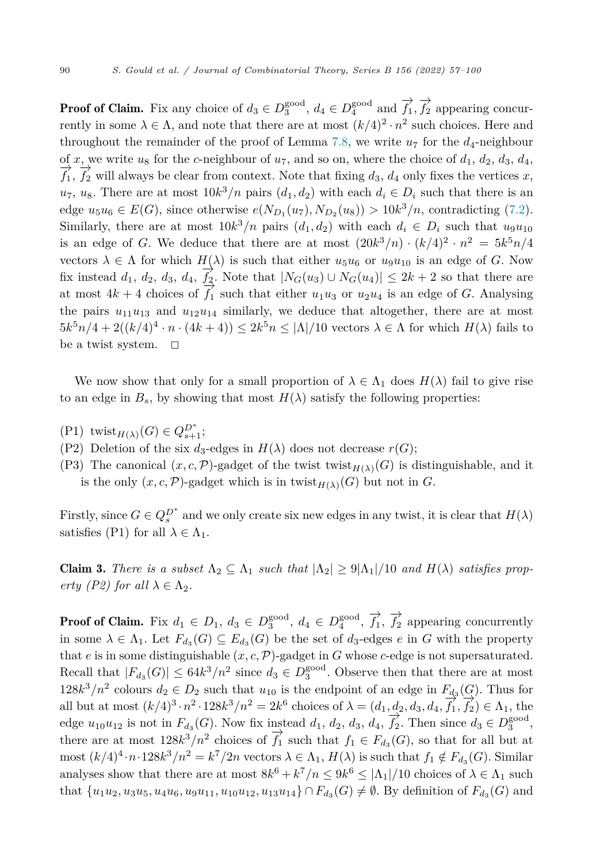<span id="page-34-0"></span>**Proof of Claim.** Fix any choice of  $d_3 \in D_3^{\text{good}}$ ,  $d_4 \in D_4^{\text{good}}$  and  $\overrightarrow{f_1}, \overrightarrow{f_2}$  appearing concurrently in some  $\lambda \in \Lambda$ , and note that there are at most  $(k/4)^2 \cdot n^2$  such choices. Here and throughout the remainder of the proof of Lemma [7.8,](#page-31-0) we write  $u_7$  for the  $d_4$ -neighbour of x, we write  $u_8$  for the c-neighbour of  $u_7$ , and so on, where the choice of  $d_1$ ,  $d_2$ ,  $d_3$ ,  $d_4$ , of x, we write  $u_8$  for the c-neighbour of  $u_7$ , and so on, where the choice of  $d_1$ ,  $d_2$ ,  $d_3$ ,  $d_4$ ,  $\overrightarrow{f_1}$ ,  $\overrightarrow{f_2}$  will always be clear from context. Note that fixing  $d_3$ ,  $d_4$  only fixes the vertices  $u_7, u_8$ . There are at most  $10k^3/n$  pairs  $(d_1, d_2)$  with each  $d_i \in D_i$  such that there is an edge  $u_5u_6 \in E(G)$ , since otherwise  $e(N_{D_1}(u_7), N_{D_2}(u_8)) > 10k^3/n$ , contradicting ([7.2\)](#page-32-0). Similarly, there are at most  $10k^3/n$  pairs  $(d_1, d_2)$  with each  $d_i \in D_i$  such that  $u_9u_{10}$ is an edge of *G*. We deduce that there are at most  $(20k^3/n) \cdot (k/4)^2 \cdot n^2 = 5k^5n/4$ vectors  $\lambda \in \Lambda$  for which  $H(\lambda)$  is such that either  $u_5u_6$  or  $u_9u_{10}$  is an edge of *G*. Now fix instead  $d_1$ ,  $d_2$ ,  $d_3$ ,  $d_4$ ,  $\overrightarrow{f_2}$ . Note that  $|N_G(u_3) \cup N_G(u_4)| \leq 2k + 2$  so that there are at most  $4k + 4$  choices of  $\overline{f}_1$  such that either  $u_1u_3$  or  $u_2u_4$  is an edge of *G*. Analysing the pairs  $u_{11}u_{13}$  and  $u_{12}u_{14}$  similarly, we deduce that altogether, there are at most  $5k^5n/4 + 2((k/4)^4 \cdot n \cdot (4k+4)) \leq 2k^5n \leq |\Lambda|/10$  vectors  $\lambda \in \Lambda$  for which  $H(\lambda)$  fails to be a twist system.  $\Box$ 

We now show that only for a small proportion of  $\lambda \in \Lambda_1$  does  $H(\lambda)$  fail to give rise to an edge in  $B_s$ , by showing that most  $H(\lambda)$  satisfy the following properties:

- $(P1)$  twist<sub>*H*( $\lambda$ )</sub>(*G*)  $\in Q_{s+1}^{D^*};$
- (P2) Deletion of the six  $d_3$ -edges in  $H(\lambda)$  does not decrease  $r(G)$ ;
- (P3) The canonical  $(x, c, \mathcal{P})$ -gadget of the twist twist $H(\lambda)(G)$  is distinguishable, and it is the only  $(x, c, \mathcal{P})$ -gadget which is in twist $_{H(\lambda)}(G)$  but not in *G*.

Firstly, since  $G \in Q_s^{D^*}$  and we only create six new edges in any twist, it is clear that  $H(\lambda)$ satisfies (P1) for all  $\lambda \in \Lambda_1$ .

**Claim 3.** There is a subset  $\Lambda_2 \subseteq \Lambda_1$  such that  $|\Lambda_2| \geq 9|\Lambda_1|/10$  and  $H(\lambda)$  satisfies prop*erty* (P2) *for all*  $\lambda \in \Lambda_2$ *.* 

**Proof of Claim.** Fix  $d_1 \in D_1$ ,  $d_3 \in D_3^{\text{good}}$ ,  $d_4 \in D_4^{\text{good}}$ ,  $\overrightarrow{f_1}$ ,  $\overrightarrow{f_2}$  appearing concurrently in some  $\lambda \in \Lambda_1$ . Let  $F_{d_3}(G) \subseteq E_{d_3}(G)$  be the set of  $d_3$ -edges  $e$  in  $G$  with the property that *e* is in some distinguishable  $(x, c, \mathcal{P})$ -gadget in *G* whose *c*-edge is not supersaturated. Recall that  $|F_{d_3}(G)| \leq 64k^3/n^2$  since  $d_3 \in D_3^{\text{good}}$ . Observe then that there are at most  $128k^3/n^2$  colours  $d_2 \in D_2$  such that  $u_{10}$  is the endpoint of an edge in  $F_{d_3}(G)$ . Thus for all but at most  $(k/4)^3 \cdot n^2 \cdot 128k^3/n^2 = 2k^6$  choices of  $\lambda = (d_1, d_2, d_3, d_4, \overrightarrow{f_1}, \overrightarrow{f_2}) \in \Lambda_1$ , the edge  $u_{10}u_{12}$  is not in  $F_{d_3}(G)$ . Now fix instead  $d_1, d_2, d_3, d_4, \overrightarrow{f_2}$ . Then since  $d_3 \in D_3^{\text{good}}$ , there are at most  $128k^3/n^2$  choices of  $\overrightarrow{f_1}$  such that  $f_1 \in F_{d_3}(G)$ , so that for all but at most  $(k/4)^4 \cdot n \cdot 128k^3/n^2 = k^7/2n$  vectors  $\lambda \in \Lambda_1$ ,  $H(\lambda)$  is such that  $f_1 \notin F_{d_3}(G)$ . Similar analyses show that there are at most  $8k^6 + k^7/n \leq 9k^6 \leq |\Lambda_1|/10$  choices of  $\lambda \in \Lambda_1$  such that  $\{u_1u_2, u_3u_5, u_4u_6, u_9u_{11}, u_{10}u_{12}, u_{13}u_{14}\} \cap F_{d_3}(G) \neq \emptyset$ . By definition of  $F_{d_3}(G)$  and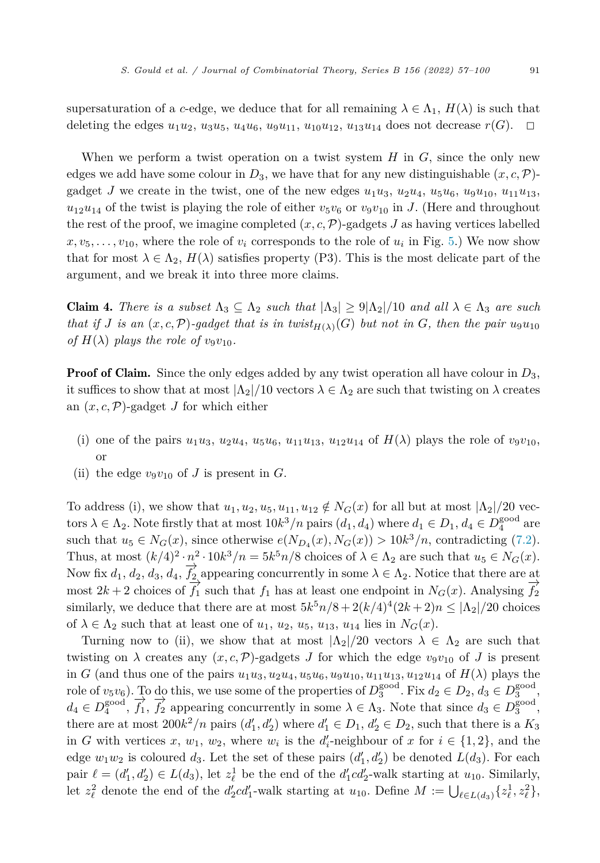<span id="page-35-0"></span>supersaturation of a *c*-edge, we deduce that for all remaining  $\lambda \in \Lambda_1$ ,  $H(\lambda)$  is such that deleting the edges  $u_1u_2$ ,  $u_3u_5$ ,  $u_4u_6$ ,  $u_9u_{11}$ ,  $u_{10}u_{12}$ ,  $u_{13}u_{14}$  does not decrease  $r(G)$ .  $\Box$ 

When we perform a twist operation on a twist system *H* in *G*, since the only new edges we add have some colour in  $D_3$ , we have that for any new distinguishable  $(x, c, \mathcal{P})$ gadget *J* we create in the twist, one of the new edges  $u_1u_3$ ,  $u_2u_4$ ,  $u_5u_6$ ,  $u_9u_{10}$ ,  $u_{11}u_{13}$ ,  $u_{12}u_{14}$  of the twist is playing the role of either  $v_5v_6$  or  $v_9v_{10}$  in *J*. (Here and throughout the rest of the proof, we imagine completed  $(x, c, \mathcal{P})$ -gadgets *J* as having vertices labelled  $x, v_5, \ldots, v_{10}$ , where the role of  $v_i$  corresponds to the role of  $u_i$  in Fig. [5.](#page-31-0)) We now show that for most  $\lambda \in \Lambda_2$ ,  $H(\lambda)$  satisfies property (P3). This is the most delicate part of the argument, and we break it into three more claims.

**Claim 4.** *There is a subset*  $\Lambda_3 \subseteq \Lambda_2$  *such that*  $|\Lambda_3| \geq 9|\Lambda_2|/10$  *and all*  $\lambda \in \Lambda_3$  *are such* that if J is an  $(x, c, \mathcal{P})$ -gadget that is in twist $_{H(\lambda)}(G)$  but not in G, then the pair  $u_9u_{10}$ *of*  $H(\lambda)$  *plays the role of*  $v_9v_{10}$ *.* 

**Proof of Claim.** Since the only edges added by any twist operation all have colour in  $D_3$ , it suffices to show that at most  $|\Lambda_2|/10$  vectors  $\lambda \in \Lambda_2$  are such that twisting on  $\lambda$  creates an  $(x, c, \mathcal{P})$ -gadget *J* for which either

- (i) one of the pairs  $u_1u_3$ ,  $u_2u_4$ ,  $u_5u_6$ ,  $u_{11}u_{13}$ ,  $u_{12}u_{14}$  of  $H(\lambda)$  plays the role of  $v_9v_{10}$ , or
- (ii) the edge  $v_9v_{10}$  of *J* is present in *G*.

To address (i), we show that  $u_1, u_2, u_5, u_{11}, u_{12} \notin N_G(x)$  for all but at most  $|\Lambda_2|/20$  vectors  $\lambda \in \Lambda_2$ . Note firstly that at most  $10k^3/n$  pairs  $(d_1, d_4)$  where  $d_1 \in D_1$ ,  $d_4 \in D_4^{\text{good}}$  are such that  $u_5 \in N_G(x)$ , since otherwise  $e(N_{D_4}(x), N_G(x)) > 10k^3/n$ , contradicting [\(7.2](#page-32-0)). Thus, at most  $(k/4)^2 \cdot n^2 \cdot 10k^3/n = 5k^5n/8$  choices of  $\lambda \in \Lambda_2$  are such that  $u_5 \in N_G(x)$ . Now fix  $d_1, d_2, d_3, d_4, \overrightarrow{f_2}$  appearing concurrently in some  $\lambda \in \Lambda_2$ . Notice that there are at most  $2k + 2$  choices of  $f_1$  such that  $f_1$  has at least one endpoint in  $N_G(x)$ . Analysing  $f_2$ similarly, we deduce that there are at most  $5k^5n/8 + 2(k/4)^4(2k+2)n \leq |\Lambda_2|/20$  choices of  $\lambda \in \Lambda_2$  such that at least one of  $u_1, u_2, u_5, u_{13}, u_{14}$  lies in  $N_G(x)$ .

Turning now to (ii), we show that at most  $|\Lambda_2|/20$  vectors  $\lambda \in \Lambda_2$  are such that twisting on  $\lambda$  creates any  $(x, c, \mathcal{P})$ -gadgets *J* for which the edge  $v_9v_{10}$  of *J* is present in G (and thus one of the pairs  $u_1u_3, u_2u_4, u_5u_6, u_9u_{10}, u_{11}u_{13}, u_{12}u_{14}$  of  $H(\lambda)$  plays the role of  $v_5v_6$ ). To do this, we use some of the properties of  $D_3^{\text{good}}$ . Fix  $d_2 \in D_2$ ,  $d_3 \in D_3^{\text{good}}$ ,  $d_4 \in D_4^{\text{good}}, \overrightarrow{f_1}, \overrightarrow{f_2}$  appearing concurrently in some  $\lambda \in \Lambda_3$ . Note that since  $d_3 \in D_3^{\text{good}},$ there are at most  $200k^2/n$  pairs  $(d'_1, d'_2)$  where  $d'_1 \in D_1, d'_2 \in D_2$ , such that there is a  $K_3$ in *G* with vertices *x*, *w*<sub>1</sub>, *w*<sub>2</sub>, where *w*<sub>*i*</sub> is the *d*<sub>*i*</sub>-neighbour of *x* for  $i \in \{1, 2\}$ , and the edge  $w_1w_2$  is coloured  $d_3$ . Let the set of these pairs  $(d'_1, d'_2)$  be denoted  $L(d_3)$ . For each pair  $\ell = (d'_1, d'_2) \in L(d_3)$ , let  $z^1_\ell$  be the end of the  $d'_1cd'_2$ -walk starting at  $u_{10}$ . Similarly, let  $z_{\ell}^2$  denote the end of the  $d'_2cd'_1$ -walk starting at  $u_{10}$ . Define  $M := \bigcup_{\ell \in L(d_3)} \{z_{\ell}^1, z_{\ell}^2\}$ ,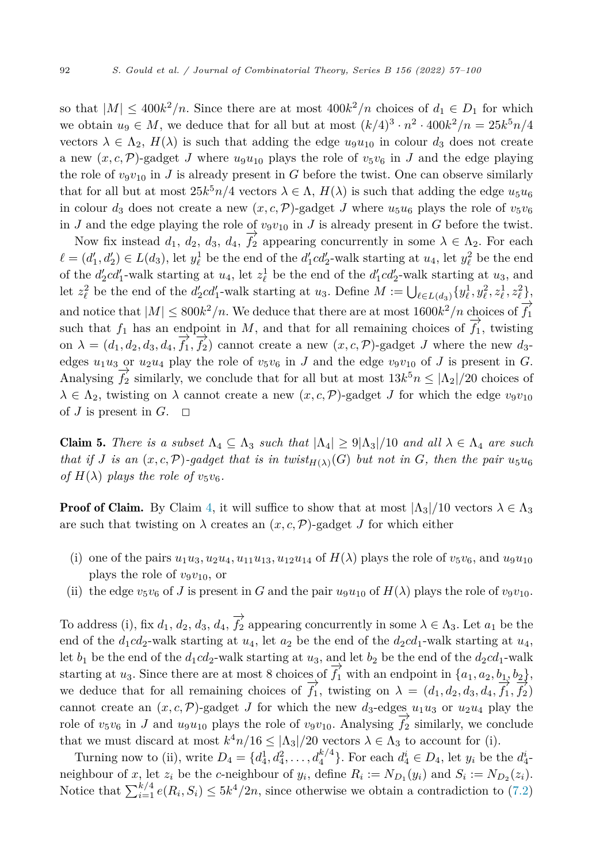so that  $|M| \leq 400k^2/n$ . Since there are at most  $400k^2/n$  choices of  $d_1 \in D_1$  for which we obtain  $u_9 \in M$ , we deduce that for all but at most  $(k/4)^3 \cdot n^2 \cdot 400k^2/n = 25k^5n/4$ vectors  $\lambda \in \Lambda_2$ ,  $H(\lambda)$  is such that adding the edge  $u_9u_{10}$  in colour  $d_3$  does not create a new  $(x, c, \mathcal{P})$ -gadget *J* where  $u_9u_{10}$  plays the role of  $v_5v_6$  in *J* and the edge playing the role of  $v_9v_{10}$  in *J* is already present in *G* before the twist. One can observe similarly that for all but at most  $25k^5n/4$  vectors  $\lambda \in \Lambda$ ,  $H(\lambda)$  is such that adding the edge  $u_5u_6$ in colour  $d_3$  does not create a new  $(x, c, \mathcal{P})$ -gadget *J* where  $u_5u_6$  plays the role of  $v_5v_6$ in *J* and the edge playing the role of  $v_9v_{10}$  in *J* is already present in *G* before the twist.

Now fix instead  $d_1, d_2, d_3, d_4, \overrightarrow{f_2}$  appearing concurrently in some  $\lambda \in \Lambda_2$ . For each  $\ell = (d'_1, d'_2) \in L(d_3)$ , let  $y_\ell^1$  be the end of the  $d'_1cd'_2$ -walk starting at  $u_4$ , let  $y_\ell^2$  be the end of the  $d'_2cd'_1$ -walk starting at  $u_4$ , let  $z^1_\ell$  be the end of the  $d'_1cd'_2$ -walk starting at  $u_3$ , and let  $z_{\ell}^2$  be the end of the  $d'_2cd'_1$ -walk starting at *u*<sub>3</sub>. Define  $M := \bigcup_{\ell \in L(d_3)} \{y_{\ell}^1, y_{\ell}^2, z_{\ell}^1, z_{\ell}^2\}$ and notice that  $|M| \leq 800k^2/n$ . We deduce that there are at most  $1600k^2/n$  choices of  $\overrightarrow{f_1}$ such that  $f_1$  has an endpoint in *M*, and that for all remaining choices of  $\overrightarrow{f_1}$ , twisting on  $\lambda = (d_1, d_2, d_3, d_4, \overrightarrow{f_1}, \overrightarrow{f_2})$  cannot create a new  $(x, c, \mathcal{P})$ -gadget *J* where the new  $d_3$ edges  $u_1u_3$  or  $u_2u_4$  play the role of  $v_5v_6$  in *J* and the edge  $v_9v_{10}$  of *J* is present in *G*. Analysing  $\overrightarrow{f_2}$  similarly, we conclude that for all but at most  $13k^5n \leq |\Lambda_2|/20$  choices of  $\lambda \in \Lambda_2$ , twisting on  $\lambda$  cannot create a new  $(x, c, \mathcal{P})$ -gadget *J* for which the edge  $v_9v_{10}$ of  $J$  is present in  $G$ .  $\Box$ 

**Claim 5.** There is a subset  $\Lambda_4 \subseteq \Lambda_3$  such that  $|\Lambda_4| \geq 9|\Lambda_3|/10$  and all  $\lambda \in \Lambda_4$  are such that if J is an  $(x, c, \mathcal{P})$ -gadget that is in twist<sub> $H(\lambda)(G)$ </sub> but not in G, then the pair  $u_5u_6$ *of*  $H(\lambda)$  *plays the role of*  $v_5v_6$ *.* 

**Proof of Claim.** By Claim [4,](#page-35-0) it will suffice to show that at most  $|\Lambda_3|/10$  vectors  $\lambda \in \Lambda_3$ are such that twisting on  $\lambda$  creates an  $(x, c, \mathcal{P})$ -gadget *J* for which either

- (i) one of the pairs  $u_1u_3, u_2u_4, u_{11}u_{13}, u_{12}u_{14}$  of  $H(\lambda)$  plays the role of  $v_5v_6$ , and  $u_9u_{10}$ plays the role of  $v_9v_{10}$ , or
- (ii) the edge  $v_5v_6$  of *J* is present in *G* and the pair  $u_9u_{10}$  of  $H(\lambda)$  plays the role of  $v_9v_{10}$ .

To address (i), fix  $d_1, d_2, d_3, d_4, \overrightarrow{f_2}$  appearing concurrently in some  $\lambda \in \Lambda_3$ . Let  $a_1$  be the end of the  $d_1cd_2$ -walk starting at  $u_4$ , let  $a_2$  be the end of the  $d_2cd_1$ -walk starting at  $u_4$ , let  $b_1$  be the end of the  $d_1cd_2$ -walk starting at  $u_3$ , and let  $b_2$  be the end of the  $d_2cd_1$ -walk starting at *u*<sub>3</sub>. Since there are at most 8 choices of  $\overrightarrow{f_1}$  with an endpoint in  $\{a_1, a_2, b_1, b_2\}$ , we deduce that for all remaining choices of  $\overrightarrow{f}_1$ , twisting on  $\lambda = (d_1, d_2, d_3, d_4, \overrightarrow{f}_1, \overrightarrow{f}_2)$ cannot create an  $(x, c, \mathcal{P})$ -gadget *J* for which the new  $d_3$ -edges  $u_1u_3$  or  $u_2u_4$  play the role of  $v_5v_6$  in *J* and  $u_9u_{10}$  plays the role of  $v_9v_{10}$ . Analysing  $\overline{f}_2$  similarly, we conclude that we must discard at most  $k^4n/16 \leq |\Lambda_3|/20$  vectors  $\lambda \in \Lambda_3$  to account for (i).

Turning now to (ii), write  $D_4 = \{d_4^1, d_4^2, \ldots, d_4^{k/4}\}$ . For each  $d_4^i \in D_4$ , let  $y_i$  be the  $d_4^i$ neighbour of *x*, let  $z_i$  be the *c*-neighbour of  $y_i$ , define  $R_i := N_{D_1}(y_i)$  and  $S_i := N_{D_2}(z_i)$ . Notice that  $\sum_{i=1}^{k/4} e(R_i, S_i) \leq 5k^4/2n$ , since otherwise we obtain a contradiction to ([7.2\)](#page-32-0)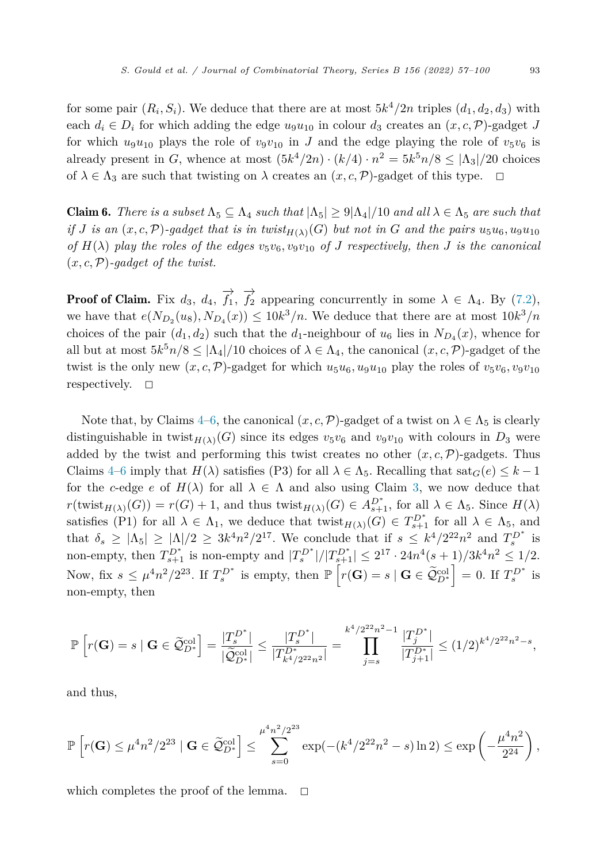for some pair  $(R_i, S_i)$ . We deduce that there are at most  $5k^4/2n$  triples  $(d_1, d_2, d_3)$  with each  $d_i \in D_i$  for which adding the edge  $u_9u_{10}$  in colour  $d_3$  creates an  $(x, c, \mathcal{P})$ -gadget *J* for which  $u_9u_{10}$  plays the role of  $v_9v_{10}$  in *J* and the edge playing the role of  $v_5v_6$  is already present in *G*, whence at most  $(5k^4/2n) \cdot (k/4) \cdot n^2 = 5k^5n/8 \leq |\Lambda_3|/20$  choices of  $\lambda \in \Lambda_3$  are such that twisting on  $\lambda$  creates an  $(x, c, \mathcal{P})$ -gadget of this type.  $\Box$ 

**Claim 6.** There is a subset  $\Lambda_5 \subseteq \Lambda_4$  such that  $|\Lambda_5| \geq 9|\Lambda_4|/10$  and all  $\lambda \in \Lambda_5$  are such that if J is an  $(x, c, \mathcal{P})$ -gadget that is in twist $_{H(\lambda)}(G)$  but not in G and the pairs  $u_5u_6, u_9u_{10}$ of  $H(\lambda)$  play the roles of the edges  $v_5v_6, v_9v_{10}$  of J respectively, then J is the canonical  $(x, c, P)$ *-gadget of the twist.* 

**Proof of Claim.** Fix  $d_3$ ,  $d_4$ ,  $\overrightarrow{f_1}$ ,  $\overrightarrow{f_2}$  appearing concurrently in some  $\lambda \in \Lambda_4$ . By [\(7.2](#page-32-0)), we have that  $e(N_{D_2}(u_8), N_{D_4}(x)) \leq 10k^3/n$ . We deduce that there are at most  $10k^3/n$ choices of the pair  $(d_1, d_2)$  such that the  $d_1$ -neighbour of  $u_6$  lies in  $N_{D_4}(x)$ , whence for all but at most  $5k^5n/8 \leq |\Lambda_4|/10$  choices of  $\lambda \in \Lambda_4$ , the canonical  $(x, c, \mathcal{P})$ -gadget of the twist is the only new  $(x, c, \mathcal{P})$ -gadget for which  $u_5u_6, u_9u_{10}$  play the roles of  $v_5v_6, v_9v_{10}$ respectively.  $\Box$ 

Note that, by Claims [4](#page-35-0)–6, the canonical  $(x, c, \mathcal{P})$ -gadget of a twist on  $\lambda \in \Lambda_5$  is clearly distinguishable in twist $_{H(\lambda)}(G)$  since its edges  $v_5v_6$  and  $v_9v_{10}$  with colours in  $D_3$  were added by the twist and performing this twist creates no other  $(x, c, \mathcal{P})$ -gadgets. Thus Claims [4–](#page-35-0)6 imply that  $H(\lambda)$  satisfies (P3) for all  $\lambda \in \Lambda_5$ . Recalling that sat $_G(e) \leq k-1$ for the *c*-edge *e* of  $H(\lambda)$  for all  $\lambda \in \Lambda$  and also using Claim [3](#page-34-0), we now deduce that  $r(\text{twist}_{H(\lambda)}(G)) = r(G) + 1$ , and thus  $\text{twist}_{H(\lambda)}(G) \in A_{s+1}^{D^*}$ , for all  $\lambda \in \Lambda_5$ . Since  $H(\lambda)$ satisfies (P1) for all  $\lambda \in \Lambda_1$ , we deduce that twist<sub> $H(\lambda)(G) \in T_{s+1}^{D^*}$  for all  $\lambda \in \Lambda_5$ , and</sub> that  $\delta_s \geq |\Lambda_5| \geq |\Lambda|/2 \geq 3k^4n^2/2^{17}$ . We conclude that if  $s \leq k^4/2^{22}n^2$  and  $T_s^{D^*}$  is non-empty, then  $T_{s+1}^{D^*}$  is non-empty and  $|T_s^{D^*}|/|T_{s+1}^{D^*}| \leq 2^{17} \cdot 24n^4(s+1)/3k^4n^2 \leq 1/2$ . Now, fix  $s \leq \mu^4 n^2 / 2^{23}$ . If  $T_s^{D^*}$  is empty, then  $\mathbb{P}\left[r(\mathbf{G}) = s \mid \mathbf{G} \in \widetilde{\mathcal{Q}}_{D^*}^{\text{col}}\right] = 0$ . If  $T_s^{D^*}$  is non-empty, then

$$
\mathbb{P}\left[r(\mathbf{G})=s \mid \mathbf{G} \in \widetilde{\mathcal{Q}}_{D^*}^{\text{col}}\right] = \frac{|T_s^{D^*}|}{|\widetilde{\mathcal{Q}}_{D^*}^{\text{col}}|} \le \frac{|T_s^{D^*}|}{|T_{k^4/2^{22}n^2}^{\text{tot}}|} = \prod_{j=s}^{k^4/2^{22}n^2-1} \frac{|T_j^{D^*}|}{|T_{j+1}^{D^*}|} \le (1/2)^{k^4/2^{22}n^2-s},
$$

and thus,

$$
\mathbb{P}\left[r(\mathbf{G}) \le \mu^4 n^2/2^{23} \mid \mathbf{G} \in \widetilde{\mathcal{Q}}_{D^*}^{\mathrm{col}}\right] \le \sum_{s=0}^{\mu^4 n^2/2^{23}} \exp(-(k^4/2^{22}n^2 - s)\ln 2) \le \exp\left(-\frac{\mu^4 n^2}{2^{24}}\right),
$$

which completes the proof of the lemma.  $\Box$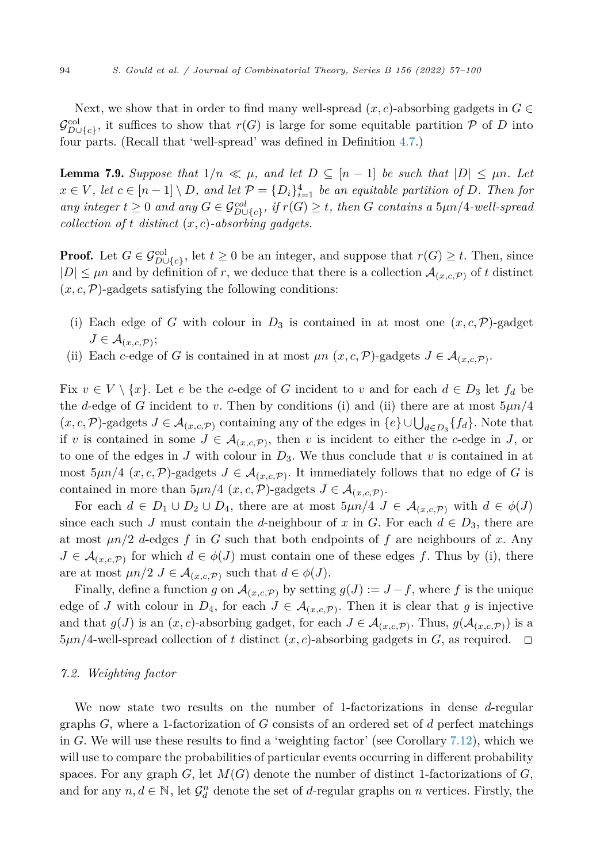<span id="page-38-0"></span>Next, we show that in order to find many well-spread  $(x, c)$ -absorbing gadgets in  $G \in$  $\mathcal{G}^{\text{col}}_{\{\mathcal{C}\}}$ , it suffices to show that  $r(G)$  is large for some equitable partition P of D into four parts. (Recall that 'well-spread' was defined in Definition [4.7](#page-13-0).)

**Lemma 7.9.** Suppose that  $1/n \ll \mu$ , and let  $D \subseteq [n-1]$  be such that  $|D| \leq \mu n$ . Let  $x \in V$ , let  $c \in [n-1] \setminus D$ , and let  $\mathcal{P} = \{D_i\}_{i=1}^4$  be an equitable partition of D. Then for any integer  $t \geq 0$  and any  $G \in \mathcal{G}_{D \cup \{c\}}^{col}$ , if  $r(G) \geq t$ , then G contains a  $5\mu n/4$ -well-spread *collection of*  $t$  *distinct*  $(x, c)$ *-absorbing gadgets.* 

**Proof.** Let  $G \in \mathcal{G}_{D\cup\{c\}}^{\text{col}}$ , let  $t \geq 0$  be an integer, and suppose that  $r(G) \geq t$ . Then, since  $|D| \leq \mu n$  and by definition of *r*, we deduce that there is a collection  $\mathcal{A}_{(x,c,\mathcal{P})}$  of *t* distinct  $(x, c, \mathcal{P})$ -gadgets satisfying the following conditions:

- (i) Each edge of *G* with colour in  $D_3$  is contained in at most one  $(x, c, \mathcal{P})$ -gadget  $J \in \mathcal{A}_{(x,c,\mathcal{P})}$ ;
- (ii) Each *c*-edge of *G* is contained in at most  $\mu n$   $(x, c, \mathcal{P})$ -gadgets  $J \in \mathcal{A}_{(x, c, \mathcal{P})}$ .

Fix  $v \in V \setminus \{x\}$ . Let *e* be the *c*-edge of *G* incident to *v* and for each  $d \in D_3$  let  $f_d$  be the *d*-edge of *G* incident to *v*. Then by conditions (i) and (ii) there are at most 5*μn/*4  $(x, c, \mathcal{P})$ -gadgets  $J \in \mathcal{A}_{(x, c, \mathcal{P})}$  containing any of the edges in  $\{e\} \cup \bigcup_{d \in D_3} \{f_d\}$ . Note that if *v* is contained in some  $J \in \mathcal{A}_{(x,c,\mathcal{P})}$ , then *v* is incident to either the *c*-edge in *J*, or to one of the edges in *J* with colour in *D*3. We thus conclude that *v* is contained in at most  $5\mu n/4$  (*x, c, P*)-gadgets  $J \in \mathcal{A}_{(x,c,\mathcal{P})}$ . It immediately follows that no edge of *G* is contained in more than  $5\mu n/4$  (*x, c, P*)-gadgets  $J \in \mathcal{A}_{(x,c,\mathcal{P})}$ .

For each  $d \in D_1 \cup D_2 \cup D_4$ , there are at most  $5\mu n/4$   $J \in \mathcal{A}_{(x,c,\mathcal{P})}$  with  $d \in \phi(J)$ since each such *J* must contain the *d*-neighbour of *x* in *G*. For each  $d \in D_3$ , there are at most *μn/*2 *d*-edges *f* in *G* such that both endpoints of *f* are neighbours of *x*. Any  $J \in \mathcal{A}_{(x,c,\mathcal{P})}$  for which  $d \in \phi(J)$  must contain one of these edges f. Thus by (i), there are at most  $\mu n/2$   $J \in \mathcal{A}_{(x,c,\mathcal{P})}$  such that  $d \in \phi(J)$ .

Finally, define a function *g* on  $\mathcal{A}_{(x,c,\mathcal{P})}$  by setting  $g(J) := J - f$ , where *f* is the unique edge of *J* with colour in  $D_4$ , for each  $J \in \mathcal{A}_{(x,c,\mathcal{P})}$ . Then it is clear that *g* is injective and that  $g(J)$  is an  $(x, c)$ -absorbing gadget, for each  $J \in \mathcal{A}_{(x, c, \mathcal{P})}$ . Thus,  $g(\mathcal{A}_{(x, c, \mathcal{P})})$  is a  $5\mu n/4$ -well-spread collection of *t* distinct  $(x, c)$ -absorbing gadgets in *G*, as required.  $\Box$ 

#### *7.2. Weighting factor*

We now state two results on the number of 1-factorizations in dense *d*-regular graphs *G*, where a 1-factorization of *G* consists of an ordered set of *d* perfect matchings in *G*. We will use these results to find a 'weighting factor' (see Corollary [7.12](#page-39-0)), which we will use to compare the probabilities of particular events occurring in different probability spaces. For any graph  $G$ , let  $M(G)$  denote the number of distinct 1-factorizations of  $G$ , and for any  $n, d \in \mathbb{N}$ , let  $\mathcal{G}_d^n$  denote the set of *d*-regular graphs on *n* vertices. Firstly, the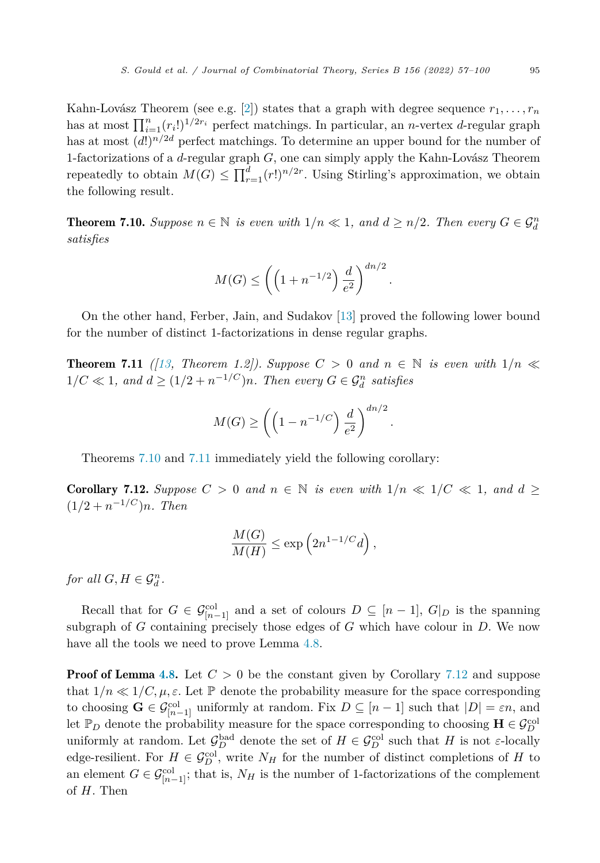<span id="page-39-0"></span>Kahn-Lovász Theorem (see e.g. [[2\]](#page-43-0)) states that a graph with degree sequence  $r_1, \ldots, r_n$ has at most  $\prod_{i=1}^{n} (r_i!)^{1/2r_i}$  perfect matchings. In particular, an *n*-vertex *d*-regular graph has at most  $(d!)^{n/2d}$  perfect matchings. To determine an upper bound for the number of 1-factorizations of a *d*-regular graph *G*, one can simply apply the Kahn-Lovász Theorem repeatedly to obtain  $M(G) \le \prod_{r=1}^{d} (r!)^{n/2r}$ . Using Stirling's approximation, we obtain the following result.

**Theorem 7.10.** Suppose  $n \in \mathbb{N}$  is even with  $1/n \ll 1$ , and  $d \geq n/2$ . Then every  $G \in \mathcal{G}_d^n$ *satisfies*

$$
M(G) \le \left( \left( 1 + n^{-1/2} \right) \frac{d}{e^2} \right)^{dn/2}.
$$

On the other hand, Ferber, Jain, and Sudakov [\[13](#page-43-0)] proved the following lower bound for the number of distinct 1-factorizations in dense regular graphs.

**Theorem 7.11** ([\[13](#page-43-0)], Theorem 1.2]). Suppose  $C > 0$  and  $n \in \mathbb{N}$  is even with  $1/n \ll 1$  $1/C \ll 1$ , and  $d \geq (1/2 + n^{-1/C})n$ . Then every  $G \in \mathcal{G}_d^n$  satisfies

$$
M(G) \ge \left( \left( 1 - n^{-1/C} \right) \frac{d}{e^2} \right)^{dn/2}
$$

*.*

Theorems 7.10 and 7.11 immediately yield the following corollary:

**Corollary 7.12.** Suppose  $C > 0$  and  $n \in \mathbb{N}$  is even with  $1/n \ll 1/C \ll 1$ , and  $d \ge$  $(1/2 + n^{-1/C})n$ *. Then* 

$$
\frac{M(G)}{M(H)} \le \exp\left(2n^{1-1/C}d\right),\,
$$

*for all*  $G, H \in \mathcal{G}_d^n$ .

Recall that for  $G \in \mathcal{G}_{[n-1]}^{col}$  and a set of colours  $D \subseteq [n-1], G|_{D}$  is the spanning subgraph of *G* containing precisely those edges of *G* which have colour in *D*. We now have all the tools we need to prove Lemma [4.8.](#page-14-0)

**Proof of Lemma [4.8.](#page-14-0)** Let  $C > 0$  be the constant given by Corollary 7.12 and suppose that  $1/n \ll 1/C, \mu, \varepsilon$ . Let P denote the probability measure for the space corresponding to choosing  $\mathbf{G} \in \mathcal{G}_{[n-1]}^{col}$  uniformly at random. Fix  $D \subseteq [n-1]$  such that  $|D| = \varepsilon n$ , and let  $\mathbb{P}_D$  denote the probability measure for the space corresponding to choosing  $\mathbf{H} \in \mathcal{G}_D^{\text{col}}$ uniformly at random. Let  $\mathcal{G}_D^{\text{bad}}$  denote the set of  $H \in \mathcal{G}_D^{\text{col}}$  such that  $H$  is not *ε*-locally edge-resilient. For  $H \in \mathcal{G}_D^{\text{col}}$ , write  $N_H$  for the number of distinct completions of *H* to an element  $G \in \mathcal{G}_{[n-1]}^{\text{col}}$ ; that is,  $N_H$  is the number of 1-factorizations of the complement of *H*. Then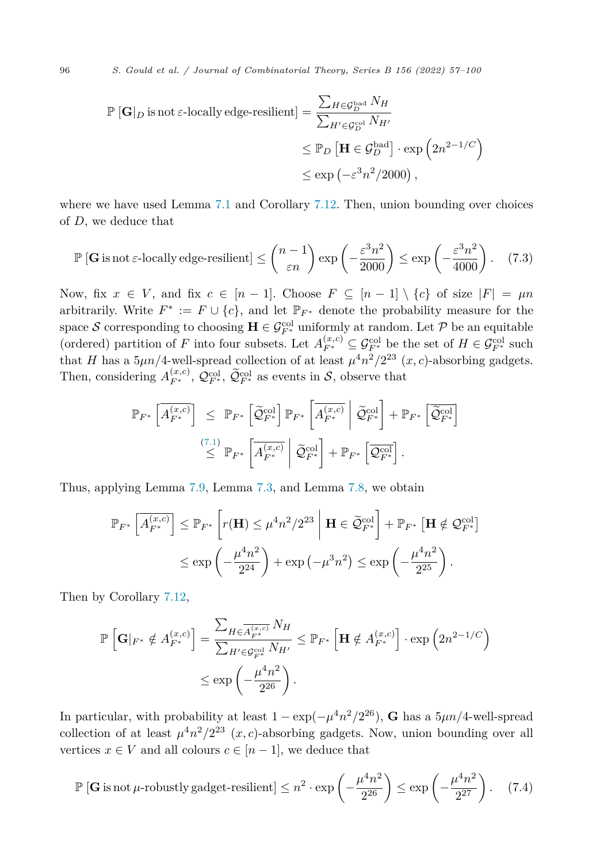<span id="page-40-0"></span>
$$
\mathbb{P}\left[\mathbf{G}\right]_D \text{ is not } \varepsilon\text{-locally edge-resilient}\right] = \frac{\sum_{H \in \mathcal{G}_D^{\text{bad}}} N_H}{\sum_{H' \in \mathcal{G}_D^{\text{col}}} N_{H'}} \leq \mathbb{P}_D\left[\mathbf{H} \in \mathcal{G}_D^{\text{bad}}\right] \cdot \exp\left(2n^{2-1/C}\right) \leq \exp\left(-\varepsilon^3 n^2/2000\right),
$$

where we have used Lemma [7.1](#page-27-0) and Corollary [7.12](#page-39-0). Then, union bounding over choices of *D*, we deduce that

$$
\mathbb{P}\left[\mathbf{G}\text{ is not }\varepsilon\text{-locally edge-resilient}\right] \le \binom{n-1}{\varepsilon n} \exp\left(-\frac{\varepsilon^3 n^2}{2000}\right) \le \exp\left(-\frac{\varepsilon^3 n^2}{4000}\right). \tag{7.3}
$$

Now, fix  $x \in V$ , and fix  $c \in [n-1]$ . Choose  $F \subseteq [n-1] \setminus \{c\}$  of size  $|F| = \mu n$ arbitrarily. Write  $F^* := F \cup \{c\}$ , and let  $\mathbb{P}_{F^*}$  denote the probability measure for the space S corresponding to choosing  $\mathbf{H} \in \mathcal{G}_{F^*}^{\text{col}}$  uniformly at random. Let P be an equitable (ordered) partition of *F* into four subsets. Let  $A_{F^*}^{(x,c)} \subseteq \mathcal{G}_{F^*}^{\text{col}}$  be the set of  $H \in \mathcal{G}_{F^*}^{\text{col}}$  such that *H* has a  $5\mu n/4$ -well-spread collection of at least  $\mu^4 n^2/2^{23}$  (*x, c*)-absorbing gadgets. Then, considering  $A_{F^*}^{(x,c)}$ ,  $\mathcal{Q}_{F^*}^{\text{col}}$ ,  $\widetilde{\mathcal{Q}}_{F^*}^{\text{col}}$  as events in  $S$ , observe that

$$
\mathbb{P}_{F^*} \left[ \overline{A_{F^*}^{(x,c)}} \right] \leq \mathbb{P}_{F^*} \left[ \widetilde{\mathcal{Q}}_{F^*}^{\text{col}} \right] \mathbb{P}_{F^*} \left[ \overline{A_{F^*}^{(x,c)}} \middle| \widetilde{\mathcal{Q}}_{F^*}^{\text{col}} \right] + \mathbb{P}_{F^*} \left[ \overline{\widetilde{\mathcal{Q}}_{F^*}^{\text{col}}} \right]
$$
  

$$
\overset{(7.1)}{\leq} \mathbb{P}_{F^*} \left[ \overline{A_{F^*}^{(x,c)}} \middle| \widetilde{\mathcal{Q}}_{F^*}^{\text{col}} \right] + \mathbb{P}_{F^*} \left[ \overline{\mathcal{Q}}_{F^*}^{\text{col}} \right].
$$

Thus, applying Lemma [7.9](#page-38-0), Lemma [7.3,](#page-28-0) and Lemma [7.8,](#page-31-0) we obtain

$$
\mathbb{P}_{F^*}\left[\overline{A_{F^*}^{(x,c)}}\right] \leq \mathbb{P}_{F^*}\left[r(\mathbf{H}) \leq \mu^4 n^2 / 2^{23} \middle| \mathbf{H} \in \widetilde{\mathcal{Q}}_{F^*}^{\text{col}}\right] + \mathbb{P}_{F^*}\left[\mathbf{H} \notin \mathcal{Q}_{F^*}^{\text{col}}\right]
$$

$$
\leq \exp\left(-\frac{\mu^4 n^2}{2^{24}}\right) + \exp\left(-\mu^3 n^2\right) \leq \exp\left(-\frac{\mu^4 n^2}{2^{25}}\right).
$$

Then by Corollary [7.12,](#page-39-0)

$$
\mathbb{P}\left[\mathbf{G}|_{F^*} \notin A_{F^*}^{(x,c)}\right] = \frac{\sum_{H \in \overline{A_{F^*}}^{(x,c)}} N_H}{\sum_{H' \in \mathcal{G}_{F^*}^{col}} N_{H'}} \leq \mathbb{P}_{F^*}\left[\mathbf{H} \notin A_{F^*}^{(x,c)}\right] \cdot \exp\left(2n^{2-1/C}\right)
$$

$$
\leq \exp\left(-\frac{\mu^4 n^2}{2^{26}}\right).
$$

In particular, with probability at least  $1 - \exp(-\mu^4 n^2/2^{26})$ , **G** has a  $5\mu n/4$ -well-spread collection of at least  $\mu^4 n^2/2^{23}$  (*x, c*)-absorbing gadgets. Now, union bounding over all vertices  $x \in V$  and all colours  $c \in [n-1]$ , we deduce that

$$
\mathbb{P}\left[\mathbf{G}\text{ is not }\mu\text{-robustly gadget-resilient}\right] \leq n^2 \cdot \exp\left(-\frac{\mu^4 n^2}{2^{26}}\right) \leq \exp\left(-\frac{\mu^4 n^2}{2^{27}}\right). \tag{7.4}
$$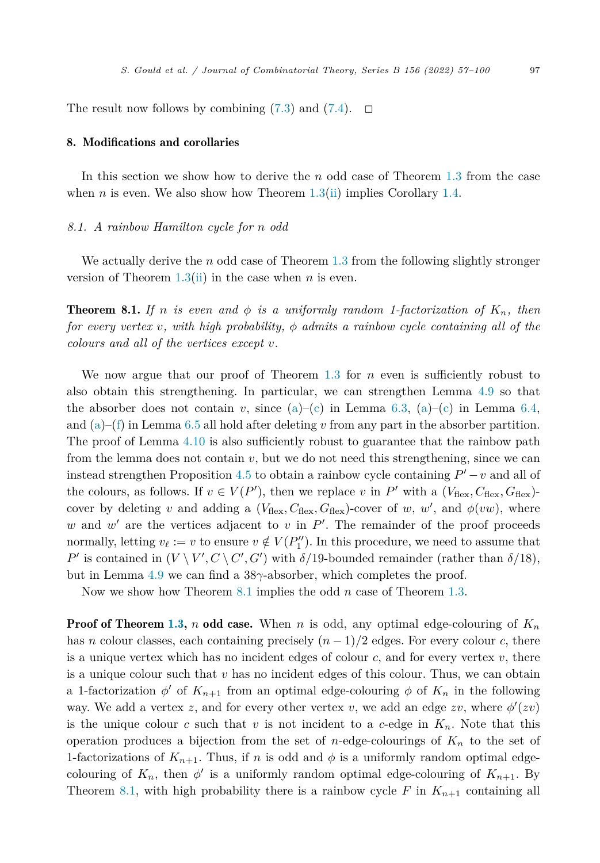<span id="page-41-0"></span>The result now follows by combining  $(7.3)$  $(7.3)$  and  $(7.4)$  $(7.4)$  $(7.4)$ .  $\Box$ 

#### 8. Modifications and corollaries

In this section we show how to derive the *n* odd case of Theorem [1.3](#page-4-0) from the case when *n* is even. We also show how Theorem  $1.3$ (ii) implies Corollary [1.4.](#page-4-0)

#### *8.1. A rainbow Hamilton cycle for n odd*

We actually derive the *n* odd case of Theorem [1.3](#page-4-0) from the following slightly stronger version of Theorem  $1.3$ (ii) in the case when *n* is even.

**Theorem 8.1.** If *n* is even and  $\phi$  is a uniformly random 1-factorization of  $K_n$ , then *for every vertex v*, *with high probability,*  $\phi$  *admits a rainbow cycle containing all of the colours and all of the vertices except v.*

We now argue that our proof of Theorem [1.3](#page-4-0) for *n* even is sufficiently robust to also obtain this strengthening. In particular, we can strengthen Lemma [4.9](#page-14-0) so that the absorber does not [c](#page-22-0)ontain *v*, since  $(a)$  $(a)$ –[\(c\)](#page-20-0) in Lemma [6.3,](#page-20-0)  $(a)$  $(a)$ –(c) in Lemma [6.4](#page-21-0), and ([a\)](#page-23-0)–([f\)](#page-23-0) in Lemma [6.5](#page-23-0) all hold after deleting *v* from any part in the absorber partition. The proof of Lemma [4.10](#page-14-0) is also sufficiently robust to guarantee that the rainbow path from the lemma does not contain  $v$ , but we do not need this strengthening, since we can instead strengthen Proposition [4.5](#page-12-0) to obtain a rainbow cycle containing  $P' - v$  and all of the colours, as follows. If  $v \in V(P')$ , then we replace *v* in  $P'$  with a  $(V_{\text{flex}}, C_{\text{flex}}, G_{\text{flex}})$ cover by deleting *v* and adding a  $(V_{\text{flex}}, C_{\text{flex}}, G_{\text{flex}})$ -cover of *w*, *w'*, and  $\phi(vw)$ , where w and  $w'$  are the vertices adjacent to  $v$  in  $P'$ . The remainder of the proof proceeds normally, letting  $v_{\ell} := v$  to ensure  $v \notin V(P''_1)$ . In this procedure, we need to assume that *P*<sup> $\prime$ </sup> is contained in  $(V \setminus V', C \setminus C', G')$  with  $\delta/19$ -bounded remainder (rather than  $\delta/18$ ), but in Lemma [4.9](#page-14-0) we can find a 38*γ*-absorber, which completes the proof.

Now we show how Theorem 8.1 implies the odd *n* case of Theorem [1.3.](#page-4-0)

Proof of Theorem [1.3](#page-4-0), *n* odd case. When *n* is odd, any optimal edge-colouring of *K<sup>n</sup>* has *n* colour classes, each containing precisely  $(n-1)/2$  edges. For every colour *c*, there is a unique vertex which has no incident edges of colour *c*, and for every vertex *v*, there is a unique colour such that *v* has no incident edges of this colour. Thus, we can obtain a 1-factorization  $\phi'$  of  $K_{n+1}$  from an optimal edge-colouring  $\phi$  of  $K_n$  in the following way. We add a vertex *z*, and for every other vertex *v*, we add an edge *zv*, where  $\phi'(zv)$ is the unique colour  $c$  such that  $v$  is not incident to a  $c$ -edge in  $K_n$ . Note that this operation produces a bijection from the set of *n*-edge-colourings of *K<sup>n</sup>* to the set of 1-factorizations of  $K_{n+1}$ . Thus, if *n* is odd and  $\phi$  is a uniformly random optimal edgecolouring of  $K_n$ , then  $\phi'$  is a uniformly random optimal edge-colouring of  $K_{n+1}$ . By Theorem 8.1, with high probability there is a rainbow cycle  $F$  in  $K_{n+1}$  containing all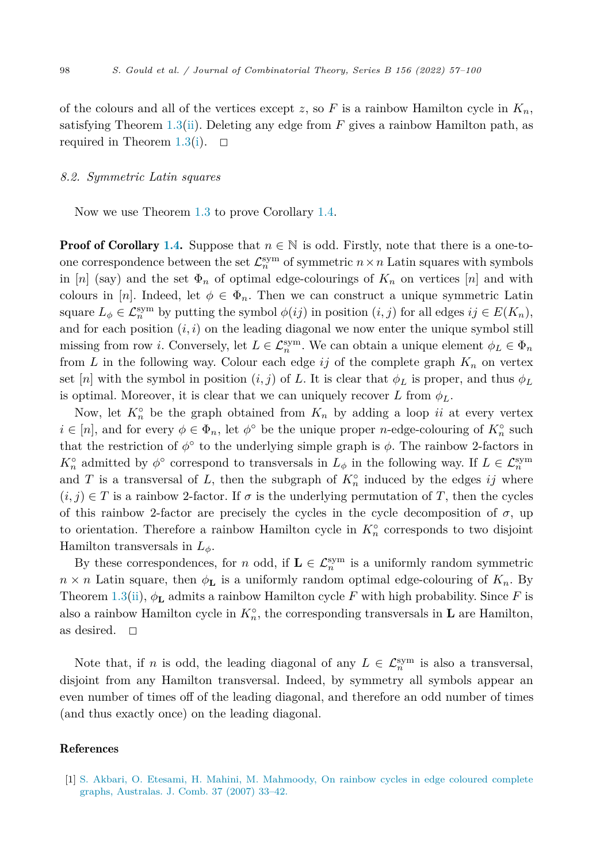<span id="page-42-0"></span>of the colours and all of the vertices except  $z$ , so  $F$  is a rainbow Hamilton cycle in  $K_n$ , satisfying Theorem [1.3\(ii](#page-4-0)). Deleting any edge from *F* gives a rainbow Hamilton path, as required in Theorem  $1.3(i)$  $1.3(i)$ .  $\Box$ 

#### *8.2. Symmetric Latin squares*

Now we use Theorem [1.3](#page-4-0) to prove Corollary [1.4](#page-4-0).

**Proof of Corollary [1.4.](#page-4-0)** Suppose that  $n \in \mathbb{N}$  is odd. Firstly, note that there is a one-toone correspondence between the set  $\mathcal{L}_n^{\text{sym}}$  of symmetric  $n \times n$  Latin squares with symbols in [*n*] (say) and the set  $\Phi_n$  of optimal edge-colourings of  $K_n$  on vertices [*n*] and with colours in [*n*]. Indeed, let  $\phi \in \Phi_n$ . Then we can construct a unique symmetric Latin square  $L_{\phi} \in \mathcal{L}_{n}^{sym}$  by putting the symbol  $\phi(ij)$  in position  $(i, j)$  for all edges  $ij \in E(K_{n})$ , and for each position  $(i, i)$  on the leading diagonal we now enter the unique symbol still missing from row *i*. Conversely, let  $L \in \mathcal{L}_n^{\text{sym}}$ . We can obtain a unique element  $\phi_L \in \Phi_n$ from *L* in the following way. Colour each edge  $ij$  of the complete graph  $K_n$  on vertex set [*n*] with the symbol in position  $(i, j)$  of *L*. It is clear that  $\phi_L$  is proper, and thus  $\phi_L$ is optimal. Moreover, it is clear that we can uniquely recover  $L$  from  $\phi_L$ .

Now, let  $K_n^{\circ}$  be the graph obtained from  $K_n$  by adding a loop *ii* at every vertex  $i \in [n]$ , and for every  $\phi \in \Phi_n$ , let  $\phi^\circ$  be the unique proper *n*-edge-colouring of  $K_n^\circ$  such that the restriction of  $\phi^{\circ}$  to the underlying simple graph is  $\phi$ . The rainbow 2-factors in  $K_n^{\circ}$  admitted by  $\phi^{\circ}$  correspond to transversals in  $L_{\phi}$  in the following way. If  $L \in \mathcal{L}_n^{\text{sym}}$ and *T* is a transversal of *L*, then the subgraph of  $K_n^{\circ}$  induced by the edges *ij* where  $(i, j) \in T$  is a rainbow 2-factor. If  $\sigma$  is the underlying permutation of T, then the cycles of this rainbow 2-factor are precisely the cycles in the cycle decomposition of  $\sigma$ , up to orientation. Therefore a rainbow Hamilton cycle in  $K_n^{\circ}$  corresponds to two disjoint Hamilton transversals in *Lφ*.

By these correspondences, for *n* odd, if  $\mathbf{L} \in \mathcal{L}_n^{\text{sym}}$  is a uniformly random symmetric  $n \times n$  Latin square, then  $\phi_L$  is a uniformly random optimal edge-colouring of  $K_n$ . By Theorem [1.3\(ii\)](#page-4-0),  $\phi_L$  admits a rainbow Hamilton cycle *F* with high probability. Since *F* is also a rainbow Hamilton cycle in  $K_n^{\circ}$ , the corresponding transversals in **L** are Hamilton, as desired.  $\Box$ 

Note that, if *n* is odd, the leading diagonal of any  $L \in \mathcal{L}_n^{\text{sym}}$  is also a transversal, disjoint from any Hamilton transversal. Indeed, by symmetry all symbols appear an even number of times off of the leading diagonal, and therefore an odd number of times (and thus exactly once) on the leading diagonal.

#### References

[1] S. Akbari, O. Etesami, H. Mahini, M. [Mahmoody,](http://refhub.elsevier.com/S0095-8956(22)00039-9/bib31687909882E5BD597DB9DC126A89AB1s1) On rainbow cycles in edge coloured complete graphs, [Australas.](http://refhub.elsevier.com/S0095-8956(22)00039-9/bib31687909882E5BD597DB9DC126A89AB1s1) J. Comb. 37 (2007) 33–42.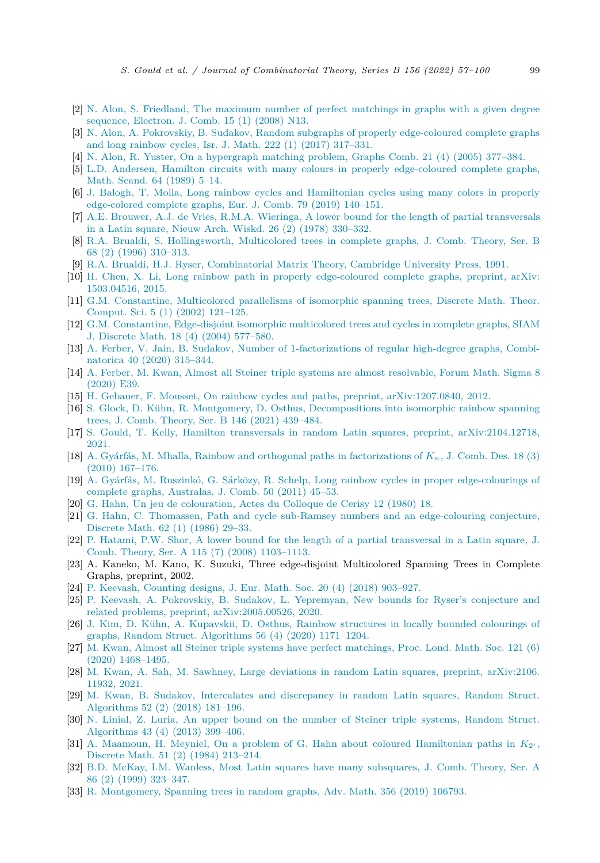- <span id="page-43-0"></span>[2] N. Alon, S. Friedland, The maximum number of perfect [matchings](http://refhub.elsevier.com/S0095-8956(22)00039-9/bib7CBE38A4F760EEE2FB04CF7F488C2765s1) in graphs with a given degree [sequence,](http://refhub.elsevier.com/S0095-8956(22)00039-9/bib7CBE38A4F760EEE2FB04CF7F488C2765s1) Electron. J. Comb. 15 (1) (2008) N13.
- [3] N. Alon, A. Pokrovskiy, B. Sudakov, Random subgraphs of properly [edge-coloured](http://refhub.elsevier.com/S0095-8956(22)00039-9/bib7F0E5A68630C930494FC27CB965BBC40s1) complete graphs and long rainbow cycles, Isr. J. Math. 222 (1) (2017) [317–331.](http://refhub.elsevier.com/S0095-8956(22)00039-9/bib7F0E5A68630C930494FC27CB965BBC40s1)
- [4] N. Alon, R. Yuster, On a [hypergraph](http://refhub.elsevier.com/S0095-8956(22)00039-9/bib3C7F6C9FA91E8D5907B981574E0F773Cs1) matching problem, Graphs Comb. 21 (4) (2005) 377–384.
- [5] L.D. Andersen, Hamilton circuits with many colours in properly [edge-coloured](http://refhub.elsevier.com/S0095-8956(22)00039-9/bib19973E320D023A6CCAB786F1FA37C40Ds1) complete graphs, Math. [Scand.](http://refhub.elsevier.com/S0095-8956(22)00039-9/bib19973E320D023A6CCAB786F1FA37C40Ds1) 64 (1989) 5–14.
- [6] J. Balogh, T. Molla, Long rainbow cycles and [Hamiltonian](http://refhub.elsevier.com/S0095-8956(22)00039-9/bib21E8C86A513DF2CB525263CA59A65648s1) cycles using many colors in properly [edge-colored](http://refhub.elsevier.com/S0095-8956(22)00039-9/bib21E8C86A513DF2CB525263CA59A65648s1) complete graphs, Eur. J. Comb. 79 (2019) 140–151.
- [7] A.E. Brouwer, A.J. de Vries, R.M.A. Wieringa, A lower bound for the length of partial [transversals](http://refhub.elsevier.com/S0095-8956(22)00039-9/bib7866090D7E928A45C07D3D5A4150F58As1) in a Latin square, Nieuw Arch. Wiskd. 26 (2) (1978) [330–332.](http://refhub.elsevier.com/S0095-8956(22)00039-9/bib7866090D7E928A45C07D3D5A4150F58As1)
- [8] R.A. Brualdi, S. [Hollingsworth,](http://refhub.elsevier.com/S0095-8956(22)00039-9/bibCC17CD691413F2E4BC2C7FF4FB62FC83s1) Multicolored trees in complete graphs, J. Comb. Theory, Ser. B 68 (2) (1996) [310–313.](http://refhub.elsevier.com/S0095-8956(22)00039-9/bibCC17CD691413F2E4BC2C7FF4FB62FC83s1)
- [9] R.A. Brualdi, H.J. Ryser, [Combinatorial](http://refhub.elsevier.com/S0095-8956(22)00039-9/bib9F792B6152DC38551AB2683E5C0CF0B8s1) Matrix Theory, Cambridge University Press, 1991.
- [10] H. Chen, X. Li, Long rainbow path in properly [edge-coloured](http://refhub.elsevier.com/S0095-8956(22)00039-9/bibF9DA2EB0AEF63065E306F4D1E3483AC3s1) complete graphs, preprint, arXiv: [1503.04516,](http://refhub.elsevier.com/S0095-8956(22)00039-9/bibF9DA2EB0AEF63065E306F4D1E3483AC3s1) 2015.
- [11] G.M. [Constantine,](http://refhub.elsevier.com/S0095-8956(22)00039-9/bibE0A6EEE6B13D760618954B429446C6B6s1) Multicolored parallelisms of isomorphic spanning trees, Discrete Math. Theor. [Comput.](http://refhub.elsevier.com/S0095-8956(22)00039-9/bibE0A6EEE6B13D760618954B429446C6B6s1) Sci. 5 (1) (2002) 121–125.
- [12] G.M. Constantine, [Edge-disjoint](http://refhub.elsevier.com/S0095-8956(22)00039-9/bibF570F456FEB63002116900D9B6180038s1) isomorphic multicolored trees and cycles in complete graphs, SIAM J. Discrete Math. 18 (4) (2004) [577–580.](http://refhub.elsevier.com/S0095-8956(22)00039-9/bibF570F456FEB63002116900D9B6180038s1)
- [13] A. Ferber, V. Jain, B. Sudakov, Number of [1-factorizations](http://refhub.elsevier.com/S0095-8956(22)00039-9/bib0C175778988AD62C21ACB582594CDF8Es1) of regular high-degree graphs, Combinatorica 40 (2020) [315–344.](http://refhub.elsevier.com/S0095-8956(22)00039-9/bib0C175778988AD62C21ACB582594CDF8Es1)
- [14] A. Ferber, M. Kwan, Almost all Steiner triple systems are almost [resolvable,](http://refhub.elsevier.com/S0095-8956(22)00039-9/bibF13B178B1E826A167C2B30F0C28E59ACs1) Forum Math. Sigma 8 [\(2020\)](http://refhub.elsevier.com/S0095-8956(22)00039-9/bibF13B178B1E826A167C2B30F0C28E59ACs1) E39.
- [15] H. Gebauer, F. Mousset, On rainbow cycles and paths, preprint, [arXiv:1207.0840,](http://refhub.elsevier.com/S0095-8956(22)00039-9/bibDA9D600789F63E3CD3E553FC008DAC3Cs1) 2012.
- [16] S. Glock, D. Kühn, R. Montgomery, D. Osthus, [Decompositions](http://refhub.elsevier.com/S0095-8956(22)00039-9/bibA82E5578E2D9336C12ACBB7114257758s1) into isomorphic rainbow spanning trees, J. Comb. Theory, Ser. B 146 (2021) [439–484.](http://refhub.elsevier.com/S0095-8956(22)00039-9/bibA82E5578E2D9336C12ACBB7114257758s1)
- [17] S. Gould, T. Kelly, Hamilton transversals in random Latin squares, preprint, [arXiv:2104.12718,](http://refhub.elsevier.com/S0095-8956(22)00039-9/bibF0BB563AE5589DB0739CA16117C8C8C9s1) [2021.](http://refhub.elsevier.com/S0095-8956(22)00039-9/bibF0BB563AE5589DB0739CA16117C8C8C9s1)
- [18] A. Gyárfás, M. Mhalla, Rainbow and orthogonal paths in [factorizations](http://refhub.elsevier.com/S0095-8956(22)00039-9/bib28173ECC0077D21644E363F4CFB5902As1) of *Kn*, J. Comb. Des. 18 (3) (2010) [167–176.](http://refhub.elsevier.com/S0095-8956(22)00039-9/bib28173ECC0077D21644E363F4CFB5902As1)
- [19] A. Gyárfás, M. Ruszinkó, G. Sárközy, R. Schelp, Long rainbow cycles in proper [edge-colourings](http://refhub.elsevier.com/S0095-8956(22)00039-9/bibA562D194B3611DB8B633821EC4905199s1) of complete graphs, [Australas.](http://refhub.elsevier.com/S0095-8956(22)00039-9/bibA562D194B3611DB8B633821EC4905199s1) J. Comb. 50 (2011) 45–53.
- [20] G. Hahn, Un jeu de [colouration,](http://refhub.elsevier.com/S0095-8956(22)00039-9/bib0016F05ADA6F9008984F57109047E93As1) Actes du Colloque de Cerisy 12 (1980) 18.
- [21] G. Hahn, C. Thomassen, Path and cycle sub-Ramsey numbers and an [edge-colouring](http://refhub.elsevier.com/S0095-8956(22)00039-9/bibACCF26EA480D7286A79F8F2D12A0B4DDs1) conjecture, [Discrete](http://refhub.elsevier.com/S0095-8956(22)00039-9/bibACCF26EA480D7286A79F8F2D12A0B4DDs1) Math. 62 (1) (1986) 29–33.
- [22] P. Hatami, P.W. Shor, A lower bound for the length of a partial [transversal](http://refhub.elsevier.com/S0095-8956(22)00039-9/bib4889F3001FAB92F3DA748037FEABA1CFs1) in a Latin square, J. Comb. Theory, Ser. A 115 (7) (2008) [1103–1113.](http://refhub.elsevier.com/S0095-8956(22)00039-9/bib4889F3001FAB92F3DA748037FEABA1CFs1)
- [23] A. Kaneko, M. Kano, K. Suzuki, Three edge-disjoint Multicolored Spanning Trees in Complete Graphs, preprint, 2002.
- [24] P. Keevash, [Counting](http://refhub.elsevier.com/S0095-8956(22)00039-9/bib8F489A680F6F65B45ADA13F93F86DAF3s1) designs, J. Eur. Math. Soc. 20 (4) (2018) 903–927.
- [25] P. Keevash, A. Pokrovskiy, B. Sudakov, L. [Yepremyan,](http://refhub.elsevier.com/S0095-8956(22)00039-9/bib934C20AD997723AB6AFE5B5F2DA703DBs1) New bounds for Ryser's conjecture and related problems, preprint, [arXiv:2005.00526,](http://refhub.elsevier.com/S0095-8956(22)00039-9/bib934C20AD997723AB6AFE5B5F2DA703DBs1) 2020.
- [26] J. Kim, D. Kühn, A. [Kupavskii,](http://refhub.elsevier.com/S0095-8956(22)00039-9/bib41162B752887A9F4E04F940E2285896As1) D. Osthus, Rainbow structures in locally bounded colourings of graphs, Random Struct. [Algorithms](http://refhub.elsevier.com/S0095-8956(22)00039-9/bib41162B752887A9F4E04F940E2285896As1) 56 (4) (2020) 1171–1204.
- [27] M. Kwan, Almost all Steiner triple systems have perfect [matchings,](http://refhub.elsevier.com/S0095-8956(22)00039-9/bib44876FB0FBD732867EEB7A3116611437s1) Proc. Lond. Math. Soc. 121 (6) (2020) [1468–1495.](http://refhub.elsevier.com/S0095-8956(22)00039-9/bib44876FB0FBD732867EEB7A3116611437s1)
- [28] M. Kwan, A. Sah, M. Sawhney, Large deviations in random Latin squares, preprint, [arXiv:2106.](http://refhub.elsevier.com/S0095-8956(22)00039-9/bibA8747D50C5DE2FF98B1E38EAA037A527s1) [11932,](http://refhub.elsevier.com/S0095-8956(22)00039-9/bibA8747D50C5DE2FF98B1E38EAA037A527s1) 2021.
- [29] M. Kwan, B. Sudakov, Intercalates and [discrepancy](http://refhub.elsevier.com/S0095-8956(22)00039-9/bibC6B656D762817F3CF15BE107674F2950s1) in random Latin squares, Random Struct. [Algorithms](http://refhub.elsevier.com/S0095-8956(22)00039-9/bibC6B656D762817F3CF15BE107674F2950s1) 52 (2) (2018) 181–196.
- [30] N. Linial, Z. Luria, An upper bound on the number of Steiner triple systems, [Random](http://refhub.elsevier.com/S0095-8956(22)00039-9/bib5C02FA3AB80587F48C9B67879CF8BEA8s1) Struct. [Algorithms](http://refhub.elsevier.com/S0095-8956(22)00039-9/bib5C02FA3AB80587F48C9B67879CF8BEA8s1) 43 (4) (2013) 399–406.
- [31] A. Maamoun, H. Meyniel, On a problem of G. Hahn about coloured [Hamiltonian](http://refhub.elsevier.com/S0095-8956(22)00039-9/bibB1E2CD1E5A636DCA564DA3621B17E345s1) paths in  $K_{2^t}$ , Discrete Math. 51 (2) (1984) [213–214.](http://refhub.elsevier.com/S0095-8956(22)00039-9/bibB1E2CD1E5A636DCA564DA3621B17E345s1)
- [32] B.D. McKay, I.M. Wanless, Most Latin squares have many [subsquares,](http://refhub.elsevier.com/S0095-8956(22)00039-9/bibA6EA39E6F27577E7F8133CA1618249BFs1) J. Comb. Theory, Ser. A 86 (2) (1999) [323–347.](http://refhub.elsevier.com/S0095-8956(22)00039-9/bibA6EA39E6F27577E7F8133CA1618249BFs1)
- [33] R. [Montgomery,](http://refhub.elsevier.com/S0095-8956(22)00039-9/bib39C33D2D42B0CB57DB30411B166CE3DFs1) Spanning trees in random graphs, Adv. Math. 356 (2019) 106793.